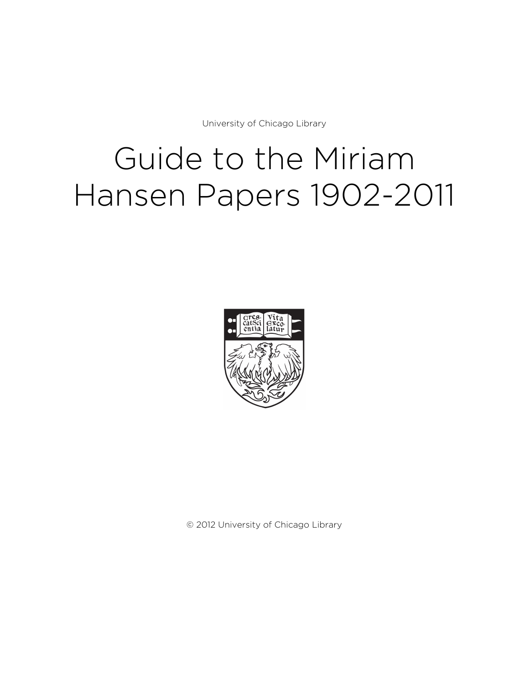University of Chicago Library

# Guide to the Miriam Hansen Papers 1902-2011



© 2012 University of Chicago Library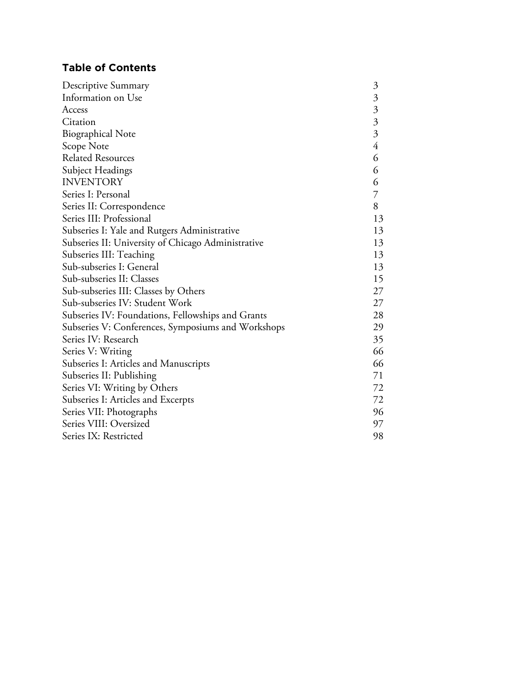# **Table of Contents**

| Descriptive Summary                                | $\mathfrak{Z}$ |
|----------------------------------------------------|----------------|
| Information on Use                                 | $\mathfrak{Z}$ |
| Access                                             |                |
| Citation                                           | $\frac{3}{3}$  |
| <b>Biographical Note</b>                           | $\overline{3}$ |
| Scope Note                                         | $\overline{4}$ |
| <b>Related Resources</b>                           | 6              |
| Subject Headings                                   | 6              |
| <b>INVENTORY</b>                                   | 6              |
| Series I: Personal                                 | $\overline{7}$ |
| Series II: Correspondence                          | 8              |
| Series III: Professional                           | 13             |
| Subseries I: Yale and Rutgers Administrative       | 13             |
| Subseries II: University of Chicago Administrative | 13             |
| Subseries III: Teaching                            | 13             |
| Sub-subseries I: General                           | 13             |
| Sub-subseries II: Classes                          | 15             |
| Sub-subseries III: Classes by Others               |                |
| Sub-subseries IV: Student Work                     |                |
| Subseries IV: Foundations, Fellowships and Grants  | 28             |
| Subseries V: Conferences, Symposiums and Workshops | 29             |
| Series IV: Research                                | 35             |
| Series V: Writing                                  | 66             |
| Subseries I: Articles and Manuscripts              | 66             |
| Subseries II: Publishing                           | 71             |
| Series VI: Writing by Others                       | 72             |
| Subseries I: Articles and Excerpts                 | 72             |
| Series VII: Photographs                            | 96             |
| Series VIII: Oversized                             | 97             |
| Series IX: Restricted                              | 98             |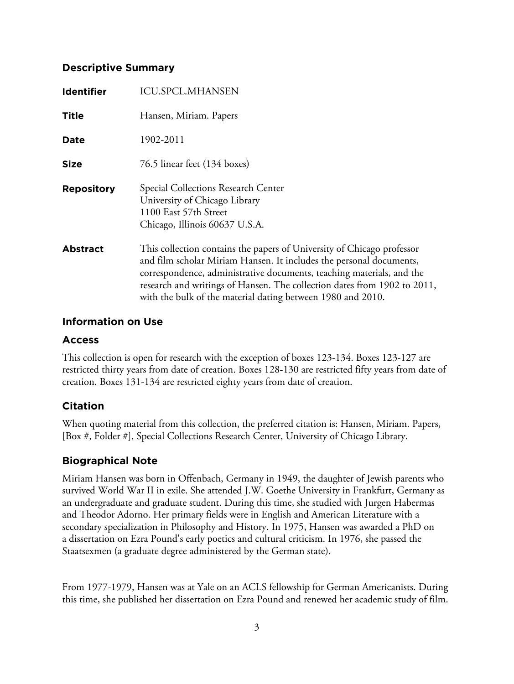## **Descriptive Summary**

| <b>Identifier</b> | <b>ICU.SPCL.MHANSEN</b>                                                                                                                                                                                                                                                                                                                                           |
|-------------------|-------------------------------------------------------------------------------------------------------------------------------------------------------------------------------------------------------------------------------------------------------------------------------------------------------------------------------------------------------------------|
| <b>Title</b>      | Hansen, Miriam. Papers                                                                                                                                                                                                                                                                                                                                            |
| <b>Date</b>       | 1902-2011                                                                                                                                                                                                                                                                                                                                                         |
| <b>Size</b>       | 76.5 linear feet (134 boxes)                                                                                                                                                                                                                                                                                                                                      |
| <b>Repository</b> | Special Collections Research Center<br>University of Chicago Library<br>1100 East 57th Street<br>Chicago, Illinois 60637 U.S.A.                                                                                                                                                                                                                                   |
| <b>Abstract</b>   | This collection contains the papers of University of Chicago professor<br>and film scholar Miriam Hansen. It includes the personal documents,<br>correspondence, administrative documents, teaching materials, and the<br>research and writings of Hansen. The collection dates from 1902 to 2011,<br>with the bulk of the material dating between 1980 and 2010. |

## **Information on Use**

## **Access**

This collection is open for research with the exception of boxes 123-134. Boxes 123-127 are restricted thirty years from date of creation. Boxes 128-130 are restricted fifty years from date of creation. Boxes 131-134 are restricted eighty years from date of creation.

# **Citation**

When quoting material from this collection, the preferred citation is: Hansen, Miriam. Papers, [Box #, Folder #], Special Collections Research Center, University of Chicago Library.

# **Biographical Note**

Miriam Hansen was born in Offenbach, Germany in 1949, the daughter of Jewish parents who survived World War II in exile. She attended J.W. Goethe University in Frankfurt, Germany as an undergraduate and graduate student. During this time, she studied with Jurgen Habermas and Theodor Adorno. Her primary fields were in English and American Literature with a secondary specialization in Philosophy and History. In 1975, Hansen was awarded a PhD on a dissertation on Ezra Pound's early poetics and cultural criticism. In 1976, she passed the Staatsexmen (a graduate degree administered by the German state).

From 1977-1979, Hansen was at Yale on an ACLS fellowship for German Americanists. During this time, she published her dissertation on Ezra Pound and renewed her academic study of film.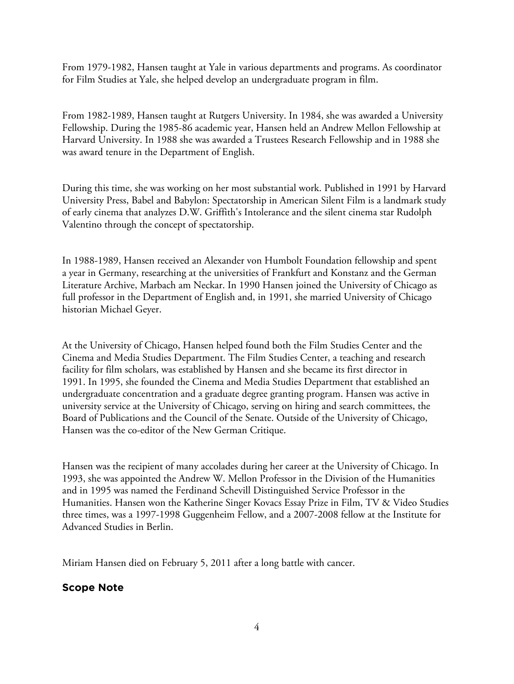From 1979-1982, Hansen taught at Yale in various departments and programs. As coordinator for Film Studies at Yale, she helped develop an undergraduate program in film.

From 1982-1989, Hansen taught at Rutgers University. In 1984, she was awarded a University Fellowship. During the 1985-86 academic year, Hansen held an Andrew Mellon Fellowship at Harvard University. In 1988 she was awarded a Trustees Research Fellowship and in 1988 she was award tenure in the Department of English.

During this time, she was working on her most substantial work. Published in 1991 by Harvard University Press, Babel and Babylon: Spectatorship in American Silent Film is a landmark study of early cinema that analyzes D.W. Griffith's Intolerance and the silent cinema star Rudolph Valentino through the concept of spectatorship.

In 1988-1989, Hansen received an Alexander von Humbolt Foundation fellowship and spent a year in Germany, researching at the universities of Frankfurt and Konstanz and the German Literature Archive, Marbach am Neckar. In 1990 Hansen joined the University of Chicago as full professor in the Department of English and, in 1991, she married University of Chicago historian Michael Geyer.

At the University of Chicago, Hansen helped found both the Film Studies Center and the Cinema and Media Studies Department. The Film Studies Center, a teaching and research facility for film scholars, was established by Hansen and she became its first director in 1991. In 1995, she founded the Cinema and Media Studies Department that established an undergraduate concentration and a graduate degree granting program. Hansen was active in university service at the University of Chicago, serving on hiring and search committees, the Board of Publications and the Council of the Senate. Outside of the University of Chicago, Hansen was the co-editor of the New German Critique.

Hansen was the recipient of many accolades during her career at the University of Chicago. In 1993, she was appointed the Andrew W. Mellon Professor in the Division of the Humanities and in 1995 was named the Ferdinand Schevill Distinguished Service Professor in the Humanities. Hansen won the Katherine Singer Kovacs Essay Prize in Film, TV & Video Studies three times, was a 1997-1998 Guggenheim Fellow, and a 2007-2008 fellow at the Institute for Advanced Studies in Berlin.

Miriam Hansen died on February 5, 2011 after a long battle with cancer.

#### **Scope Note**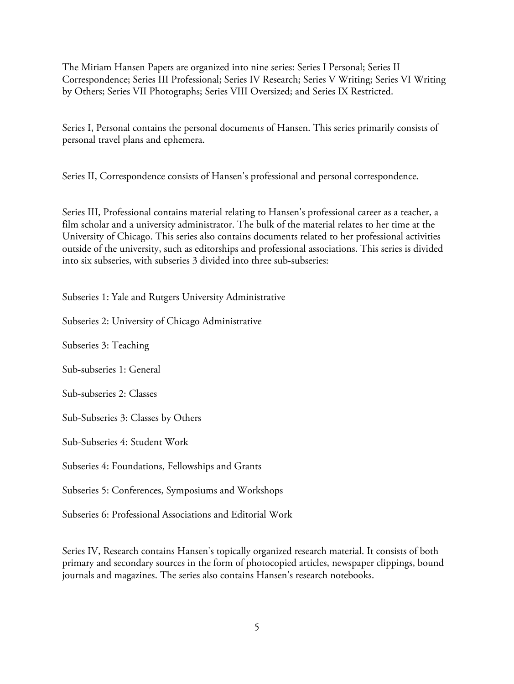The Miriam Hansen Papers are organized into nine series: Series I Personal; Series II Correspondence; Series III Professional; Series IV Research; Series V Writing; Series VI Writing by Others; Series VII Photographs; Series VIII Oversized; and Series IX Restricted.

Series I, Personal contains the personal documents of Hansen. This series primarily consists of personal travel plans and ephemera.

Series II, Correspondence consists of Hansen's professional and personal correspondence.

Series III, Professional contains material relating to Hansen's professional career as a teacher, a film scholar and a university administrator. The bulk of the material relates to her time at the University of Chicago. This series also contains documents related to her professional activities outside of the university, such as editorships and professional associations. This series is divided into six subseries, with subseries 3 divided into three sub-subseries:

Subseries 1: Yale and Rutgers University Administrative

Subseries 2: University of Chicago Administrative

Subseries 3: Teaching

Sub-subseries 1: General

Sub-subseries 2: Classes

Sub-Subseries 3: Classes by Others

Sub-Subseries 4: Student Work

Subseries 4: Foundations, Fellowships and Grants

Subseries 5: Conferences, Symposiums and Workshops

Subseries 6: Professional Associations and Editorial Work

Series IV, Research contains Hansen's topically organized research material. It consists of both primary and secondary sources in the form of photocopied articles, newspaper clippings, bound journals and magazines. The series also contains Hansen's research notebooks.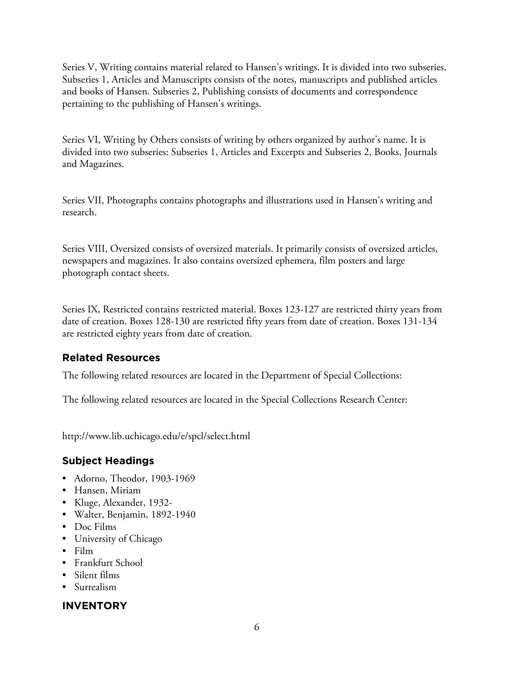Series V, Writing contains material related to Hansen's writings. It is divided into two subseries. Subseries 1, Articles and Manuscripts consists of the notes, manuscripts and published articles and books of Hansen. Subseries 2, Publishing consists of documents and correspondence pertaining to the publishing of Hansen's writings.

Series VI, Writing by Others consists of writing by others organized by author's name. It is divided into two subseries: Subseries 1, Articles and Excerpts and Subseries 2, Books, Journals and Magazines.

Series VII, Photographs contains photographs and illustrations used in Hansen's writing and research.

Series VIII, Oversized consists of oversized materials. It primarily consists of oversized articles, newspapers and magazines. It also contains oversized ephemera, film posters and large photograph contact sheets.

Series IX, Restricted contains restricted material. Boxes 123-127 are restricted thirty years from date of creation. Boxes 128-130 are restricted fifty years from date of creation. Boxes 131-134 are restricted eighty years from date of creation.

# **Related Resources**

The following related resources are located in the Department of Special Collections:

The following related resources are located in the Special Collections Research Center:

http://www.lib.uchicago.edu/e/spcl/select.html

# **Subject Headings**

- Adorno, Theodor, 1903-1969
- Hansen, Miriam
- Kluge, Alexander, 1932-
- Walter, Benjamin, 1892-1940
- Doc Films
- University of Chicago
- Film
- Frankfurt School
- Silent films
- Surrealism

# **INVENTORY**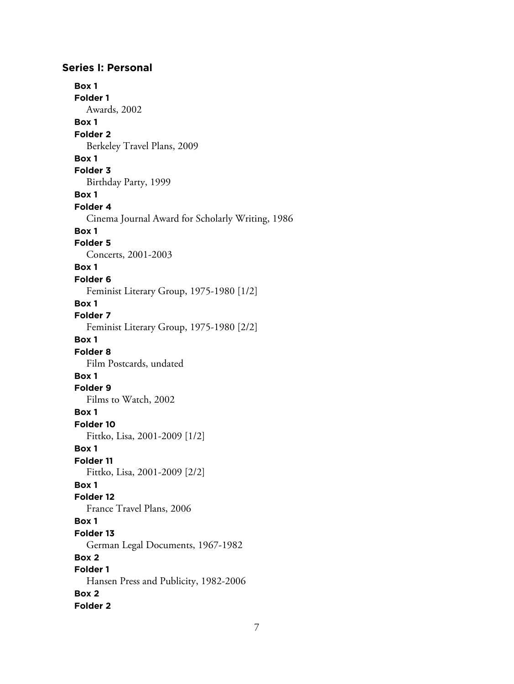## **Series I: Personal Box 1 Folder 1** Awards, 2002 **Box 1 Folder 2** Berkeley Travel Plans, 2009 **Box 1 Folder 3** Birthday Party, 1999 **Box 1 Folder 4** Cinema Journal Award for Scholarly Writing, 1986 **Box 1 Folder 5** Concerts, 2001-2003 **Box 1 Folder 6** Feminist Literary Group, 1975-1980 [1/2] **Box 1 Folder 7** Feminist Literary Group, 1975-1980 [2/2] **Box 1 Folder 8** Film Postcards, undated **Box 1 Folder 9** Films to Watch, 2002 **Box 1 Folder 10** Fittko, Lisa, 2001-2009 [1/2] **Box 1 Folder 11** Fittko, Lisa, 2001-2009 [2/2] **Box 1 Folder 12** France Travel Plans, 2006 **Box 1 Folder 13** German Legal Documents, 1967-1982 **Box 2 Folder 1** Hansen Press and Publicity, 1982-2006 **Box 2 Folder 2**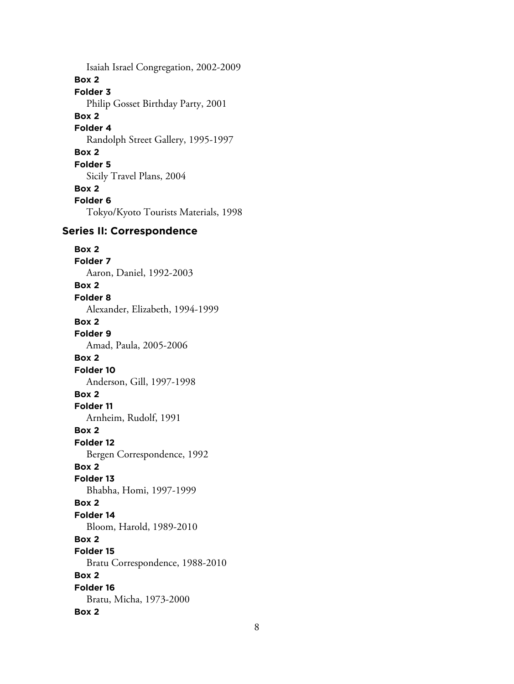Isaiah Israel Congregation, 2002-2009 **Box 2 Folder 3** Philip Gosset Birthday Party, 2001 **Box 2 Folder 4** Randolph Street Gallery, 1995-1997 **Box 2 Folder 5** Sicily Travel Plans, 2004 **Box 2 Folder 6** Tokyo/Kyoto Tourists Materials, 1998 **Series II: Correspondence Box 2 Folder 7** Aaron, Daniel, 1992-2003 **Box 2 Folder 8** Alexander, Elizabeth, 1994-1999 **Box 2 Folder 9** Amad, Paula, 2005-2006 **Box 2 Folder 10** Anderson, Gill, 1997-1998 **Box 2 Folder 11** Arnheim, Rudolf, 1991 **Box 2 Folder 12** Bergen Correspondence, 1992 **Box 2 Folder 13** Bhabha, Homi, 1997-1999 **Box 2 Folder 14** Bloom, Harold, 1989-2010 **Box 2 Folder 15** Bratu Correspondence, 1988-2010 **Box 2 Folder 16** Bratu, Micha, 1973-2000 **Box 2**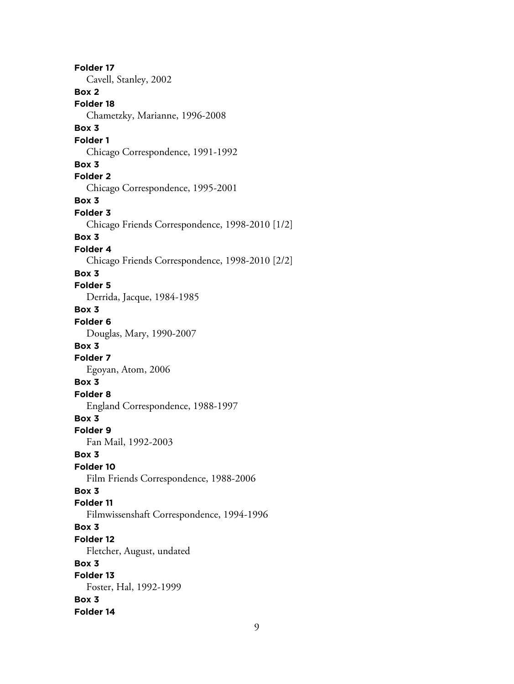**Folder 17** Cavell, Stanley, 2002 **Box 2 Folder 18** Chametzky, Marianne, 1996-2008 **Box 3 Folder 1** Chicago Correspondence, 1991-1992 **Box 3 Folder 2** Chicago Correspondence, 1995-2001 **Box 3 Folder 3** Chicago Friends Correspondence, 1998-2010 [1/2] **Box 3 Folder 4** Chicago Friends Correspondence, 1998-2010 [2/2] **Box 3 Folder 5** Derrida, Jacque, 1984-1985 **Box 3 Folder 6** Douglas, Mary, 1990-2007 **Box 3 Folder 7** Egoyan, Atom, 2006 **Box 3 Folder 8** England Correspondence, 1988-1997 **Box 3 Folder 9** Fan Mail, 1992-2003 **Box 3 Folder 10** Film Friends Correspondence, 1988-2006 **Box 3 Folder 11** Filmwissenshaft Correspondence, 1994-1996 **Box 3 Folder 12** Fletcher, August, undated **Box 3 Folder 13** Foster, Hal, 1992-1999 **Box 3 Folder 14**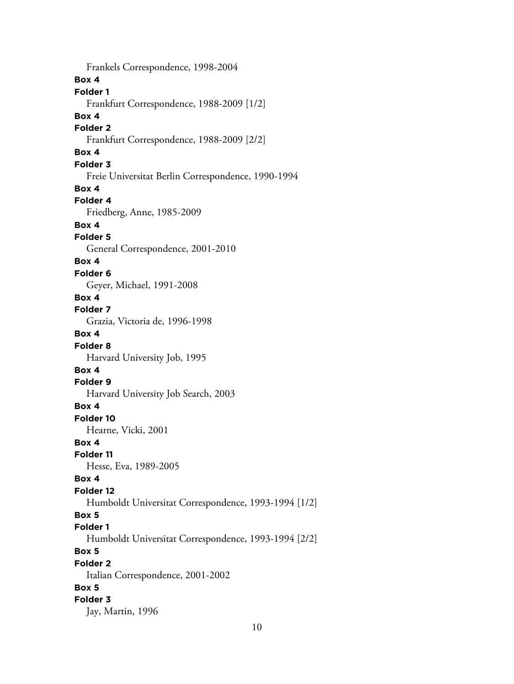Frankels Correspondence, 1998-2004 **Box 4 Folder 1** Frankfurt Correspondence, 1988-2009 [1/2] **Box 4 Folder 2** Frankfurt Correspondence, 1988-2009 [2/2] **Box 4 Folder 3** Freie Universitat Berlin Correspondence, 1990-1994 **Box 4 Folder 4** Friedberg, Anne, 1985-2009 **Box 4 Folder 5** General Correspondence, 2001-2010 **Box 4 Folder 6** Geyer, Michael, 1991-2008 **Box 4 Folder 7** Grazia, Victoria de, 1996-1998 **Box 4 Folder 8** Harvard University Job, 1995 **Box 4 Folder 9** Harvard University Job Search, 2003 **Box 4 Folder 10** Hearne, Vicki, 2001 **Box 4 Folder 11** Hesse, Eva, 1989-2005 **Box 4 Folder 12** Humboldt Universitat Correspondence, 1993-1994 [1/2] **Box 5 Folder 1** Humboldt Universitat Correspondence, 1993-1994 [2/2] **Box 5 Folder 2** Italian Correspondence, 2001-2002 **Box 5 Folder 3** Jay, Martin, 1996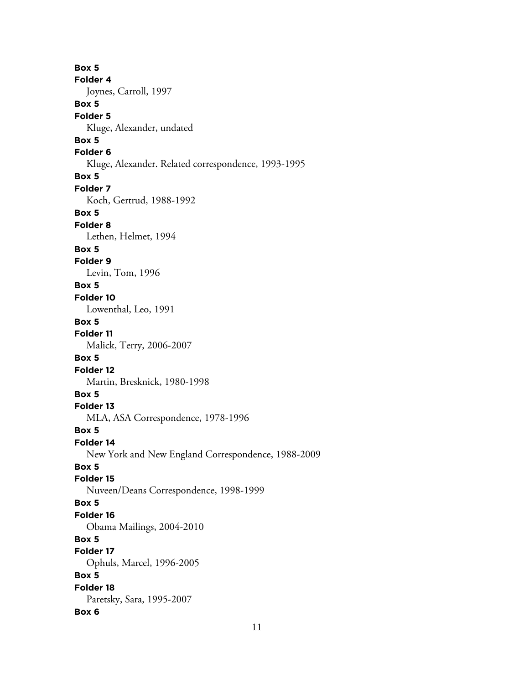**Box 5 Folder 4** Joynes, Carroll, 1997 **Box 5 Folder 5** Kluge, Alexander, undated **Box 5 Folder 6** Kluge, Alexander. Related correspondence, 1993-1995 **Box 5 Folder 7** Koch, Gertrud, 1988-1992 **Box 5 Folder 8** Lethen, Helmet, 1994 **Box 5 Folder 9** Levin, Tom, 1996 **Box 5 Folder 10** Lowenthal, Leo, 1991 **Box 5 Folder 11** Malick, Terry, 2006-2007 **Box 5 Folder 12** Martin, Bresknick, 1980-1998 **Box 5 Folder 13** MLA, ASA Correspondence, 1978-1996 **Box 5 Folder 14** New York and New England Correspondence, 1988-2009 **Box 5 Folder 15** Nuveen/Deans Correspondence, 1998-1999 **Box 5 Folder 16** Obama Mailings, 2004-2010 **Box 5 Folder 17** Ophuls, Marcel, 1996-2005 **Box 5 Folder 18** Paretsky, Sara, 1995-2007 **Box 6**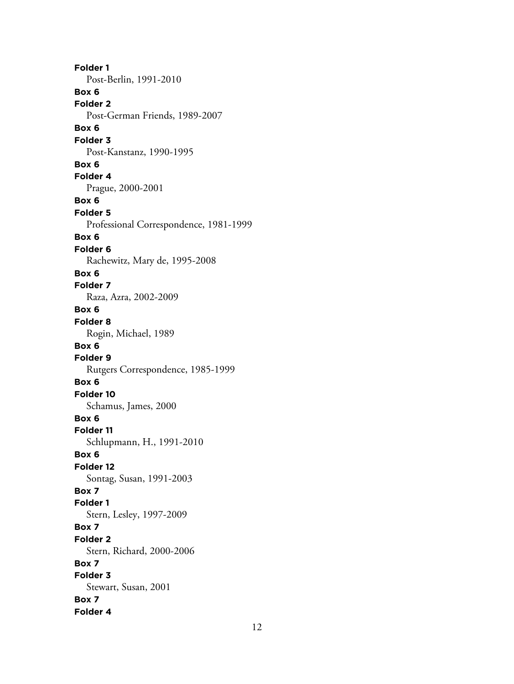**Folder 1** Post-Berlin, 1991-2010 **Box 6 Folder 2** Post-German Friends, 1989-2007 **Box 6 Folder 3** Post-Kanstanz, 1990-1995 **Box 6 Folder 4** Prague, 2000-2001 **Box 6 Folder 5** Professional Correspondence, 1981-1999 **Box 6 Folder 6** Rachewitz, Mary de, 1995-2008 **Box 6 Folder 7** Raza, Azra, 2002-2009 **Box 6 Folder 8** Rogin, Michael, 1989 **Box 6 Folder 9** Rutgers Correspondence, 1985-1999 **Box 6 Folder 10** Schamus, James, 2000 **Box 6 Folder 11** Schlupmann, H., 1991-2010 **Box 6 Folder 12** Sontag, Susan, 1991-2003 **Box 7 Folder 1** Stern, Lesley, 1997-2009 **Box 7 Folder 2** Stern, Richard, 2000-2006 **Box 7 Folder 3** Stewart, Susan, 2001 **Box 7 Folder 4**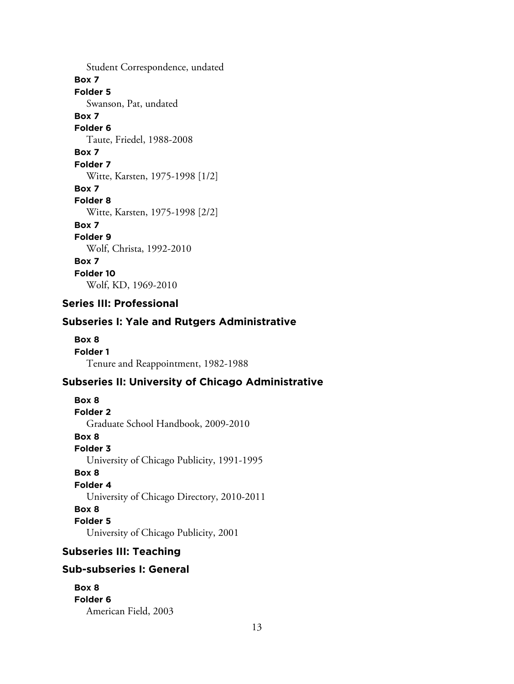Student Correspondence, undated **Box 7 Folder 5** Swanson, Pat, undated **Box 7 Folder 6** Taute, Friedel, 1988-2008 **Box 7 Folder 7** Witte, Karsten, 1975-1998 [1/2] **Box 7 Folder 8** Witte, Karsten, 1975-1998 [2/2] **Box 7 Folder 9** Wolf, Christa, 1992-2010 **Box 7 Folder 10** Wolf, KD, 1969-2010

# **Series III: Professional**

#### **Subseries I: Yale and Rutgers Administrative**

**Box 8 Folder 1** Tenure and Reappointment, 1982-1988

#### **Subseries II: University of Chicago Administrative**

**Box 8 Folder 2** Graduate School Handbook, 2009-2010 **Box 8 Folder 3** University of Chicago Publicity, 1991-1995 **Box 8 Folder 4** University of Chicago Directory, 2010-2011 **Box 8 Folder 5** University of Chicago Publicity, 2001

#### **Subseries III: Teaching**

#### **Sub-subseries I: General**

**Box 8 Folder 6** American Field, 2003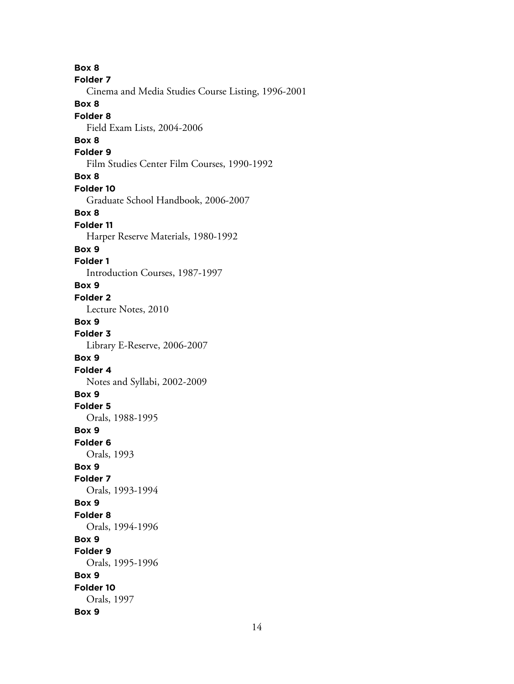**Box 8 Folder 7** Cinema and Media Studies Course Listing, 1996-2001 **Box 8 Folder 8** Field Exam Lists, 2004-2006 **Box 8 Folder 9** Film Studies Center Film Courses, 1990-1992 **Box 8 Folder 10** Graduate School Handbook, 2006-2007 **Box 8 Folder 11** Harper Reserve Materials, 1980-1992 **Box 9 Folder 1** Introduction Courses, 1987-1997 **Box 9 Folder 2** Lecture Notes, 2010 **Box 9 Folder 3** Library E-Reserve, 2006-2007 **Box 9 Folder 4** Notes and Syllabi, 2002-2009 **Box 9 Folder 5** Orals, 1988-1995 **Box 9 Folder 6** Orals, 1993 **Box 9 Folder 7** Orals, 1993-1994 **Box 9 Folder 8** Orals, 1994-1996 **Box 9 Folder 9** Orals, 1995-1996 **Box 9 Folder 10** Orals, 1997 **Box 9**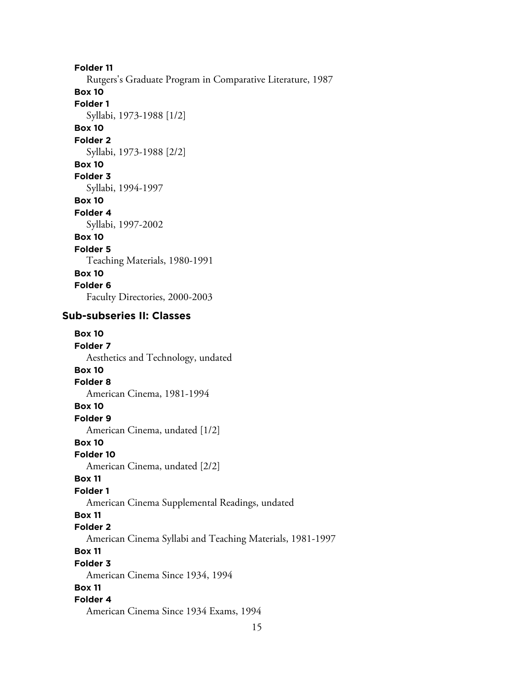**Folder 11**

Rutgers's Graduate Program in Comparative Literature, 1987

**Box 10**

**Folder 1**

Syllabi, 1973-1988 [1/2]

# **Box 10**

**Folder 2**

Syllabi, 1973-1988 [2/2]

# **Box 10**

**Folder 3**

Syllabi, 1994-1997

**Box 10**

# **Folder 4**

Syllabi, 1997-2002

# **Box 10**

**Folder 5**

Teaching Materials, 1980-1991

# **Box 10**

**Folder 6** Faculty Directories, 2000-2003

#### **Sub-subseries II: Classes**

| <b>Box 10</b>                                             |
|-----------------------------------------------------------|
| Folder 7                                                  |
| Aesthetics and Technology, undated                        |
| <b>Box 10</b>                                             |
| <b>Folder 8</b>                                           |
| American Cinema, 1981-1994                                |
| <b>Box 10</b>                                             |
| Folder <sub>9</sub>                                       |
| American Cinema, undated [1/2]                            |
| <b>Box 10</b>                                             |
| Folder 10                                                 |
| American Cinema, undated [2/2]                            |
| <b>Box 11</b>                                             |
| <b>Folder 1</b>                                           |
| American Cinema Supplemental Readings, undated            |
| <b>Box 11</b>                                             |
| <b>Folder 2</b>                                           |
| American Cinema Syllabi and Teaching Materials, 1981-1997 |
| <b>Box 11</b>                                             |
| <b>Folder 3</b>                                           |
| American Cinema Since 1934, 1994                          |
| <b>Box 11</b>                                             |
| Folder 4                                                  |
| American Cinema Since 1934 Exams, 1994                    |
| 15                                                        |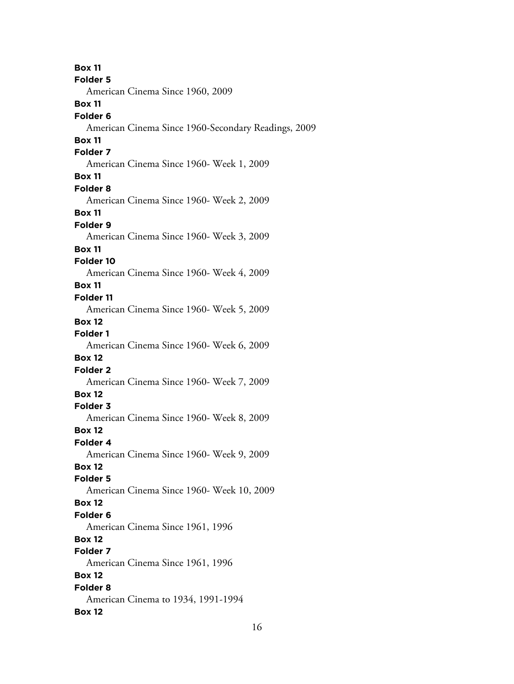**Box 11 Folder 5** American Cinema Since 1960, 2009 **Box 11 Folder 6** American Cinema Since 1960-Secondary Readings, 2009 **Box 11 Folder 7** American Cinema Since 1960- Week 1, 2009 **Box 11 Folder 8** American Cinema Since 1960- Week 2, 2009 **Box 11 Folder 9** American Cinema Since 1960- Week 3, 2009 **Box 11 Folder 10** American Cinema Since 1960- Week 4, 2009 **Box 11 Folder 11** American Cinema Since 1960- Week 5, 2009 **Box 12 Folder 1** American Cinema Since 1960- Week 6, 2009 **Box 12 Folder 2** American Cinema Since 1960- Week 7, 2009 **Box 12 Folder 3** American Cinema Since 1960- Week 8, 2009 **Box 12 Folder 4** American Cinema Since 1960- Week 9, 2009 **Box 12 Folder 5** American Cinema Since 1960- Week 10, 2009 **Box 12 Folder 6** American Cinema Since 1961, 1996 **Box 12 Folder 7** American Cinema Since 1961, 1996 **Box 12 Folder 8** American Cinema to 1934, 1991-1994 **Box 12**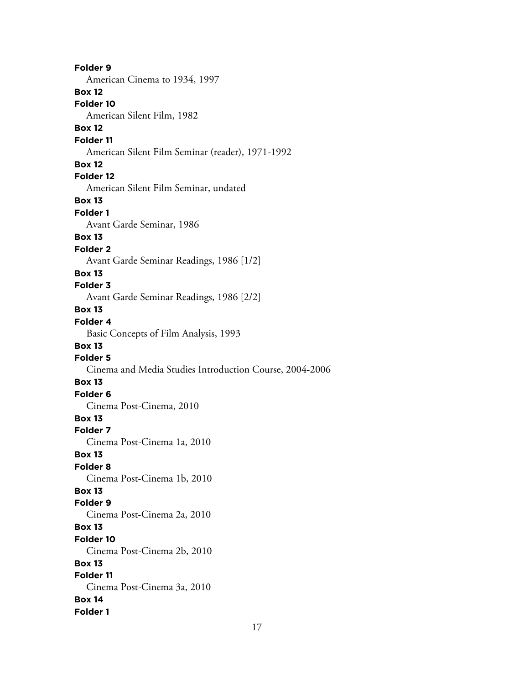**Folder 9** American Cinema to 1934, 1997 **Box 12 Folder 10** American Silent Film, 1982 **Box 12 Folder 11** American Silent Film Seminar (reader), 1971-1992 **Box 12 Folder 12** American Silent Film Seminar, undated **Box 13 Folder 1** Avant Garde Seminar, 1986 **Box 13 Folder 2** Avant Garde Seminar Readings, 1986 [1/2] **Box 13 Folder 3** Avant Garde Seminar Readings, 1986 [2/2] **Box 13 Folder 4** Basic Concepts of Film Analysis, 1993 **Box 13 Folder 5** Cinema and Media Studies Introduction Course, 2004-2006 **Box 13 Folder 6** Cinema Post-Cinema, 2010 **Box 13 Folder 7** Cinema Post-Cinema 1a, 2010 **Box 13 Folder 8** Cinema Post-Cinema 1b, 2010 **Box 13 Folder 9** Cinema Post-Cinema 2a, 2010 **Box 13 Folder 10** Cinema Post-Cinema 2b, 2010 **Box 13 Folder 11** Cinema Post-Cinema 3a, 2010 **Box 14 Folder 1**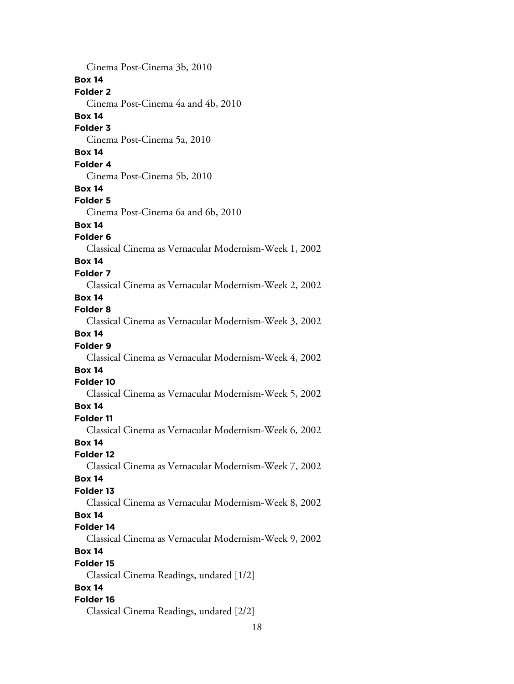18 Cinema Post-Cinema 3b, 2010 **Box 14 Folder 2** Cinema Post-Cinema 4a and 4b, 2010 **Box 14 Folder 3** Cinema Post-Cinema 5a, 2010 **Box 14 Folder 4** Cinema Post-Cinema 5b, 2010 **Box 14 Folder 5** Cinema Post-Cinema 6a and 6b, 2010 **Box 14 Folder 6** Classical Cinema as Vernacular Modernism-Week 1, 2002 **Box 14 Folder 7** Classical Cinema as Vernacular Modernism-Week 2, 2002 **Box 14 Folder 8** Classical Cinema as Vernacular Modernism-Week 3, 2002 **Box 14 Folder 9** Classical Cinema as Vernacular Modernism-Week 4, 2002 **Box 14 Folder 10** Classical Cinema as Vernacular Modernism-Week 5, 2002 **Box 14 Folder 11** Classical Cinema as Vernacular Modernism-Week 6, 2002 **Box 14 Folder 12** Classical Cinema as Vernacular Modernism-Week 7, 2002 **Box 14 Folder 13** Classical Cinema as Vernacular Modernism-Week 8, 2002 **Box 14 Folder 14** Classical Cinema as Vernacular Modernism-Week 9, 2002 **Box 14 Folder 15** Classical Cinema Readings, undated [1/2] **Box 14 Folder 16** Classical Cinema Readings, undated [2/2]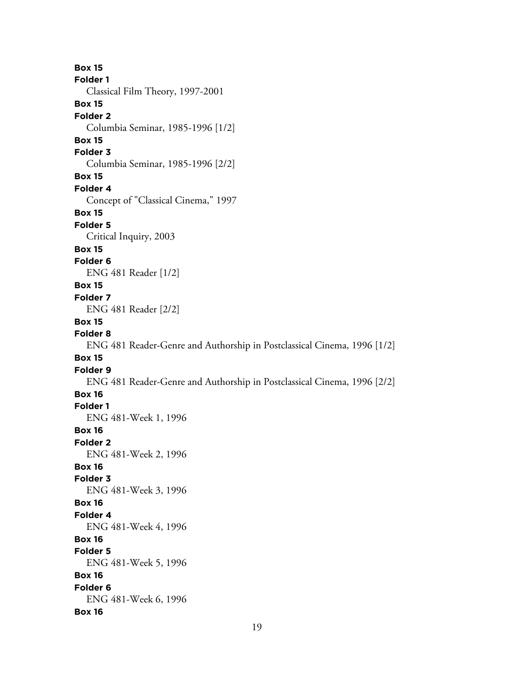**Box 15 Folder 1** Classical Film Theory, 1997-2001 **Box 15 Folder 2** Columbia Seminar, 1985-1996 [1/2] **Box 15 Folder 3** Columbia Seminar, 1985-1996 [2/2] **Box 15 Folder 4** Concept of "Classical Cinema," 1997 **Box 15 Folder 5** Critical Inquiry, 2003 **Box 15 Folder 6** ENG 481 Reader [1/2] **Box 15 Folder 7** ENG 481 Reader [2/2] **Box 15 Folder 8** ENG 481 Reader-Genre and Authorship in Postclassical Cinema, 1996 [1/2] **Box 15 Folder 9** ENG 481 Reader-Genre and Authorship in Postclassical Cinema, 1996 [2/2] **Box 16 Folder 1** ENG 481-Week 1, 1996 **Box 16 Folder 2** ENG 481-Week 2, 1996 **Box 16 Folder 3** ENG 481-Week 3, 1996 **Box 16 Folder 4** ENG 481-Week 4, 1996 **Box 16 Folder 5** ENG 481-Week 5, 1996 **Box 16 Folder 6** ENG 481-Week 6, 1996 **Box 16**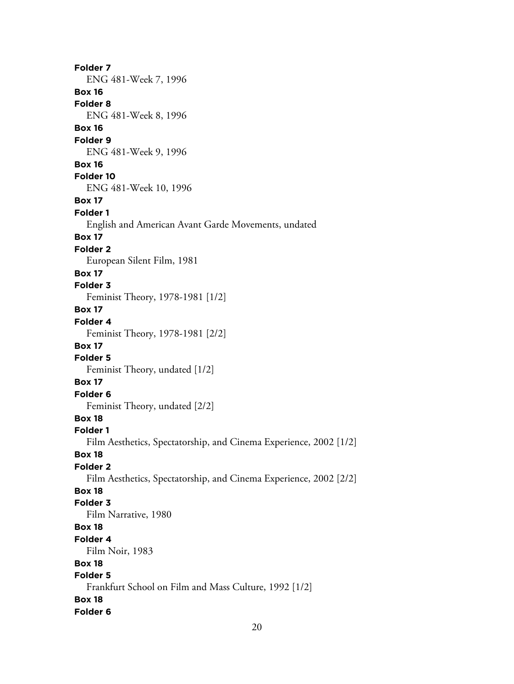**Folder 7** ENG 481-Week 7, 1996 **Box 16 Folder 8** ENG 481-Week 8, 1996 **Box 16 Folder 9** ENG 481-Week 9, 1996 **Box 16 Folder 10** ENG 481-Week 10, 1996 **Box 17 Folder 1** English and American Avant Garde Movements, undated **Box 17 Folder 2** European Silent Film, 1981 **Box 17 Folder 3** Feminist Theory, 1978-1981 [1/2] **Box 17 Folder 4** Feminist Theory, 1978-1981 [2/2] **Box 17 Folder 5** Feminist Theory, undated [1/2] **Box 17 Folder 6** Feminist Theory, undated [2/2] **Box 18 Folder 1** Film Aesthetics, Spectatorship, and Cinema Experience, 2002 [1/2] **Box 18 Folder 2** Film Aesthetics, Spectatorship, and Cinema Experience, 2002 [2/2] **Box 18 Folder 3** Film Narrative, 1980 **Box 18 Folder 4** Film Noir, 1983 **Box 18 Folder 5** Frankfurt School on Film and Mass Culture, 1992 [1/2] **Box 18 Folder 6**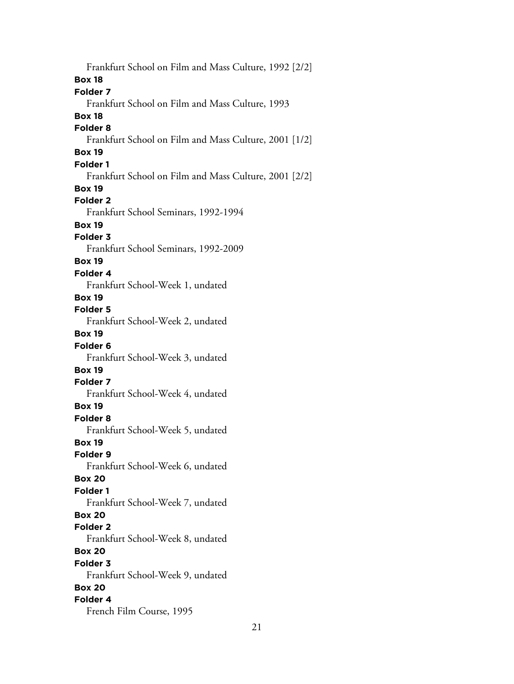Frankfurt School on Film and Mass Culture, 1992 [2/2] **Box 18 Folder 7** Frankfurt School on Film and Mass Culture, 1993 **Box 18 Folder 8** Frankfurt School on Film and Mass Culture, 2001 [1/2] **Box 19 Folder 1** Frankfurt School on Film and Mass Culture, 2001 [2/2] **Box 19 Folder 2** Frankfurt School Seminars, 1992-1994 **Box 19 Folder 3** Frankfurt School Seminars, 1992-2009 **Box 19 Folder 4** Frankfurt School-Week 1, undated **Box 19 Folder 5** Frankfurt School-Week 2, undated **Box 19 Folder 6** Frankfurt School-Week 3, undated **Box 19 Folder 7** Frankfurt School-Week 4, undated **Box 19 Folder 8** Frankfurt School-Week 5, undated **Box 19 Folder 9** Frankfurt School-Week 6, undated **Box 20 Folder 1** Frankfurt School-Week 7, undated **Box 20 Folder 2** Frankfurt School-Week 8, undated **Box 20 Folder 3** Frankfurt School-Week 9, undated **Box 20 Folder 4** French Film Course, 1995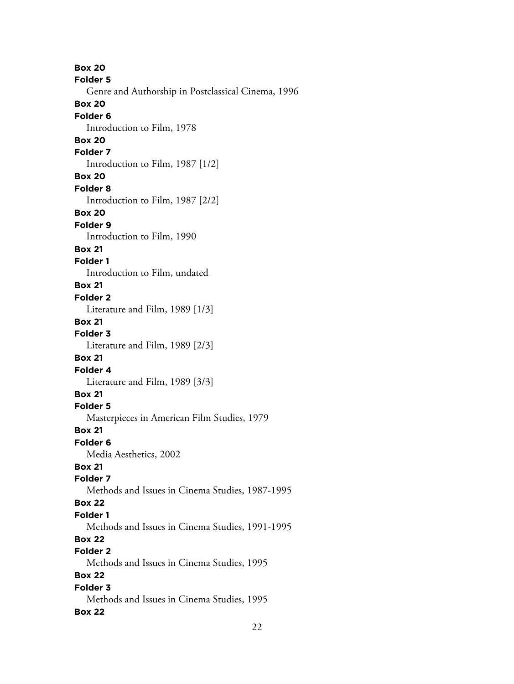**Box 20 Folder 5** Genre and Authorship in Postclassical Cinema, 1996 **Box 20 Folder 6** Introduction to Film, 1978 **Box 20 Folder 7** Introduction to Film, 1987 [1/2] **Box 20 Folder 8** Introduction to Film, 1987 [2/2] **Box 20 Folder 9** Introduction to Film, 1990 **Box 21 Folder 1** Introduction to Film, undated **Box 21 Folder 2** Literature and Film, 1989 [1/3] **Box 21 Folder 3** Literature and Film, 1989 [2/3] **Box 21 Folder 4** Literature and Film, 1989 [3/3] **Box 21 Folder 5** Masterpieces in American Film Studies, 1979 **Box 21 Folder 6** Media Aesthetics, 2002 **Box 21 Folder 7** Methods and Issues in Cinema Studies, 1987-1995 **Box 22 Folder 1** Methods and Issues in Cinema Studies, 1991-1995 **Box 22 Folder 2** Methods and Issues in Cinema Studies, 1995 **Box 22 Folder 3** Methods and Issues in Cinema Studies, 1995 **Box 22**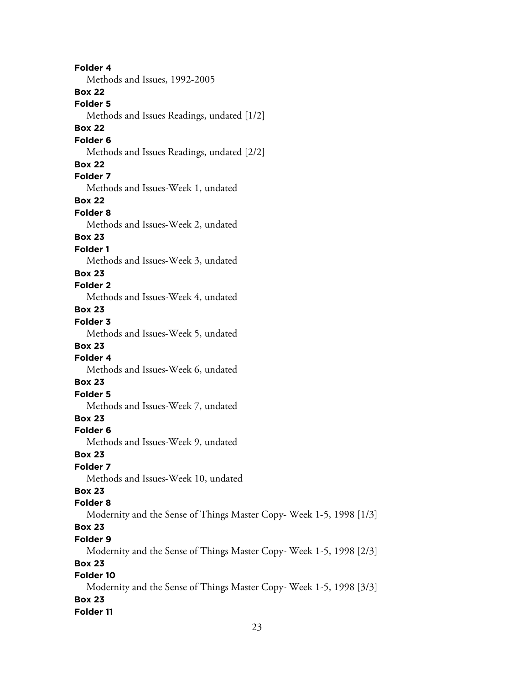**Folder 4** Methods and Issues, 1992-2005 **Box 22 Folder 5** Methods and Issues Readings, undated [1/2] **Box 22 Folder 6** Methods and Issues Readings, undated [2/2] **Box 22 Folder 7** Methods and Issues-Week 1, undated **Box 22 Folder 8** Methods and Issues-Week 2, undated **Box 23 Folder 1** Methods and Issues-Week 3, undated **Box 23 Folder 2** Methods and Issues-Week 4, undated **Box 23 Folder 3** Methods and Issues-Week 5, undated **Box 23 Folder 4** Methods and Issues-Week 6, undated **Box 23 Folder 5** Methods and Issues-Week 7, undated **Box 23 Folder 6** Methods and Issues-Week 9, undated **Box 23 Folder 7** Methods and Issues-Week 10, undated **Box 23 Folder 8** Modernity and the Sense of Things Master Copy- Week 1-5, 1998 [1/3] **Box 23 Folder 9** Modernity and the Sense of Things Master Copy- Week 1-5, 1998 [2/3] **Box 23 Folder 10** Modernity and the Sense of Things Master Copy- Week 1-5, 1998 [3/3] **Box 23**

**Folder 11**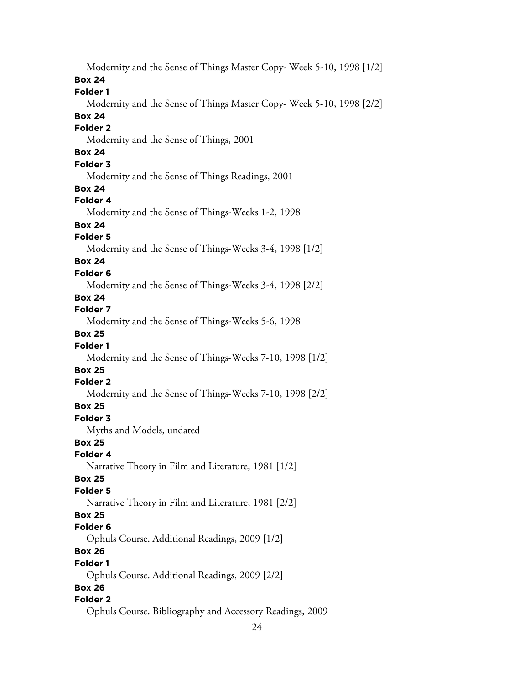Modernity and the Sense of Things Master Copy- Week 5-10, 1998 [1/2]

#### **Box 24**

#### **Folder 1**

Modernity and the Sense of Things Master Copy- Week 5-10, 1998 [2/2]

## **Box 24**

## **Folder 2**

Modernity and the Sense of Things, 2001

# **Box 24**

## **Folder 3**

Modernity and the Sense of Things Readings, 2001

#### **Box 24**

#### **Folder 4**

Modernity and the Sense of Things-Weeks 1-2, 1998

# **Box 24**

#### **Folder 5**

Modernity and the Sense of Things-Weeks 3-4, 1998 [1/2]

# **Box 24**

#### **Folder 6**

Modernity and the Sense of Things-Weeks 3-4, 1998 [2/2]

#### **Box 24**

## **Folder 7**

Modernity and the Sense of Things-Weeks 5-6, 1998

## **Box 25**

## **Folder 1**

Modernity and the Sense of Things-Weeks 7-10, 1998 [1/2]

# **Box 25**

#### **Folder 2**

Modernity and the Sense of Things-Weeks 7-10, 1998 [2/2]

## **Box 25**

# **Folder 3**

Myths and Models, undated

## **Box 25**

# **Folder 4**

Narrative Theory in Film and Literature, 1981 [1/2]

#### **Box 25**

## **Folder 5**

Narrative Theory in Film and Literature, 1981 [2/2]

## **Box 25**

#### **Folder 6**

Ophuls Course. Additional Readings, 2009 [1/2]

# **Box 26**

#### **Folder 1**

Ophuls Course. Additional Readings, 2009 [2/2]

## **Box 26**

## **Folder 2**

Ophuls Course. Bibliography and Accessory Readings, 2009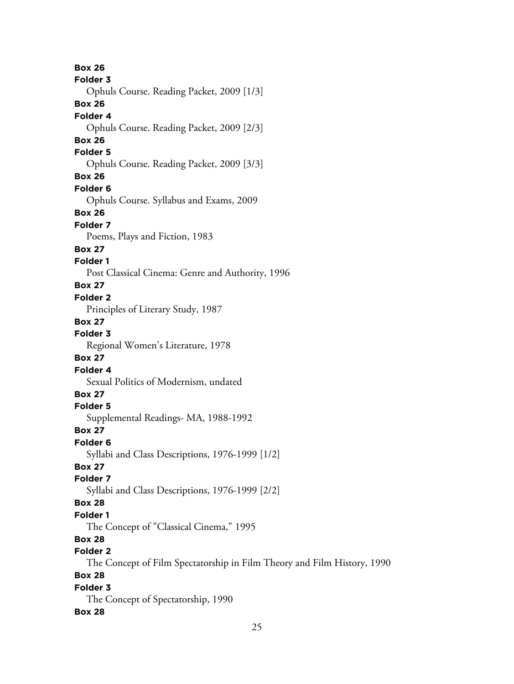**Box 26 Folder 3** Ophuls Course. Reading Packet, 2009 [1/3] **Box 26 Folder 4** Ophuls Course. Reading Packet, 2009 [2/3] **Box 26 Folder 5** Ophuls Course. Reading Packet, 2009 [3/3] **Box 26 Folder 6** Ophuls Course. Syllabus and Exams, 2009 **Box 26 Folder 7** Poems, Plays and Fiction, 1983 **Box 27 Folder 1** Post Classical Cinema: Genre and Authority, 1996 **Box 27 Folder 2** Principles of Literary Study, 1987 **Box 27 Folder 3** Regional Women's Literature, 1978 **Box 27 Folder 4** Sexual Politics of Modernism, undated **Box 27 Folder 5** Supplemental Readings- MA, 1988-1992 **Box 27 Folder 6** Syllabi and Class Descriptions, 1976-1999 [1/2] **Box 27 Folder 7** Syllabi and Class Descriptions, 1976-1999 [2/2] **Box 28 Folder 1** The Concept of "Classical Cinema," 1995 **Box 28 Folder 2** The Concept of Film Spectatorship in Film Theory and Film History, 1990 **Box 28 Folder 3** The Concept of Spectatorship, 1990 **Box 28**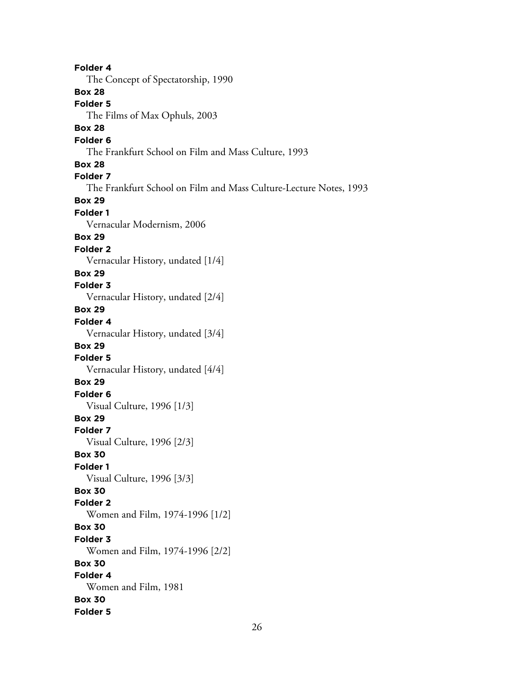**Folder 4** The Concept of Spectatorship, 1990 **Box 28 Folder 5** The Films of Max Ophuls, 2003 **Box 28 Folder 6** The Frankfurt School on Film and Mass Culture, 1993 **Box 28 Folder 7** The Frankfurt School on Film and Mass Culture-Lecture Notes, 1993 **Box 29 Folder 1** Vernacular Modernism, 2006 **Box 29 Folder 2** Vernacular History, undated [1/4] **Box 29 Folder 3** Vernacular History, undated [2/4] **Box 29 Folder 4** Vernacular History, undated [3/4] **Box 29 Folder 5** Vernacular History, undated [4/4] **Box 29 Folder 6** Visual Culture, 1996 [1/3] **Box 29 Folder 7** Visual Culture, 1996 [2/3] **Box 30 Folder 1** Visual Culture, 1996 [3/3] **Box 30 Folder 2** Women and Film, 1974-1996 [1/2] **Box 30 Folder 3** Women and Film, 1974-1996 [2/2] **Box 30 Folder 4** Women and Film, 1981 **Box 30 Folder 5**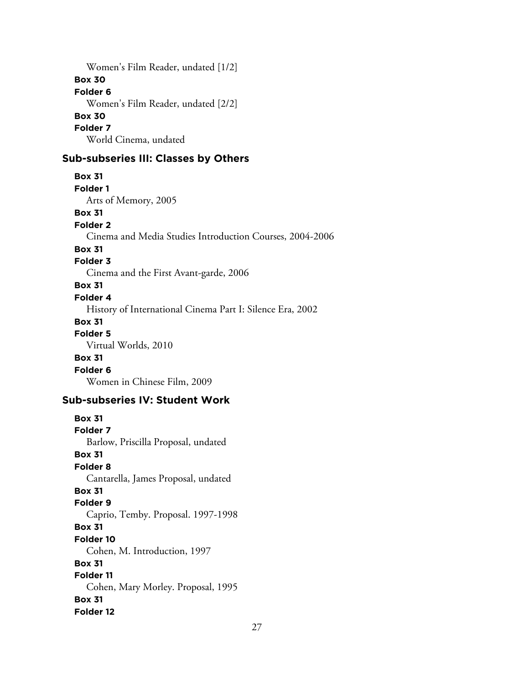Women's Film Reader, undated [1/2] **Box 30 Folder 6** Women's Film Reader, undated [2/2] **Box 30 Folder 7** World Cinema, undated

#### **Sub-subseries III: Classes by Others**

**Box 31 Folder 1** Arts of Memory, 2005

**Box 31**

#### **Folder 2**

Cinema and Media Studies Introduction Courses, 2004-2006

#### **Box 31**

#### **Folder 3**

Cinema and the First Avant-garde, 2006

#### **Box 31**

#### **Folder 4**

History of International Cinema Part I: Silence Era, 2002

#### **Box 31**

**Folder 5**

Virtual Worlds, 2010

#### **Box 31**

**Folder 6**

Women in Chinese Film, 2009

#### **Sub-subseries IV: Student Work**

**Box 31 Folder 7** Barlow, Priscilla Proposal, undated **Box 31 Folder 8** Cantarella, James Proposal, undated **Box 31 Folder 9** Caprio, Temby. Proposal. 1997-1998 **Box 31 Folder 10** Cohen, M. Introduction, 1997 **Box 31 Folder 11** Cohen, Mary Morley. Proposal, 1995 **Box 31 Folder 12**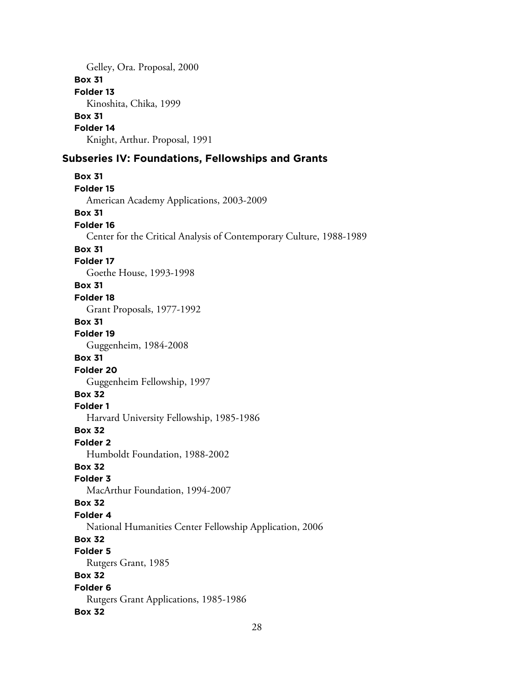Gelley, Ora. Proposal, 2000 **Box 31 Folder 13** Kinoshita, Chika, 1999 **Box 31 Folder 14** Knight, Arthur. Proposal, 1991

## **Subseries IV: Foundations, Fellowships and Grants**

```
Box 31
Folder 15
  American Academy Applications, 2003-2009
Box 31
Folder 16
  Center for the Critical Analysis of Contemporary Culture, 1988-1989
Box 31
Folder 17
  Goethe House, 1993-1998
Box 31
Folder 18
  Grant Proposals, 1977-1992
Box 31
Folder 19
  Guggenheim, 1984-2008
Box 31
Folder 20
  Guggenheim Fellowship, 1997
Box 32
Folder 1
  Harvard University Fellowship, 1985-1986
Box 32
Folder 2
  Humboldt Foundation, 1988-2002
Box 32
Folder 3
  MacArthur Foundation, 1994-2007
Box 32
Folder 4
  National Humanities Center Fellowship Application, 2006
Box 32
Folder 5
  Rutgers Grant, 1985
Box 32
Folder 6
  Rutgers Grant Applications, 1985-1986
Box 32
```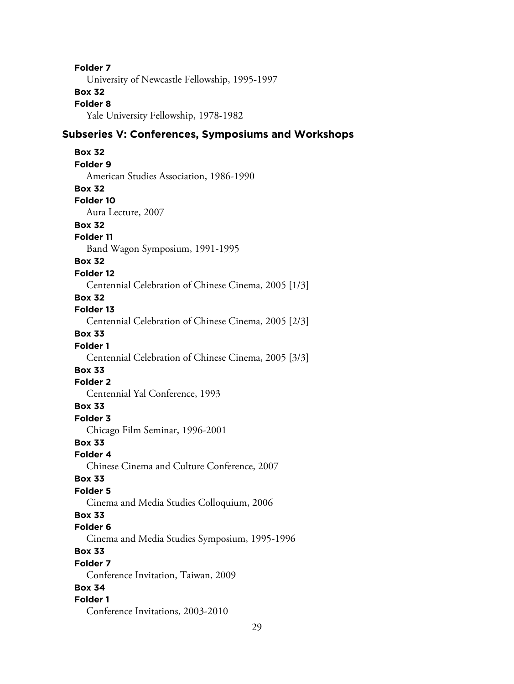**Folder 7** University of Newcastle Fellowship, 1995-1997 **Box 32 Folder 8** Yale University Fellowship, 1978-1982 **Subseries V: Conferences, Symposiums and Workshops Box 32 Folder 9** American Studies Association, 1986-1990 **Box 32 Folder 10** Aura Lecture, 2007 **Box 32 Folder 11** Band Wagon Symposium, 1991-1995 **Box 32 Folder 12** Centennial Celebration of Chinese Cinema, 2005 [1/3] **Box 32 Folder 13** Centennial Celebration of Chinese Cinema, 2005 [2/3] **Box 33 Folder 1** Centennial Celebration of Chinese Cinema, 2005 [3/3] **Box 33 Folder 2** Centennial Yal Conference, 1993 **Box 33 Folder 3** Chicago Film Seminar, 1996-2001 **Box 33 Folder 4** Chinese Cinema and Culture Conference, 2007 **Box 33 Folder 5** Cinema and Media Studies Colloquium, 2006 **Box 33 Folder 6** Cinema and Media Studies Symposium, 1995-1996 **Box 33 Folder 7** Conference Invitation, Taiwan, 2009 **Box 34 Folder 1** Conference Invitations, 2003-2010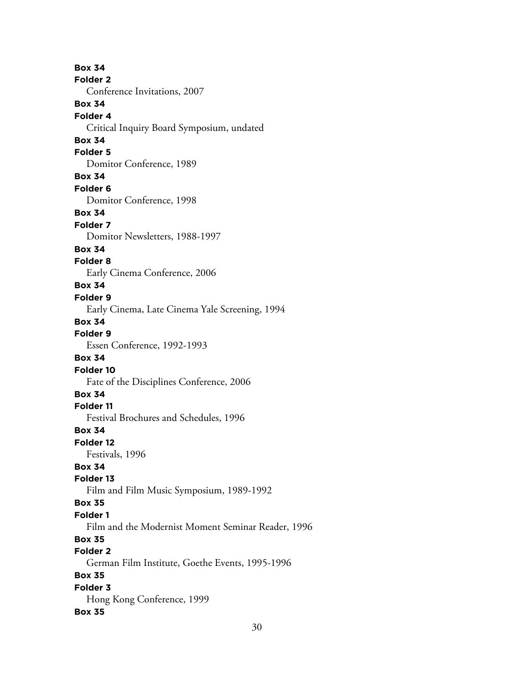**Box 34 Folder 2** Conference Invitations, 2007 **Box 34 Folder 4** Critical Inquiry Board Symposium, undated **Box 34 Folder 5** Domitor Conference, 1989 **Box 34 Folder 6** Domitor Conference, 1998 **Box 34 Folder 7** Domitor Newsletters, 1988-1997 **Box 34 Folder 8** Early Cinema Conference, 2006 **Box 34 Folder 9** Early Cinema, Late Cinema Yale Screening, 1994 **Box 34 Folder 9** Essen Conference, 1992-1993 **Box 34 Folder 10** Fate of the Disciplines Conference, 2006 **Box 34 Folder 11** Festival Brochures and Schedules, 1996 **Box 34 Folder 12** Festivals, 1996 **Box 34 Folder 13** Film and Film Music Symposium, 1989-1992 **Box 35 Folder 1** Film and the Modernist Moment Seminar Reader, 1996 **Box 35 Folder 2** German Film Institute, Goethe Events, 1995-1996 **Box 35 Folder 3** Hong Kong Conference, 1999 **Box 35**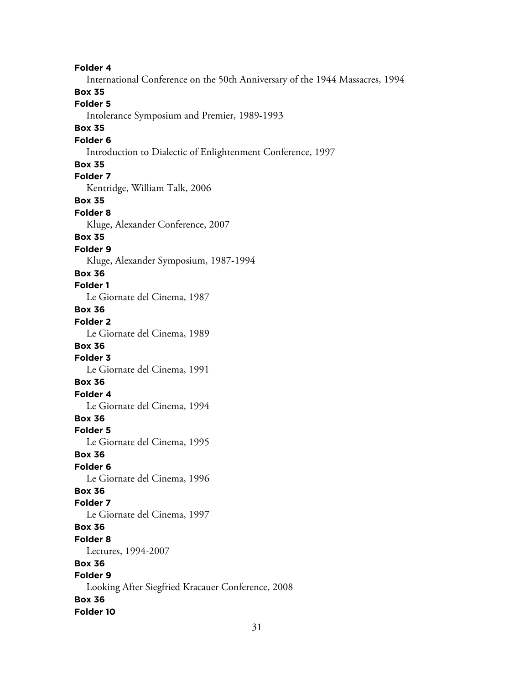**Folder 4** International Conference on the 50th Anniversary of the 1944 Massacres, 1994 **Box 35 Folder 5** Intolerance Symposium and Premier, 1989-1993 **Box 35 Folder 6** Introduction to Dialectic of Enlightenment Conference, 1997 **Box 35 Folder 7** Kentridge, William Talk, 2006 **Box 35 Folder 8** Kluge, Alexander Conference, 2007 **Box 35 Folder 9** Kluge, Alexander Symposium, 1987-1994 **Box 36 Folder 1** Le Giornate del Cinema, 1987 **Box 36 Folder 2** Le Giornate del Cinema, 1989 **Box 36 Folder 3** Le Giornate del Cinema, 1991 **Box 36 Folder 4** Le Giornate del Cinema, 1994 **Box 36 Folder 5** Le Giornate del Cinema, 1995 **Box 36 Folder 6** Le Giornate del Cinema, 1996 **Box 36 Folder 7** Le Giornate del Cinema, 1997 **Box 36 Folder 8** Lectures, 1994-2007 **Box 36 Folder 9** Looking After Siegfried Kracauer Conference, 2008 **Box 36 Folder 10**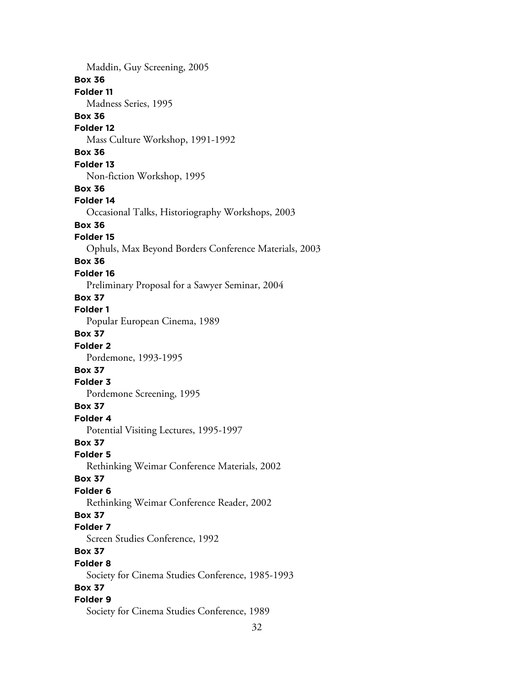Maddin, Guy Screening, 2005 **Box 36 Folder 11** Madness Series, 1995 **Box 36 Folder 12** Mass Culture Workshop, 1991-1992 **Box 36 Folder 13** Non-fiction Workshop, 1995 **Box 36 Folder 14** Occasional Talks, Historiography Workshops, 2003 **Box 36 Folder 15** Ophuls, Max Beyond Borders Conference Materials, 2003 **Box 36 Folder 16** Preliminary Proposal for a Sawyer Seminar, 2004 **Box 37 Folder 1** Popular European Cinema, 1989 **Box 37 Folder 2** Pordemone, 1993-1995 **Box 37 Folder 3** Pordemone Screening, 1995 **Box 37 Folder 4** Potential Visiting Lectures, 1995-1997 **Box 37 Folder 5** Rethinking Weimar Conference Materials, 2002 **Box 37 Folder 6** Rethinking Weimar Conference Reader, 2002 **Box 37 Folder 7** Screen Studies Conference, 1992 **Box 37 Folder 8** Society for Cinema Studies Conference, 1985-1993 **Box 37 Folder 9** Society for Cinema Studies Conference, 1989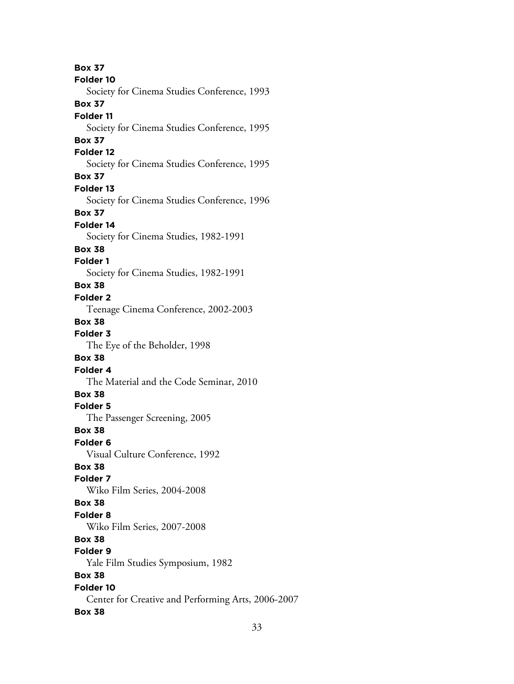**Box 37 Folder 10** Society for Cinema Studies Conference, 1993 **Box 37 Folder 11** Society for Cinema Studies Conference, 1995 **Box 37 Folder 12** Society for Cinema Studies Conference, 1995 **Box 37 Folder 13** Society for Cinema Studies Conference, 1996 **Box 37 Folder 14** Society for Cinema Studies, 1982-1991 **Box 38 Folder 1** Society for Cinema Studies, 1982-1991 **Box 38 Folder 2** Teenage Cinema Conference, 2002-2003 **Box 38 Folder 3** The Eye of the Beholder, 1998 **Box 38 Folder 4** The Material and the Code Seminar, 2010 **Box 38 Folder 5** The Passenger Screening, 2005 **Box 38 Folder 6** Visual Culture Conference, 1992 **Box 38 Folder 7** Wiko Film Series, 2004-2008 **Box 38 Folder 8** Wiko Film Series, 2007-2008 **Box 38 Folder 9** Yale Film Studies Symposium, 1982 **Box 38 Folder 10** Center for Creative and Performing Arts, 2006-2007 **Box 38**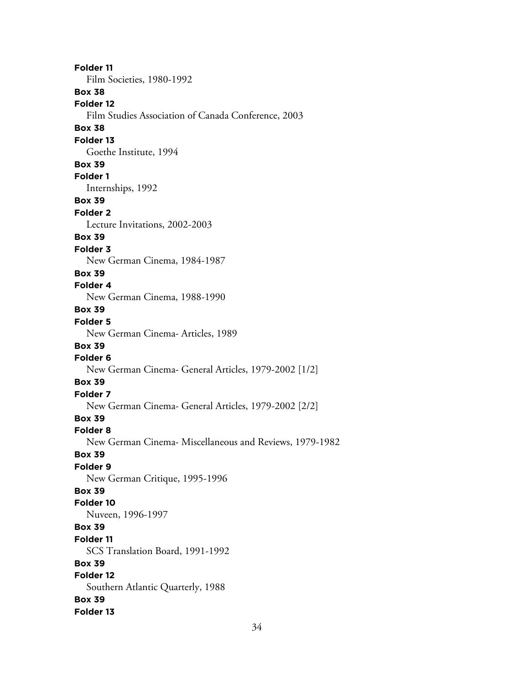**Folder 11** Film Societies, 1980-1992 **Box 38 Folder 12** Film Studies Association of Canada Conference, 2003 **Box 38 Folder 13** Goethe Institute, 1994 **Box 39 Folder 1** Internships, 1992 **Box 39 Folder 2** Lecture Invitations, 2002-2003 **Box 39 Folder 3** New German Cinema, 1984-1987 **Box 39 Folder 4** New German Cinema, 1988-1990 **Box 39 Folder 5** New German Cinema- Articles, 1989 **Box 39 Folder 6** New German Cinema- General Articles, 1979-2002 [1/2] **Box 39 Folder 7** New German Cinema- General Articles, 1979-2002 [2/2] **Box 39 Folder 8** New German Cinema- Miscellaneous and Reviews, 1979-1982 **Box 39 Folder 9** New German Critique, 1995-1996 **Box 39 Folder 10** Nuveen, 1996-1997 **Box 39 Folder 11** SCS Translation Board, 1991-1992 **Box 39 Folder 12** Southern Atlantic Quarterly, 1988 **Box 39 Folder 13**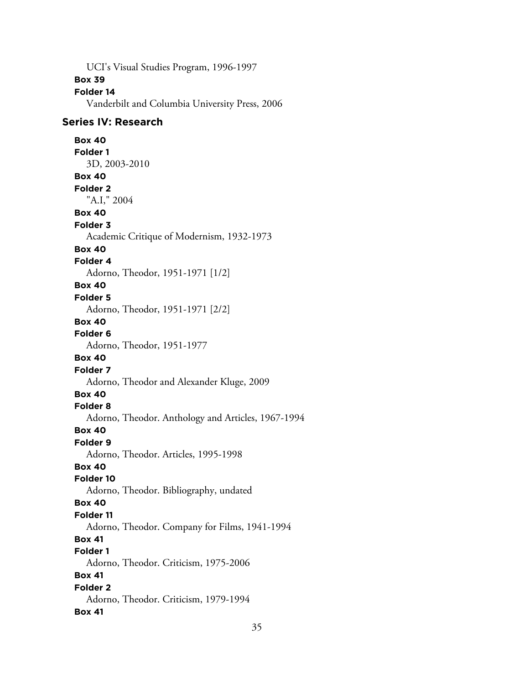UCI's Visual Studies Program, 1996-1997

#### **Box 39**

#### **Folder 14**

Vanderbilt and Columbia University Press, 2006

#### **Series IV: Research**

**Box 40 Folder 1** 3D, 2003-2010 **Box 40 Folder 2** "A.I," 2004 **Box 40 Folder 3** Academic Critique of Modernism, 1932-1973 **Box 40 Folder 4** Adorno, Theodor, 1951-1971 [1/2] **Box 40 Folder 5** Adorno, Theodor, 1951-1971 [2/2] **Box 40 Folder 6** Adorno, Theodor, 1951-1977 **Box 40 Folder 7** Adorno, Theodor and Alexander Kluge, 2009 **Box 40 Folder 8** Adorno, Theodor. Anthology and Articles, 1967-1994 **Box 40 Folder 9** Adorno, Theodor. Articles, 1995-1998 **Box 40 Folder 10** Adorno, Theodor. Bibliography, undated **Box 40 Folder 11** Adorno, Theodor. Company for Films, 1941-1994 **Box 41 Folder 1** Adorno, Theodor. Criticism, 1975-2006 **Box 41 Folder 2** Adorno, Theodor. Criticism, 1979-1994 **Box 41**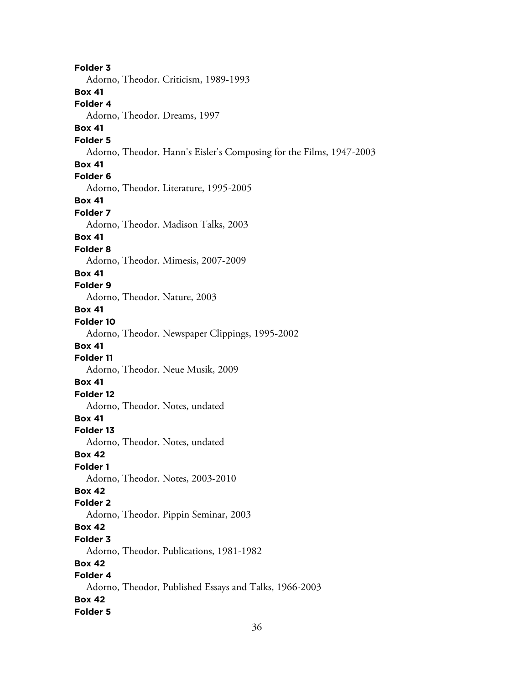**Folder 3** Adorno, Theodor. Criticism, 1989-1993 **Box 41 Folder 4** Adorno, Theodor. Dreams, 1997 **Box 41 Folder 5** Adorno, Theodor. Hann's Eisler's Composing for the Films, 1947-2003 **Box 41 Folder 6** Adorno, Theodor. Literature, 1995-2005 **Box 41 Folder 7** Adorno, Theodor. Madison Talks, 2003 **Box 41 Folder 8** Adorno, Theodor. Mimesis, 2007-2009 **Box 41 Folder 9** Adorno, Theodor. Nature, 2003 **Box 41 Folder 10** Adorno, Theodor. Newspaper Clippings, 1995-2002 **Box 41 Folder 11** Adorno, Theodor. Neue Musik, 2009 **Box 41 Folder 12** Adorno, Theodor. Notes, undated **Box 41 Folder 13** Adorno, Theodor. Notes, undated **Box 42 Folder 1** Adorno, Theodor. Notes, 2003-2010 **Box 42 Folder 2** Adorno, Theodor. Pippin Seminar, 2003 **Box 42 Folder 3** Adorno, Theodor. Publications, 1981-1982 **Box 42 Folder 4** Adorno, Theodor, Published Essays and Talks, 1966-2003 **Box 42 Folder 5**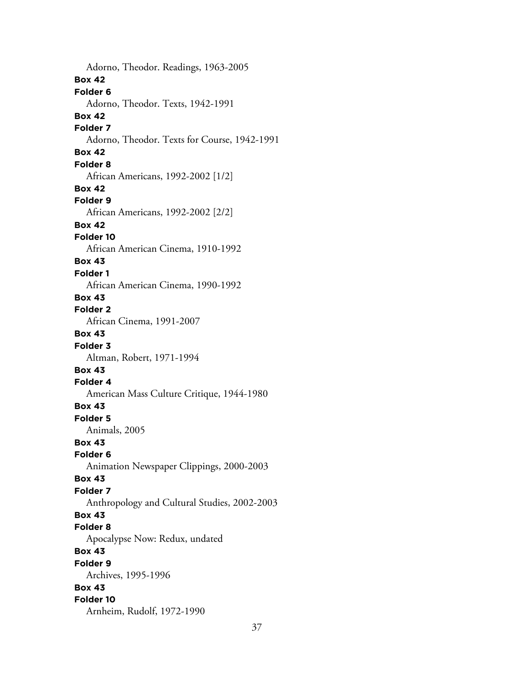Adorno, Theodor. Readings, 1963-2005 **Box 42 Folder 6** Adorno, Theodor. Texts, 1942-1991 **Box 42 Folder 7** Adorno, Theodor. Texts for Course, 1942-1991 **Box 42 Folder 8** African Americans, 1992-2002 [1/2] **Box 42 Folder 9** African Americans, 1992-2002 [2/2] **Box 42 Folder 10** African American Cinema, 1910-1992 **Box 43 Folder 1** African American Cinema, 1990-1992 **Box 43 Folder 2** African Cinema, 1991-2007 **Box 43 Folder 3** Altman, Robert, 1971-1994 **Box 43 Folder 4** American Mass Culture Critique, 1944-1980 **Box 43 Folder 5** Animals, 2005 **Box 43 Folder 6** Animation Newspaper Clippings, 2000-2003 **Box 43 Folder 7** Anthropology and Cultural Studies, 2002-2003 **Box 43 Folder 8** Apocalypse Now: Redux, undated **Box 43 Folder 9** Archives, 1995-1996 **Box 43 Folder 10** Arnheim, Rudolf, 1972-1990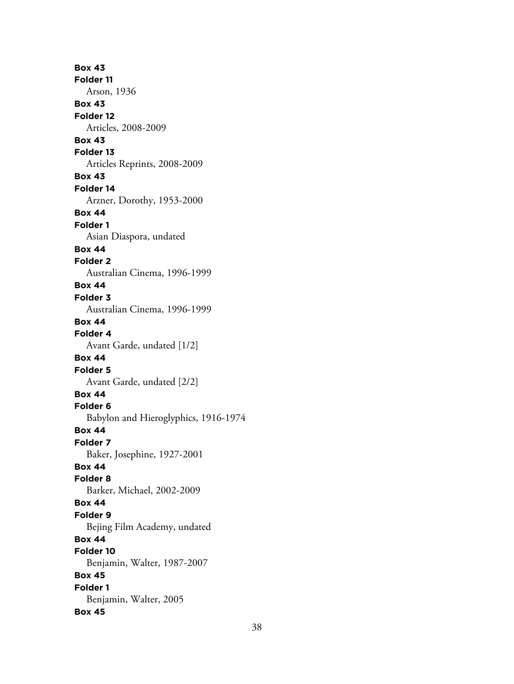**Box 43 Folder 11** Arson, 1936 **Box 43 Folder 12** Articles, 2008-2009 **Box 43 Folder 13** Articles Reprints, 2008-2009 **Box 43 Folder 14** Arzner, Dorothy, 1953-2000 **Box 44 Folder 1** Asian Diaspora, undated **Box 44 Folder 2** Australian Cinema, 1996-1999 **Box 44 Folder 3** Australian Cinema, 1996-1999 **Box 44 Folder 4** Avant Garde, undated [1/2] **Box 44 Folder 5** Avant Garde, undated [2/2] **Box 44 Folder 6** Babylon and Hieroglyphics, 1916-1974 **Box 44 Folder 7** Baker, Josephine, 1927-2001 **Box 44 Folder 8** Barker, Michael, 2002-2009 **Box 44 Folder 9** Bejing Film Academy, undated **Box 44 Folder 10** Benjamin, Walter, 1987-2007 **Box 45 Folder 1** Benjamin, Walter, 2005 **Box 45**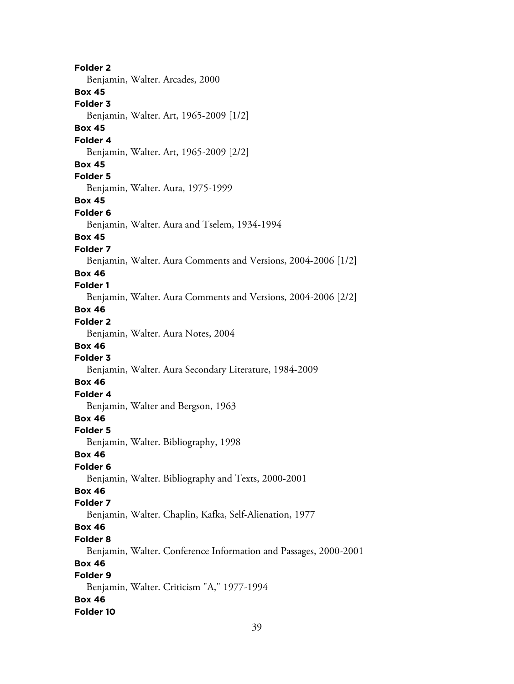**Folder 2** Benjamin, Walter. Arcades, 2000 **Box 45 Folder 3** Benjamin, Walter. Art, 1965-2009 [1/2] **Box 45 Folder 4** Benjamin, Walter. Art, 1965-2009 [2/2] **Box 45 Folder 5** Benjamin, Walter. Aura, 1975-1999 **Box 45 Folder 6** Benjamin, Walter. Aura and Tselem, 1934-1994 **Box 45 Folder 7** Benjamin, Walter. Aura Comments and Versions, 2004-2006 [1/2] **Box 46 Folder 1** Benjamin, Walter. Aura Comments and Versions, 2004-2006 [2/2] **Box 46 Folder 2** Benjamin, Walter. Aura Notes, 2004 **Box 46 Folder 3** Benjamin, Walter. Aura Secondary Literature, 1984-2009 **Box 46 Folder 4** Benjamin, Walter and Bergson, 1963 **Box 46 Folder 5** Benjamin, Walter. Bibliography, 1998 **Box 46 Folder 6** Benjamin, Walter. Bibliography and Texts, 2000-2001 **Box 46 Folder 7** Benjamin, Walter. Chaplin, Kafka, Self-Alienation, 1977 **Box 46 Folder 8** Benjamin, Walter. Conference Information and Passages, 2000-2001 **Box 46 Folder 9** Benjamin, Walter. Criticism "A," 1977-1994 **Box 46 Folder 10**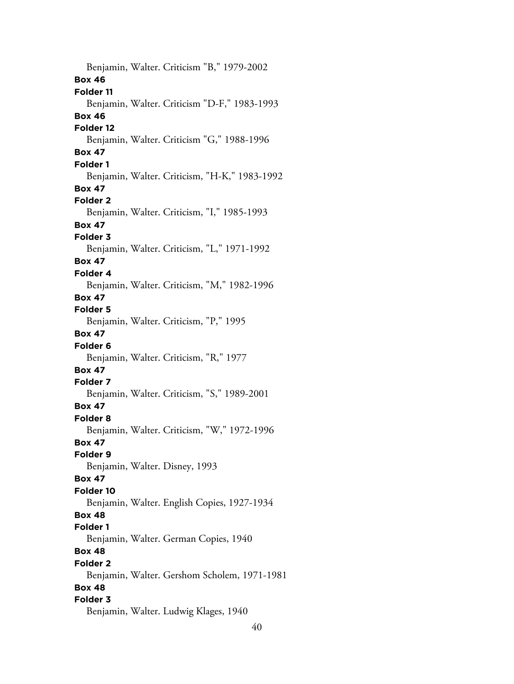Benjamin, Walter. Criticism "B," 1979-2002 **Box 46 Folder 11** Benjamin, Walter. Criticism "D-F," 1983-1993 **Box 46 Folder 12** Benjamin, Walter. Criticism "G," 1988-1996 **Box 47 Folder 1** Benjamin, Walter. Criticism, "H-K," 1983-1992 **Box 47 Folder 2** Benjamin, Walter. Criticism, "I," 1985-1993 **Box 47 Folder 3** Benjamin, Walter. Criticism, "L," 1971-1992 **Box 47 Folder 4** Benjamin, Walter. Criticism, "M," 1982-1996 **Box 47 Folder 5** Benjamin, Walter. Criticism, "P," 1995 **Box 47 Folder 6** Benjamin, Walter. Criticism, "R," 1977 **Box 47 Folder 7** Benjamin, Walter. Criticism, "S," 1989-2001 **Box 47 Folder 8** Benjamin, Walter. Criticism, "W," 1972-1996 **Box 47 Folder 9** Benjamin, Walter. Disney, 1993 **Box 47 Folder 10** Benjamin, Walter. English Copies, 1927-1934 **Box 48 Folder 1** Benjamin, Walter. German Copies, 1940 **Box 48 Folder 2** Benjamin, Walter. Gershom Scholem, 1971-1981 **Box 48 Folder 3** Benjamin, Walter. Ludwig Klages, 1940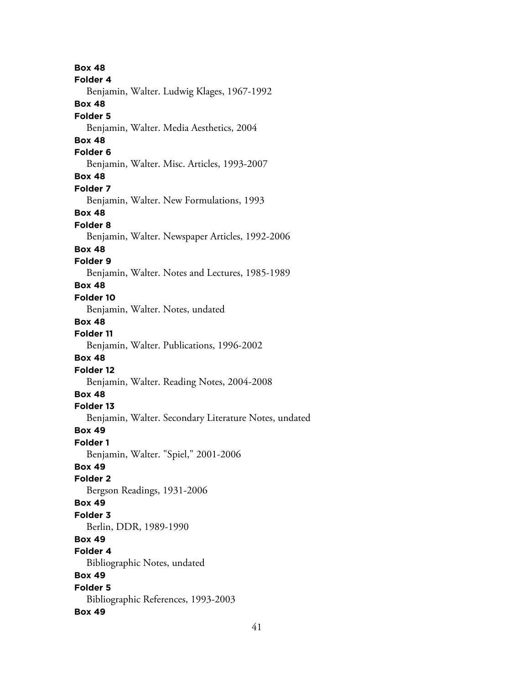**Box 48 Folder 4** Benjamin, Walter. Ludwig Klages, 1967-1992 **Box 48 Folder 5** Benjamin, Walter. Media Aesthetics, 2004 **Box 48 Folder 6** Benjamin, Walter. Misc. Articles, 1993-2007 **Box 48 Folder 7** Benjamin, Walter. New Formulations, 1993 **Box 48 Folder 8** Benjamin, Walter. Newspaper Articles, 1992-2006 **Box 48 Folder 9** Benjamin, Walter. Notes and Lectures, 1985-1989 **Box 48 Folder 10** Benjamin, Walter. Notes, undated **Box 48 Folder 11** Benjamin, Walter. Publications, 1996-2002 **Box 48 Folder 12** Benjamin, Walter. Reading Notes, 2004-2008 **Box 48 Folder 13** Benjamin, Walter. Secondary Literature Notes, undated **Box 49 Folder 1** Benjamin, Walter. "Spiel," 2001-2006 **Box 49 Folder 2** Bergson Readings, 1931-2006 **Box 49 Folder 3** Berlin, DDR, 1989-1990 **Box 49 Folder 4** Bibliographic Notes, undated **Box 49 Folder 5** Bibliographic References, 1993-2003 **Box 49**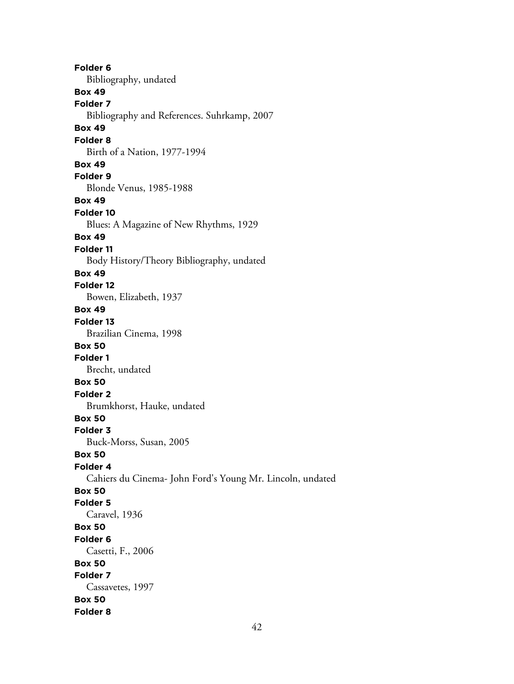**Folder 6** Bibliography, undated **Box 49 Folder 7** Bibliography and References. Suhrkamp, 2007 **Box 49 Folder 8** Birth of a Nation, 1977-1994 **Box 49 Folder 9** Blonde Venus, 1985-1988 **Box 49 Folder 10** Blues: A Magazine of New Rhythms, 1929 **Box 49 Folder 11** Body History/Theory Bibliography, undated **Box 49 Folder 12** Bowen, Elizabeth, 1937 **Box 49 Folder 13** Brazilian Cinema, 1998 **Box 50 Folder 1** Brecht, undated **Box 50 Folder 2** Brumkhorst, Hauke, undated **Box 50 Folder 3** Buck-Morss, Susan, 2005 **Box 50 Folder 4** Cahiers du Cinema- John Ford's Young Mr. Lincoln, undated **Box 50 Folder 5** Caravel, 1936 **Box 50 Folder 6** Casetti, F., 2006 **Box 50 Folder 7** Cassavetes, 1997 **Box 50 Folder 8**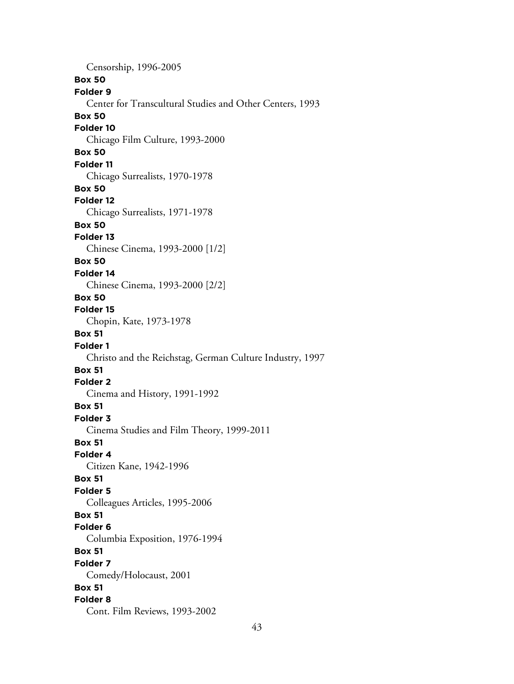Censorship, 1996-2005 **Box 50 Folder 9** Center for Transcultural Studies and Other Centers, 1993 **Box 50 Folder 10** Chicago Film Culture, 1993-2000 **Box 50 Folder 11** Chicago Surrealists, 1970-1978 **Box 50 Folder 12** Chicago Surrealists, 1971-1978 **Box 50 Folder 13** Chinese Cinema, 1993-2000 [1/2] **Box 50 Folder 14** Chinese Cinema, 1993-2000 [2/2] **Box 50 Folder 15** Chopin, Kate, 1973-1978 **Box 51 Folder 1** Christo and the Reichstag, German Culture Industry, 1997 **Box 51 Folder 2** Cinema and History, 1991-1992 **Box 51 Folder 3** Cinema Studies and Film Theory, 1999-2011 **Box 51 Folder 4** Citizen Kane, 1942-1996 **Box 51 Folder 5** Colleagues Articles, 1995-2006 **Box 51 Folder 6** Columbia Exposition, 1976-1994 **Box 51 Folder 7** Comedy/Holocaust, 2001 **Box 51 Folder 8** Cont. Film Reviews, 1993-2002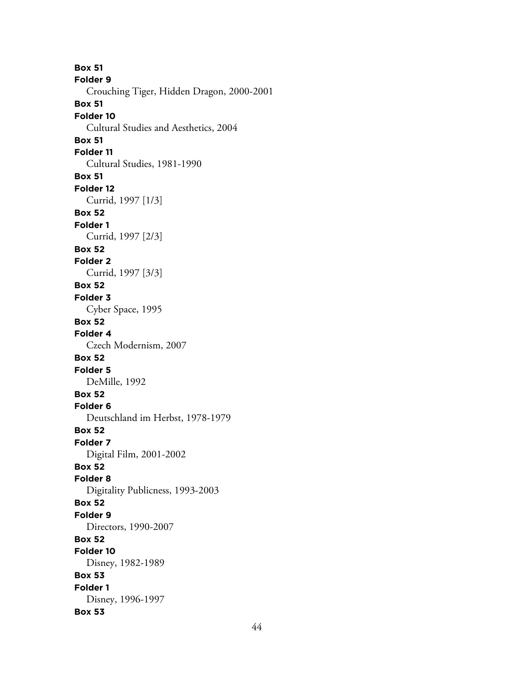**Box 51 Folder 9** Crouching Tiger, Hidden Dragon, 2000-2001 **Box 51 Folder 10** Cultural Studies and Aesthetics, 2004 **Box 51 Folder 11** Cultural Studies, 1981-1990 **Box 51 Folder 12** Currid, 1997 [1/3] **Box 52 Folder 1** Currid, 1997 [2/3] **Box 52 Folder 2** Currid, 1997 [3/3] **Box 52 Folder 3** Cyber Space, 1995 **Box 52 Folder 4** Czech Modernism, 2007 **Box 52 Folder 5** DeMille, 1992 **Box 52 Folder 6** Deutschland im Herbst, 1978-1979 **Box 52 Folder 7** Digital Film, 2001-2002 **Box 52 Folder 8** Digitality Publicness, 1993-2003 **Box 52 Folder 9** Directors, 1990-2007 **Box 52 Folder 10** Disney, 1982-1989 **Box 53 Folder 1** Disney, 1996-1997 **Box 53**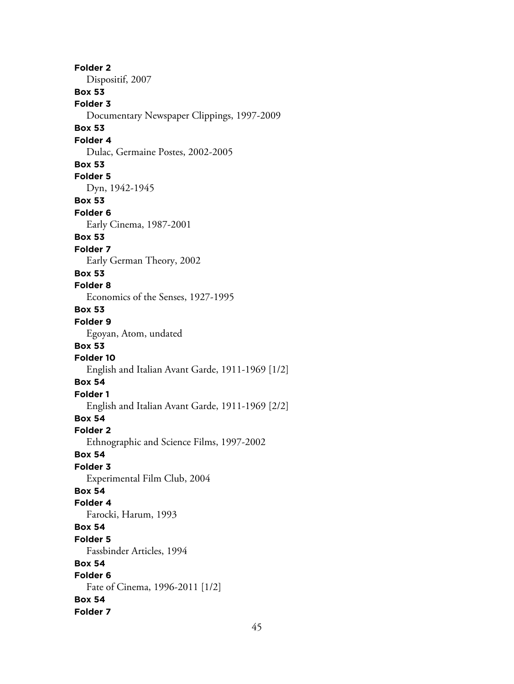**Folder 2** Dispositif, 2007 **Box 53 Folder 3** Documentary Newspaper Clippings, 1997-2009 **Box 53 Folder 4** Dulac, Germaine Postes, 2002-2005 **Box 53 Folder 5** Dyn, 1942-1945 **Box 53 Folder 6** Early Cinema, 1987-2001 **Box 53 Folder 7** Early German Theory, 2002 **Box 53 Folder 8** Economics of the Senses, 1927-1995 **Box 53 Folder 9** Egoyan, Atom, undated **Box 53 Folder 10** English and Italian Avant Garde, 1911-1969 [1/2] **Box 54 Folder 1** English and Italian Avant Garde, 1911-1969 [2/2] **Box 54 Folder 2** Ethnographic and Science Films, 1997-2002 **Box 54 Folder 3** Experimental Film Club, 2004 **Box 54 Folder 4** Farocki, Harum, 1993 **Box 54 Folder 5** Fassbinder Articles, 1994 **Box 54 Folder 6** Fate of Cinema, 1996-2011 [1/2] **Box 54 Folder 7**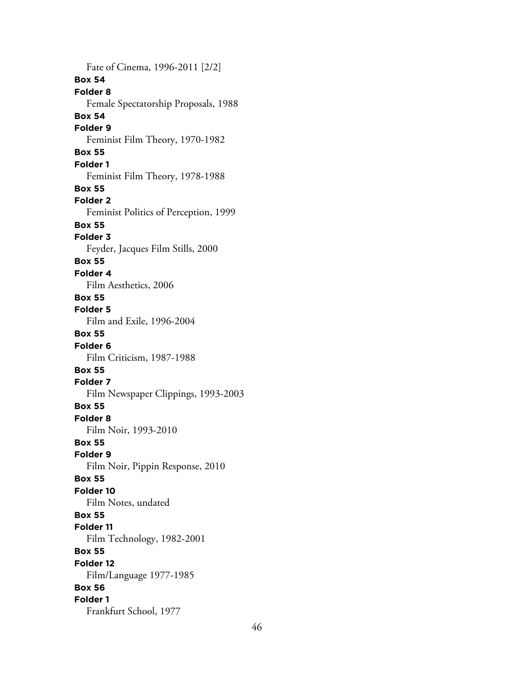Fate of Cinema, 1996-2011 [2/2] **Box 54 Folder 8** Female Spectatorship Proposals, 1988 **Box 54 Folder 9** Feminist Film Theory, 1970-1982 **Box 55 Folder 1** Feminist Film Theory, 1978-1988 **Box 55 Folder 2** Feminist Politics of Perception, 1999 **Box 55 Folder 3** Feyder, Jacques Film Stills, 2000 **Box 55 Folder 4** Film Aesthetics, 2006 **Box 55 Folder 5** Film and Exile, 1996-2004 **Box 55 Folder 6** Film Criticism, 1987-1988 **Box 55 Folder 7** Film Newspaper Clippings, 1993-2003 **Box 55 Folder 8** Film Noir, 1993-2010 **Box 55 Folder 9** Film Noir, Pippin Response, 2010 **Box 55 Folder 10** Film Notes, undated **Box 55 Folder 11** Film Technology, 1982-2001 **Box 55 Folder 12** Film/Language 1977-1985 **Box 56 Folder 1** Frankfurt School, 1977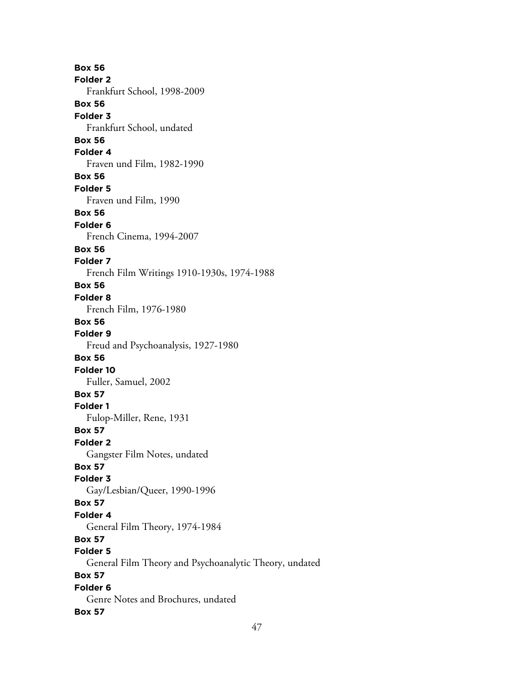**Box 56 Folder 2** Frankfurt School, 1998-2009 **Box 56 Folder 3** Frankfurt School, undated **Box 56 Folder 4** Fraven und Film, 1982-1990 **Box 56 Folder 5** Fraven und Film, 1990 **Box 56 Folder 6** French Cinema, 1994-2007 **Box 56 Folder 7** French Film Writings 1910-1930s, 1974-1988 **Box 56 Folder 8** French Film, 1976-1980 **Box 56 Folder 9** Freud and Psychoanalysis, 1927-1980 **Box 56 Folder 10** Fuller, Samuel, 2002 **Box 57 Folder 1** Fulop-Miller, Rene, 1931 **Box 57 Folder 2** Gangster Film Notes, undated **Box 57 Folder 3** Gay/Lesbian/Queer, 1990-1996 **Box 57 Folder 4** General Film Theory, 1974-1984 **Box 57 Folder 5** General Film Theory and Psychoanalytic Theory, undated **Box 57 Folder 6** Genre Notes and Brochures, undated **Box 57**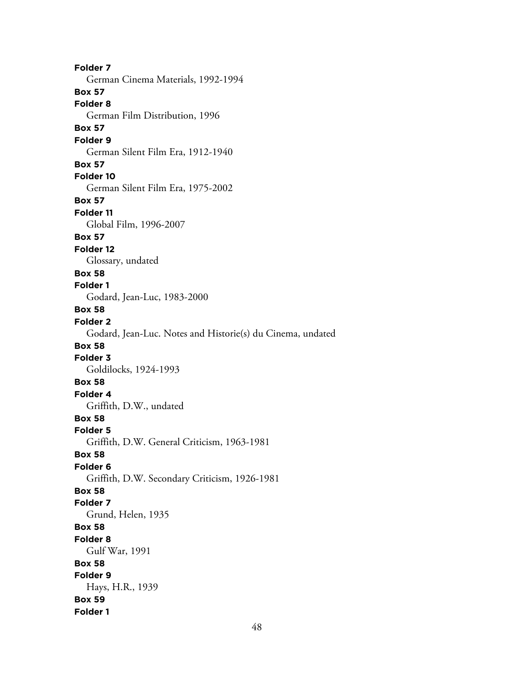**Folder 7** German Cinema Materials, 1992-1994 **Box 57 Folder 8** German Film Distribution, 1996 **Box 57 Folder 9** German Silent Film Era, 1912-1940 **Box 57 Folder 10** German Silent Film Era, 1975-2002 **Box 57 Folder 11** Global Film, 1996-2007 **Box 57 Folder 12** Glossary, undated **Box 58 Folder 1** Godard, Jean-Luc, 1983-2000 **Box 58 Folder 2** Godard, Jean-Luc. Notes and Historie(s) du Cinema, undated **Box 58 Folder 3** Goldilocks, 1924-1993 **Box 58 Folder 4** Griffith, D.W., undated **Box 58 Folder 5** Griffith, D.W. General Criticism, 1963-1981 **Box 58 Folder 6** Griffith, D.W. Secondary Criticism, 1926-1981 **Box 58 Folder 7** Grund, Helen, 1935 **Box 58 Folder 8** Gulf War, 1991 **Box 58 Folder 9** Hays, H.R., 1939 **Box 59 Folder 1**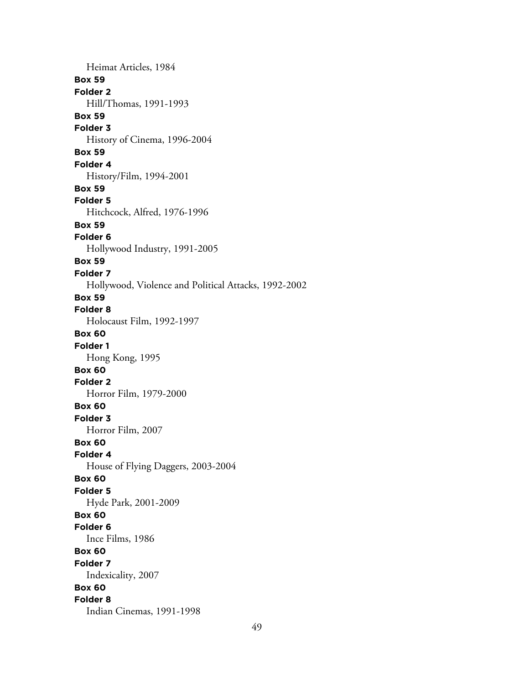Heimat Articles, 1984 **Box 59 Folder 2** Hill/Thomas, 1991-1993 **Box 59 Folder 3** History of Cinema, 1996-2004 **Box 59 Folder 4** History/Film, 1994-2001 **Box 59 Folder 5** Hitchcock, Alfred, 1976-1996 **Box 59 Folder 6** Hollywood Industry, 1991-2005 **Box 59 Folder 7** Hollywood, Violence and Political Attacks, 1992-2002 **Box 59 Folder 8** Holocaust Film, 1992-1997 **Box 60 Folder 1** Hong Kong, 1995 **Box 60 Folder 2** Horror Film, 1979-2000 **Box 60 Folder 3** Horror Film, 2007 **Box 60 Folder 4** House of Flying Daggers, 2003-2004 **Box 60 Folder 5** Hyde Park, 2001-2009 **Box 60 Folder 6** Ince Films, 1986 **Box 60 Folder 7** Indexicality, 2007 **Box 60 Folder 8** Indian Cinemas, 1991-1998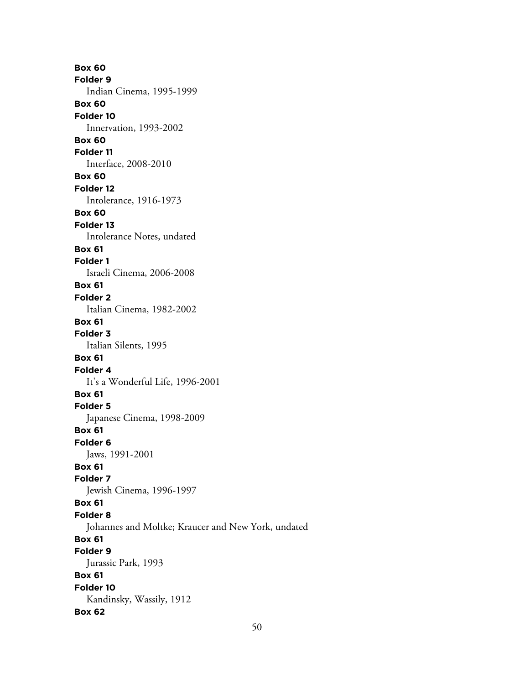**Box 60 Folder 9** Indian Cinema, 1995-1999 **Box 60 Folder 10** Innervation, 1993-2002 **Box 60 Folder 11** Interface, 2008-2010 **Box 60 Folder 12** Intolerance, 1916-1973 **Box 60 Folder 13** Intolerance Notes, undated **Box 61 Folder 1** Israeli Cinema, 2006-2008 **Box 61 Folder 2** Italian Cinema, 1982-2002 **Box 61 Folder 3** Italian Silents, 1995 **Box 61 Folder 4** It's a Wonderful Life, 1996-2001 **Box 61 Folder 5** Japanese Cinema, 1998-2009 **Box 61 Folder 6** Jaws, 1991-2001 **Box 61 Folder 7** Jewish Cinema, 1996-1997 **Box 61 Folder 8** Johannes and Moltke; Kraucer and New York, undated **Box 61 Folder 9** Jurassic Park, 1993 **Box 61 Folder 10** Kandinsky, Wassily, 1912 **Box 62**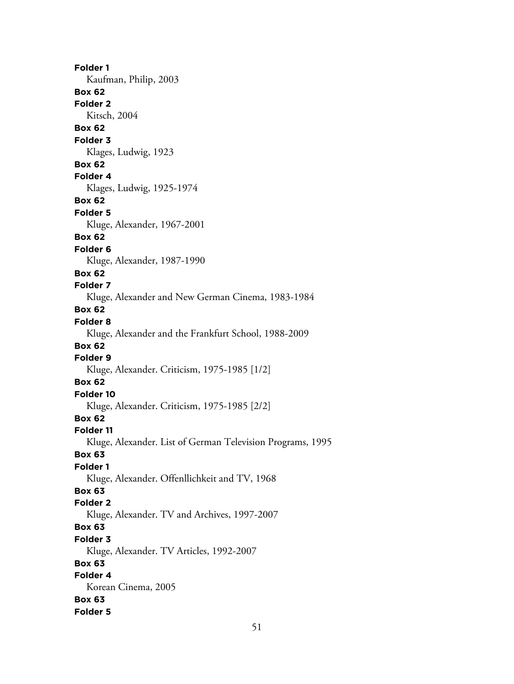**Folder 1** Kaufman, Philip, 2003 **Box 62 Folder 2** Kitsch, 2004 **Box 62 Folder 3** Klages, Ludwig, 1923 **Box 62 Folder 4** Klages, Ludwig, 1925-1974 **Box 62 Folder 5** Kluge, Alexander, 1967-2001 **Box 62 Folder 6** Kluge, Alexander, 1987-1990 **Box 62 Folder 7** Kluge, Alexander and New German Cinema, 1983-1984 **Box 62 Folder 8** Kluge, Alexander and the Frankfurt School, 1988-2009 **Box 62 Folder 9** Kluge, Alexander. Criticism, 1975-1985 [1/2] **Box 62 Folder 10** Kluge, Alexander. Criticism, 1975-1985 [2/2] **Box 62 Folder 11** Kluge, Alexander. List of German Television Programs, 1995 **Box 63 Folder 1** Kluge, Alexander. Offenllichkeit and TV, 1968 **Box 63 Folder 2** Kluge, Alexander. TV and Archives, 1997-2007 **Box 63 Folder 3** Kluge, Alexander. TV Articles, 1992-2007 **Box 63 Folder 4** Korean Cinema, 2005 **Box 63 Folder 5**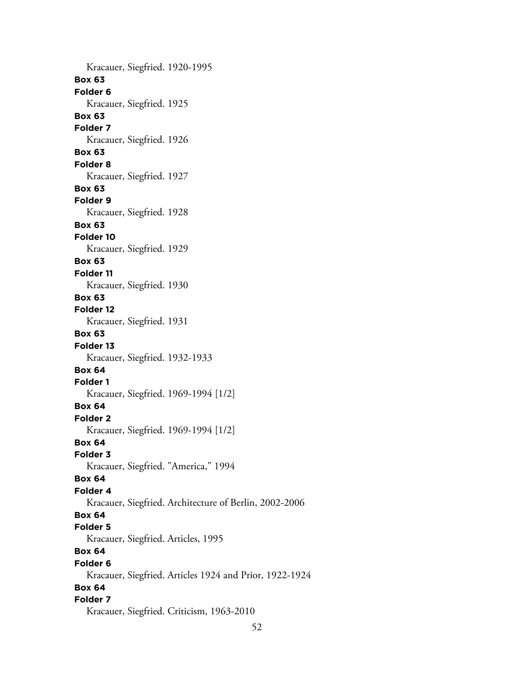Kracauer, Siegfried. 1920-1995 **Box 63 Folder 6** Kracauer, Siegfried. 1925 **Box 63 Folder 7** Kracauer, Siegfried. 1926 **Box 63 Folder 8** Kracauer, Siegfried. 1927 **Box 63 Folder 9** Kracauer, Siegfried. 1928 **Box 63 Folder 10** Kracauer, Siegfried. 1929 **Box 63 Folder 11** Kracauer, Siegfried. 1930 **Box 63 Folder 12** Kracauer, Siegfried. 1931 **Box 63 Folder 13** Kracauer, Siegfried. 1932-1933 **Box 64 Folder 1** Kracauer, Siegfried. 1969-1994 [1/2] **Box 64 Folder 2** Kracauer, Siegfried. 1969-1994 [1/2] **Box 64 Folder 3** Kracauer, Siegfried. "America," 1994 **Box 64 Folder 4** Kracauer, Siegfried. Architecture of Berlin, 2002-2006 **Box 64 Folder 5** Kracauer, Siegfried. Articles, 1995 **Box 64 Folder 6** Kracauer, Siegfried. Articles 1924 and Prior, 1922-1924 **Box 64 Folder 7** Kracauer, Siegfried. Criticism, 1963-2010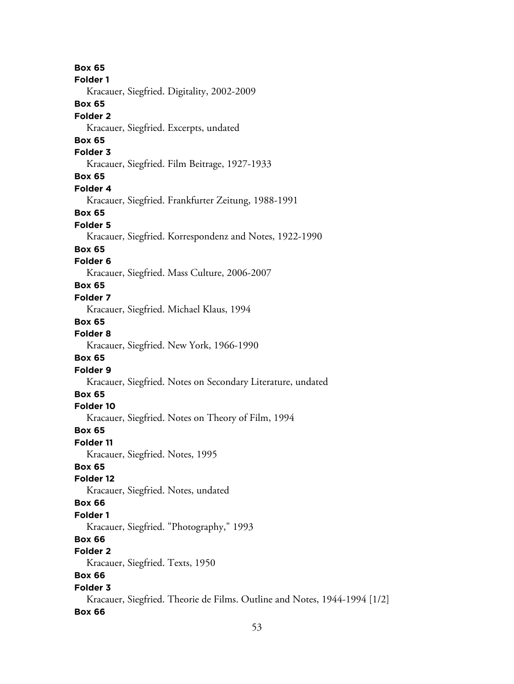**Box 65 Folder 1** Kracauer, Siegfried. Digitality, 2002-2009 **Box 65 Folder 2** Kracauer, Siegfried. Excerpts, undated **Box 65 Folder 3** Kracauer, Siegfried. Film Beitrage, 1927-1933 **Box 65 Folder 4** Kracauer, Siegfried. Frankfurter Zeitung, 1988-1991 **Box 65 Folder 5** Kracauer, Siegfried. Korrespondenz and Notes, 1922-1990 **Box 65 Folder 6** Kracauer, Siegfried. Mass Culture, 2006-2007 **Box 65 Folder 7** Kracauer, Siegfried. Michael Klaus, 1994 **Box 65 Folder 8** Kracauer, Siegfried. New York, 1966-1990 **Box 65 Folder 9** Kracauer, Siegfried. Notes on Secondary Literature, undated **Box 65 Folder 10** Kracauer, Siegfried. Notes on Theory of Film, 1994 **Box 65 Folder 11** Kracauer, Siegfried. Notes, 1995 **Box 65 Folder 12** Kracauer, Siegfried. Notes, undated **Box 66 Folder 1** Kracauer, Siegfried. "Photography," 1993 **Box 66 Folder 2** Kracauer, Siegfried. Texts, 1950 **Box 66 Folder 3** Kracauer, Siegfried. Theorie de Films. Outline and Notes, 1944-1994 [1/2] **Box 66**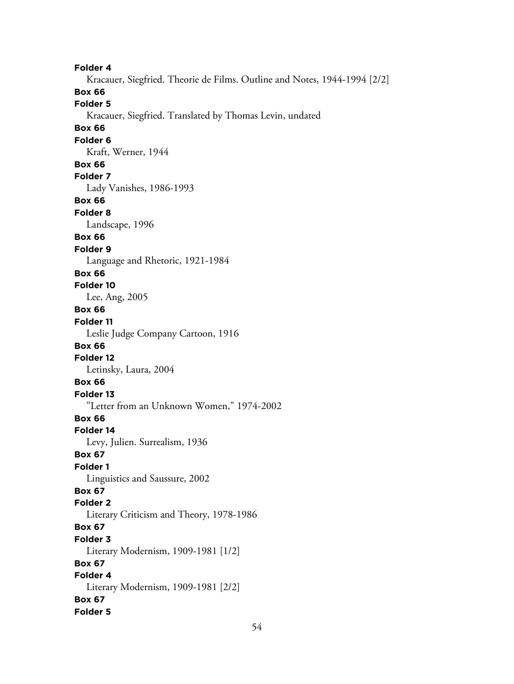**Folder 4** Kracauer, Siegfried. Theorie de Films. Outline and Notes, 1944-1994 [2/2] **Box 66 Folder 5** Kracauer, Siegfried. Translated by Thomas Levin, undated **Box 66 Folder 6** Kraft, Werner, 1944 **Box 66 Folder 7** Lady Vanishes, 1986-1993 **Box 66 Folder 8** Landscape, 1996 **Box 66 Folder 9** Language and Rhetoric, 1921-1984 **Box 66 Folder 10** Lee, Ang, 2005 **Box 66 Folder 11** Leslie Judge Company Cartoon, 1916 **Box 66 Folder 12** Letinsky, Laura, 2004 **Box 66 Folder 13** "Letter from an Unknown Women," 1974-2002 **Box 66 Folder 14** Levy, Julien. Surrealism, 1936 **Box 67 Folder 1** Linguistics and Saussure, 2002 **Box 67 Folder 2** Literary Criticism and Theory, 1978-1986 **Box 67 Folder 3** Literary Modernism, 1909-1981 [1/2] **Box 67 Folder 4** Literary Modernism, 1909-1981 [2/2] **Box 67 Folder 5**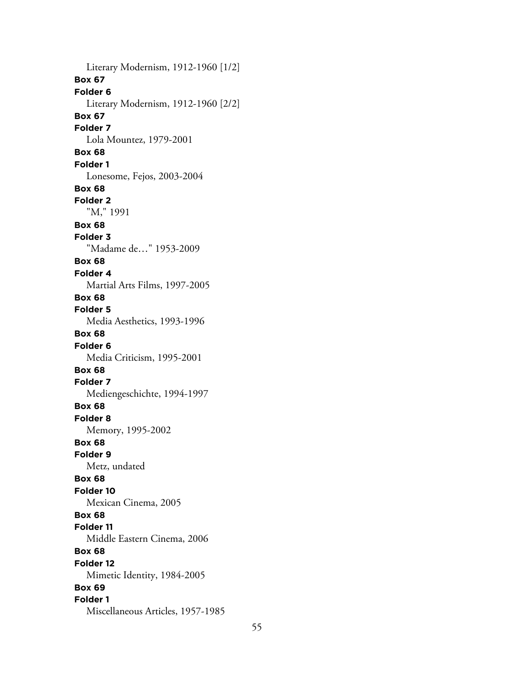Literary Modernism, 1912-1960 [1/2] **Box 67 Folder 6** Literary Modernism, 1912-1960 [2/2] **Box 67 Folder 7** Lola Mountez, 1979-2001 **Box 68 Folder 1** Lonesome, Fejos, 2003-2004 **Box 68 Folder 2** "M," 1991 **Box 68 Folder 3** "Madame de…" 1953-2009 **Box 68 Folder 4** Martial Arts Films, 1997-2005 **Box 68 Folder 5** Media Aesthetics, 1993-1996 **Box 68 Folder 6** Media Criticism, 1995-2001 **Box 68 Folder 7** Mediengeschichte, 1994-1997 **Box 68 Folder 8** Memory, 1995-2002 **Box 68 Folder 9** Metz, undated **Box 68 Folder 10** Mexican Cinema, 2005 **Box 68 Folder 11** Middle Eastern Cinema, 2006 **Box 68 Folder 12** Mimetic Identity, 1984-2005 **Box 69 Folder 1** Miscellaneous Articles, 1957-1985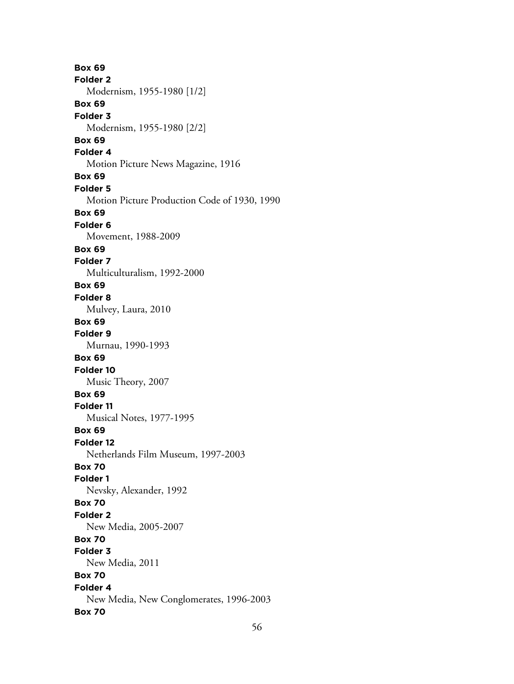**Box 69 Folder 2** Modernism, 1955-1980 [1/2] **Box 69 Folder 3** Modernism, 1955-1980 [2/2] **Box 69 Folder 4** Motion Picture News Magazine, 1916 **Box 69 Folder 5** Motion Picture Production Code of 1930, 1990 **Box 69 Folder 6** Movement, 1988-2009 **Box 69 Folder 7** Multiculturalism, 1992-2000 **Box 69 Folder 8** Mulvey, Laura, 2010 **Box 69 Folder 9** Murnau, 1990-1993 **Box 69 Folder 10** Music Theory, 2007 **Box 69 Folder 11** Musical Notes, 1977-1995 **Box 69 Folder 12** Netherlands Film Museum, 1997-2003 **Box 70 Folder 1** Nevsky, Alexander, 1992 **Box 70 Folder 2** New Media, 2005-2007 **Box 70 Folder 3** New Media, 2011 **Box 70 Folder 4** New Media, New Conglomerates, 1996-2003 **Box 70**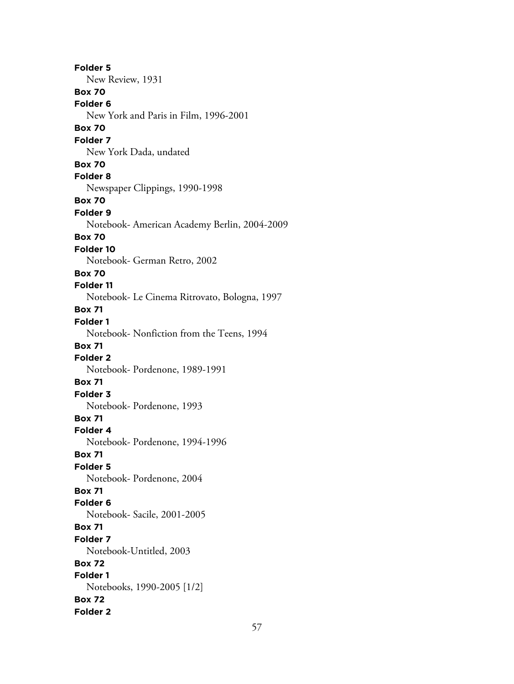**Folder 5** New Review, 1931 **Box 70 Folder 6** New York and Paris in Film, 1996-2001 **Box 70 Folder 7** New York Dada, undated **Box 70 Folder 8** Newspaper Clippings, 1990-1998 **Box 70 Folder 9** Notebook- American Academy Berlin, 2004-2009 **Box 70 Folder 10** Notebook- German Retro, 2002 **Box 70 Folder 11** Notebook- Le Cinema Ritrovato, Bologna, 1997 **Box 71 Folder 1** Notebook- Nonfiction from the Teens, 1994 **Box 71 Folder 2** Notebook- Pordenone, 1989-1991 **Box 71 Folder 3** Notebook- Pordenone, 1993 **Box 71 Folder 4** Notebook- Pordenone, 1994-1996 **Box 71 Folder 5** Notebook- Pordenone, 2004 **Box 71 Folder 6** Notebook- Sacile, 2001-2005 **Box 71 Folder 7** Notebook-Untitled, 2003 **Box 72 Folder 1** Notebooks, 1990-2005 [1/2] **Box 72 Folder 2**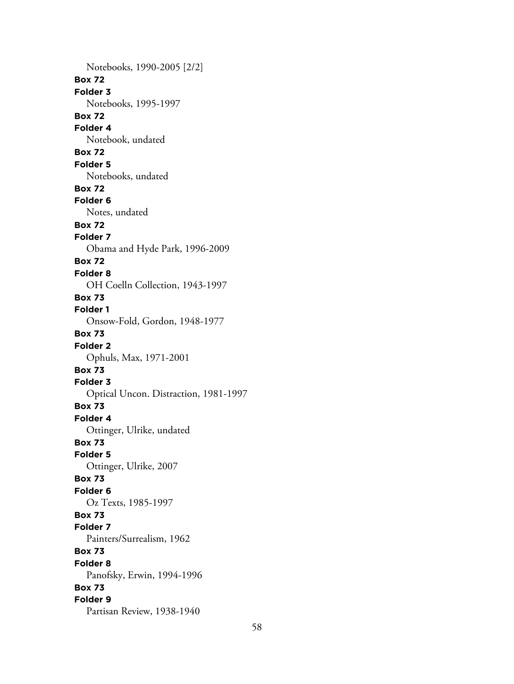Notebooks, 1990-2005 [2/2] **Box 72 Folder 3** Notebooks, 1995-1997 **Box 72 Folder 4** Notebook, undated **Box 72 Folder 5** Notebooks, undated **Box 72 Folder 6** Notes, undated **Box 72 Folder 7** Obama and Hyde Park, 1996-2009 **Box 72 Folder 8** OH Coelln Collection, 1943-1997 **Box 73 Folder 1** Onsow-Fold, Gordon, 1948-1977 **Box 73 Folder 2** Ophuls, Max, 1971-2001 **Box 73 Folder 3** Optical Uncon. Distraction, 1981-1997 **Box 73 Folder 4** Ottinger, Ulrike, undated **Box 73 Folder 5** Ottinger, Ulrike, 2007 **Box 73 Folder 6** Oz Texts, 1985-1997 **Box 73 Folder 7** Painters/Surrealism, 1962 **Box 73 Folder 8** Panofsky, Erwin, 1994-1996 **Box 73 Folder 9** Partisan Review, 1938-1940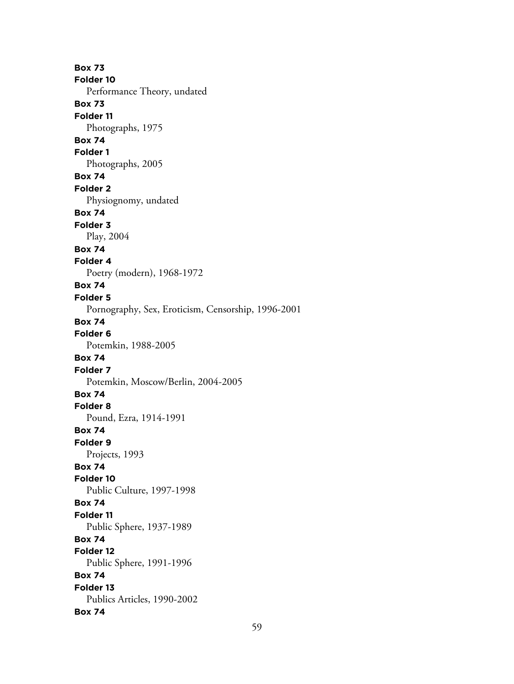**Box 73 Folder 10** Performance Theory, undated **Box 73 Folder 11** Photographs, 1975 **Box 74 Folder 1** Photographs, 2005 **Box 74 Folder 2** Physiognomy, undated **Box 74 Folder 3** Play, 2004 **Box 74 Folder 4** Poetry (modern), 1968-1972 **Box 74 Folder 5** Pornography, Sex, Eroticism, Censorship, 1996-2001 **Box 74 Folder 6** Potemkin, 1988-2005 **Box 74 Folder 7** Potemkin, Moscow/Berlin, 2004-2005 **Box 74 Folder 8** Pound, Ezra, 1914-1991 **Box 74 Folder 9** Projects, 1993 **Box 74 Folder 10** Public Culture, 1997-1998 **Box 74 Folder 11** Public Sphere, 1937-1989 **Box 74 Folder 12** Public Sphere, 1991-1996 **Box 74 Folder 13** Publics Articles, 1990-2002 **Box 74**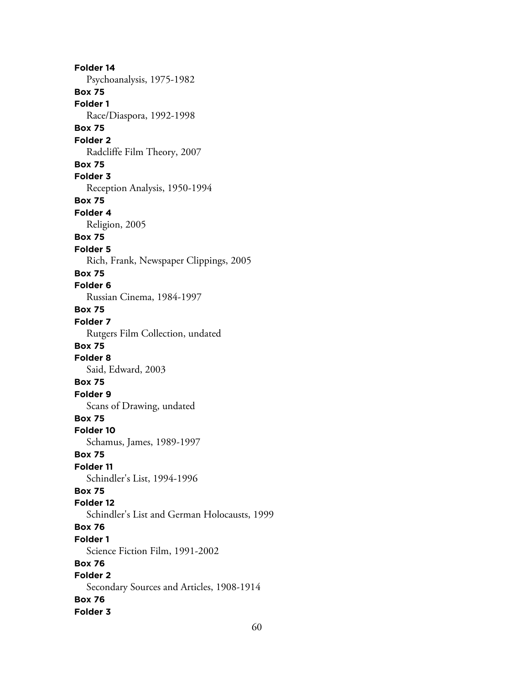**Folder 14** Psychoanalysis, 1975-1982 **Box 75 Folder 1** Race/Diaspora, 1992-1998 **Box 75 Folder 2** Radcliffe Film Theory, 2007 **Box 75 Folder 3** Reception Analysis, 1950-1994 **Box 75 Folder 4** Religion, 2005 **Box 75 Folder 5** Rich, Frank, Newspaper Clippings, 2005 **Box 75 Folder 6** Russian Cinema, 1984-1997 **Box 75 Folder 7** Rutgers Film Collection, undated **Box 75 Folder 8** Said, Edward, 2003 **Box 75 Folder 9** Scans of Drawing, undated **Box 75 Folder 10** Schamus, James, 1989-1997 **Box 75 Folder 11** Schindler's List, 1994-1996 **Box 75 Folder 12** Schindler's List and German Holocausts, 1999 **Box 76 Folder 1** Science Fiction Film, 1991-2002 **Box 76 Folder 2** Secondary Sources and Articles, 1908-1914 **Box 76 Folder 3**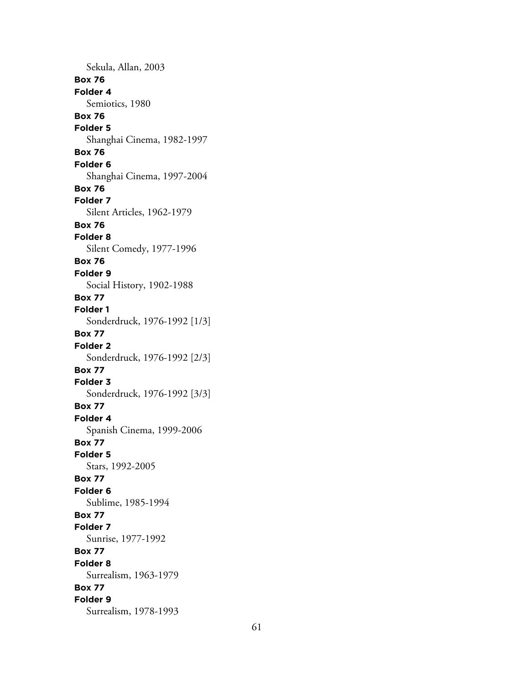Sekula, Allan, 2003 **Box 76 Folder 4** Semiotics, 1980 **Box 76 Folder 5** Shanghai Cinema, 1982-1997 **Box 76 Folder 6** Shanghai Cinema, 1997-2004 **Box 76 Folder 7** Silent Articles, 1962-1979 **Box 76 Folder 8** Silent Comedy, 1977-1996 **Box 76 Folder 9** Social History, 1902-1988 **Box 77 Folder 1** Sonderdruck, 1976-1992 [1/3] **Box 77 Folder 2** Sonderdruck, 1976-1992 [2/3] **Box 77 Folder 3** Sonderdruck, 1976-1992 [3/3] **Box 77 Folder 4** Spanish Cinema, 1999-2006 **Box 77 Folder 5** Stars, 1992-2005 **Box 77 Folder 6** Sublime, 1985-1994 **Box 77 Folder 7** Sunrise, 1977-1992 **Box 77 Folder 8** Surrealism, 1963-1979 **Box 77 Folder 9** Surrealism, 1978-1993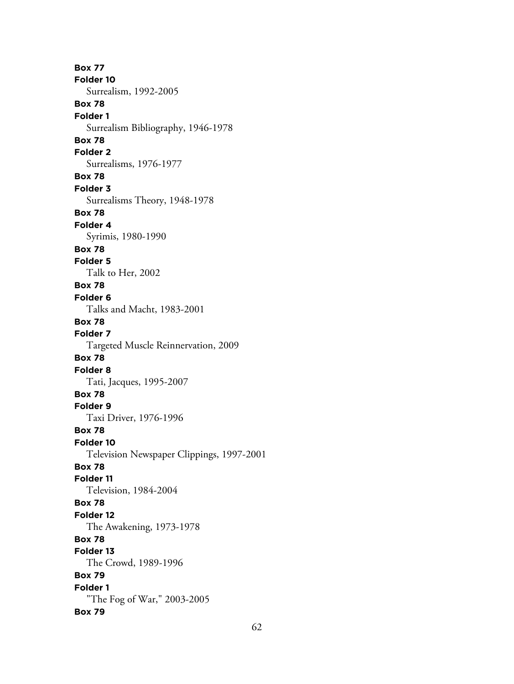**Box 77 Folder 10** Surrealism, 1992-2005 **Box 78 Folder 1** Surrealism Bibliography, 1946-1978 **Box 78 Folder 2** Surrealisms, 1976-1977 **Box 78 Folder 3** Surrealisms Theory, 1948-1978 **Box 78 Folder 4** Syrimis, 1980-1990 **Box 78 Folder 5** Talk to Her, 2002 **Box 78 Folder 6** Talks and Macht, 1983-2001 **Box 78 Folder 7** Targeted Muscle Reinnervation, 2009 **Box 78 Folder 8** Tati, Jacques, 1995-2007 **Box 78 Folder 9** Taxi Driver, 1976-1996 **Box 78 Folder 10** Television Newspaper Clippings, 1997-2001 **Box 78 Folder 11** Television, 1984-2004 **Box 78 Folder 12** The Awakening, 1973-1978 **Box 78 Folder 13** The Crowd, 1989-1996 **Box 79 Folder 1** "The Fog of War," 2003-2005 **Box 79**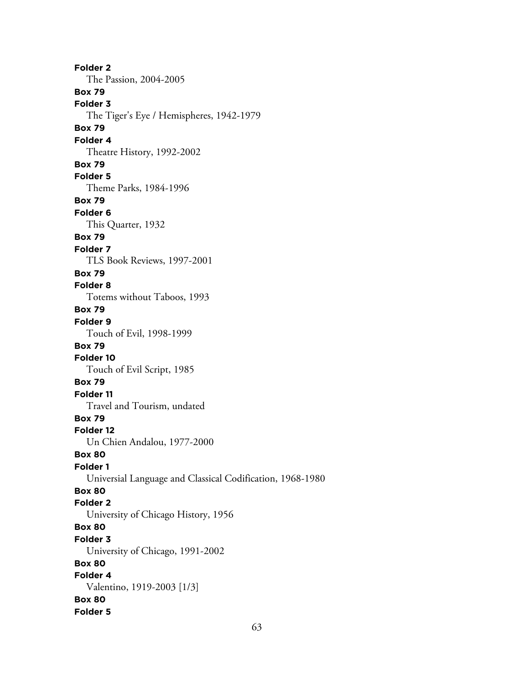**Folder 2** The Passion, 2004-2005 **Box 79 Folder 3** The Tiger's Eye / Hemispheres, 1942-1979 **Box 79 Folder 4** Theatre History, 1992-2002 **Box 79 Folder 5** Theme Parks, 1984-1996 **Box 79 Folder 6** This Quarter, 1932 **Box 79 Folder 7** TLS Book Reviews, 1997-2001 **Box 79 Folder 8** Totems without Taboos, 1993 **Box 79 Folder 9** Touch of Evil, 1998-1999 **Box 79 Folder 10** Touch of Evil Script, 1985 **Box 79 Folder 11** Travel and Tourism, undated **Box 79 Folder 12** Un Chien Andalou, 1977-2000 **Box 80 Folder 1** Universial Language and Classical Codification, 1968-1980 **Box 80 Folder 2** University of Chicago History, 1956 **Box 80 Folder 3** University of Chicago, 1991-2002 **Box 80 Folder 4** Valentino, 1919-2003 [1/3] **Box 80 Folder 5**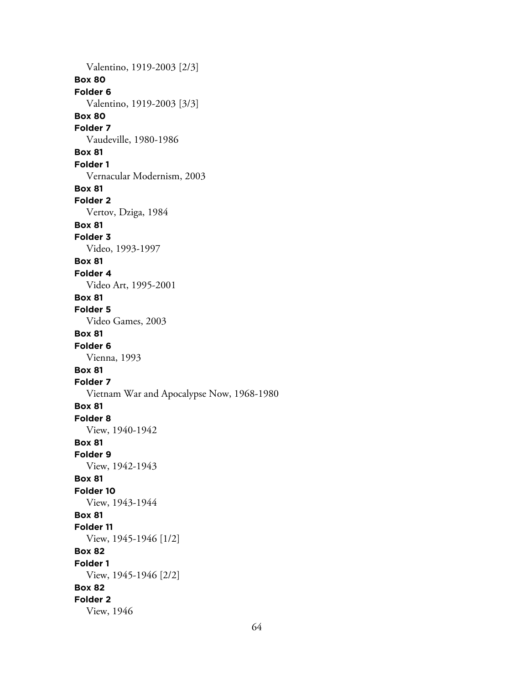Valentino, 1919-2003 [2/3] **Box 80 Folder 6** Valentino, 1919-2003 [3/3] **Box 80 Folder 7** Vaudeville, 1980-1986 **Box 81 Folder 1** Vernacular Modernism, 2003 **Box 81 Folder 2** Vertov, Dziga, 1984 **Box 81 Folder 3** Video, 1993-1997 **Box 81 Folder 4** Video Art, 1995-2001 **Box 81 Folder 5** Video Games, 2003 **Box 81 Folder 6** Vienna, 1993 **Box 81 Folder 7** Vietnam War and Apocalypse Now, 1968-1980 **Box 81 Folder 8** View, 1940-1942 **Box 81 Folder 9** View, 1942-1943 **Box 81 Folder 10** View, 1943-1944 **Box 81 Folder 11** View, 1945-1946 [1/2] **Box 82 Folder 1** View, 1945-1946 [2/2] **Box 82 Folder 2** View, 1946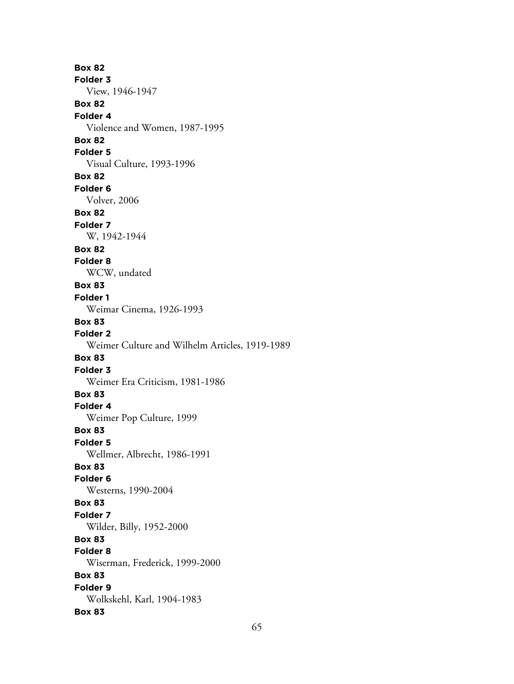**Box 82 Folder 3** View, 1946-1947 **Box 82 Folder 4** Violence and Women, 1987-1995 **Box 82 Folder 5** Visual Culture, 1993-1996 **Box 82 Folder 6** Volver, 2006 **Box 82 Folder 7** W, 1942-1944 **Box 82 Folder 8** WCW, undated **Box 83 Folder 1** Weimar Cinema, 1926-1993 **Box 83 Folder 2** Weimer Culture and Wilhelm Articles, 1919-1989 **Box 83 Folder 3** Weimer Era Criticism, 1981-1986 **Box 83 Folder 4** Weimer Pop Culture, 1999 **Box 83 Folder 5** Wellmer, Albrecht, 1986-1991 **Box 83 Folder 6** Westerns, 1990-2004 **Box 83 Folder 7** Wilder, Billy, 1952-2000 **Box 83 Folder 8** Wiserman, Frederick, 1999-2000 **Box 83 Folder 9** Wolkskehl, Karl, 1904-1983 **Box 83**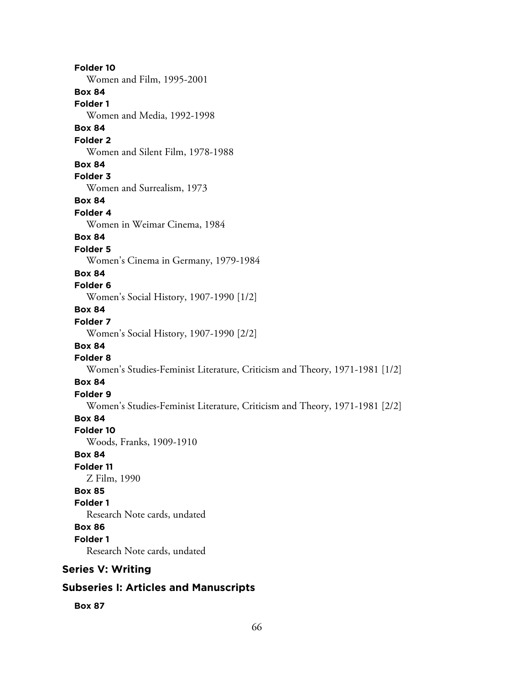**Folder 10** Women and Film, 1995-2001 **Box 84 Folder 1** Women and Media, 1992-1998 **Box 84 Folder 2** Women and Silent Film, 1978-1988 **Box 84 Folder 3** Women and Surrealism, 1973 **Box 84 Folder 4** Women in Weimar Cinema, 1984 **Box 84 Folder 5** Women's Cinema in Germany, 1979-1984 **Box 84 Folder 6** Women's Social History, 1907-1990 [1/2] **Box 84 Folder 7** Women's Social History, 1907-1990 [2/2] **Box 84 Folder 8** Women's Studies-Feminist Literature, Criticism and Theory, 1971-1981 [1/2] **Box 84 Folder 9** Women's Studies-Feminist Literature, Criticism and Theory, 1971-1981 [2/2] **Box 84 Folder 10** Woods, Franks, 1909-1910 **Box 84 Folder 11** Z Film, 1990 **Box 85 Folder 1** Research Note cards, undated **Box 86 Folder 1** Research Note cards, undated **Series V: Writing**

## **Subseries I: Articles and Manuscripts**

**Box 87**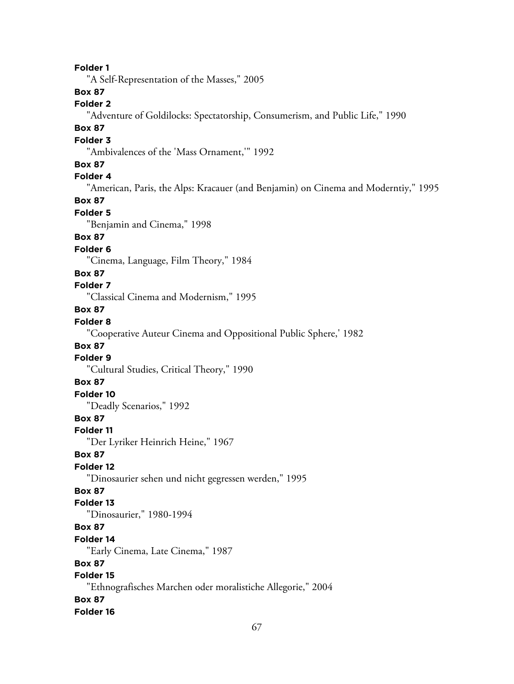**Folder 1** "A Self-Representation of the Masses," 2005 **Box 87 Folder 2** "Adventure of Goldilocks: Spectatorship, Consumerism, and Public Life," 1990 **Box 87 Folder 3** "Ambivalences of the 'Mass Ornament,'" 1992 **Box 87 Folder 4** "American, Paris, the Alps: Kracauer (and Benjamin) on Cinema and Moderntiy," 1995 **Box 87 Folder 5** "Benjamin and Cinema," 1998 **Box 87 Folder 6** "Cinema, Language, Film Theory," 1984 **Box 87 Folder 7** "Classical Cinema and Modernism," 1995 **Box 87 Folder 8** "Cooperative Auteur Cinema and Oppositional Public Sphere,' 1982 **Box 87 Folder 9** "Cultural Studies, Critical Theory," 1990 **Box 87 Folder 10** "Deadly Scenarios," 1992 **Box 87 Folder 11** "Der Lyriker Heinrich Heine," 1967 **Box 87 Folder 12** "Dinosaurier sehen und nicht gegressen werden," 1995 **Box 87 Folder 13** "Dinosaurier," 1980-1994 **Box 87 Folder 14** "Early Cinema, Late Cinema," 1987 **Box 87 Folder 15** "Ethnografisches Marchen oder moralistiche Allegorie," 2004 **Box 87 Folder 16**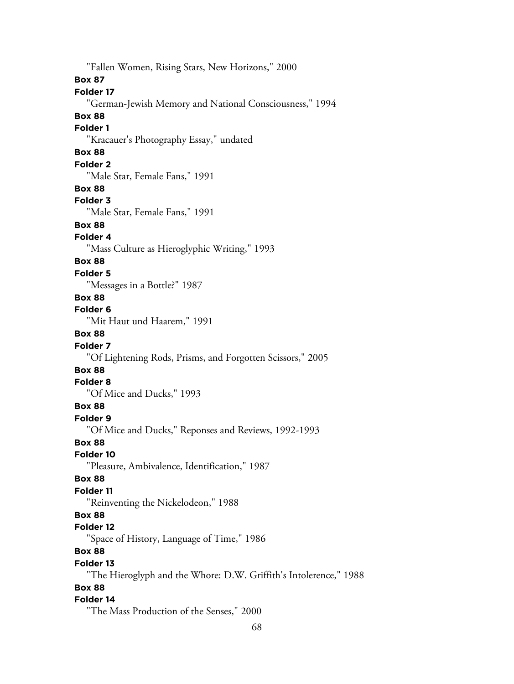"Fallen Women, Rising Stars, New Horizons," 2000 **Box 87 Folder 17** "German-Jewish Memory and National Consciousness," 1994 **Box 88 Folder 1** "Kracauer's Photography Essay," undated **Box 88 Folder 2** "Male Star, Female Fans," 1991 **Box 88 Folder 3** "Male Star, Female Fans," 1991 **Box 88 Folder 4** "Mass Culture as Hieroglyphic Writing," 1993 **Box 88 Folder 5** "Messages in a Bottle?" 1987 **Box 88 Folder 6** "Mit Haut und Haarem," 1991 **Box 88 Folder 7** "Of Lightening Rods, Prisms, and Forgotten Scissors," 2005 **Box 88 Folder 8** "Of Mice and Ducks," 1993 **Box 88 Folder 9** "Of Mice and Ducks," Reponses and Reviews, 1992-1993 **Box 88 Folder 10** "Pleasure, Ambivalence, Identification," 1987 **Box 88 Folder 11** "Reinventing the Nickelodeon," 1988 **Box 88 Folder 12** "Space of History, Language of Time," 1986 **Box 88 Folder 13** "The Hieroglyph and the Whore: D.W. Griffith's Intolerence," 1988 **Box 88 Folder 14** "The Mass Production of the Senses," 2000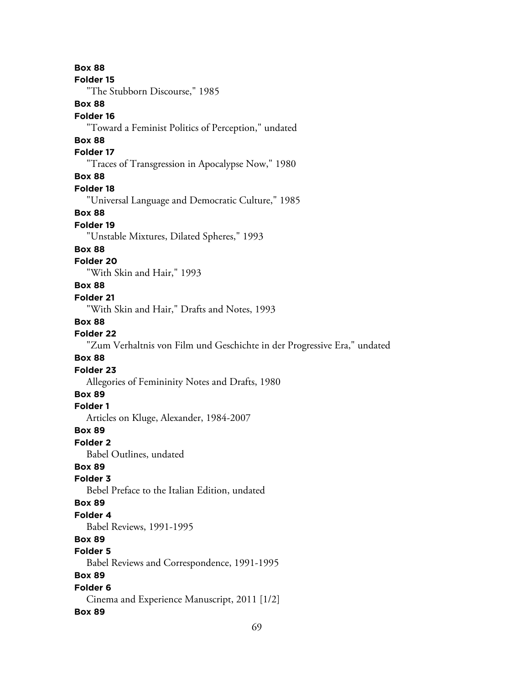69 **Box 88 Folder 15** "The Stubborn Discourse," 1985 **Box 88 Folder 16** "Toward a Feminist Politics of Perception," undated **Box 88 Folder 17** "Traces of Transgression in Apocalypse Now," 1980 **Box 88 Folder 18** "Universal Language and Democratic Culture," 1985 **Box 88 Folder 19** "Unstable Mixtures, Dilated Spheres," 1993 **Box 88 Folder 20** "With Skin and Hair," 1993 **Box 88 Folder 21** "With Skin and Hair," Drafts and Notes, 1993 **Box 88 Folder 22** "Zum Verhaltnis von Film und Geschichte in der Progressive Era," undated **Box 88 Folder 23** Allegories of Femininity Notes and Drafts, 1980 **Box 89 Folder 1** Articles on Kluge, Alexander, 1984-2007 **Box 89 Folder 2** Babel Outlines, undated **Box 89 Folder 3** Bebel Preface to the Italian Edition, undated **Box 89 Folder 4** Babel Reviews, 1991-1995 **Box 89 Folder 5** Babel Reviews and Correspondence, 1991-1995 **Box 89 Folder 6** Cinema and Experience Manuscript, 2011 [1/2] **Box 89**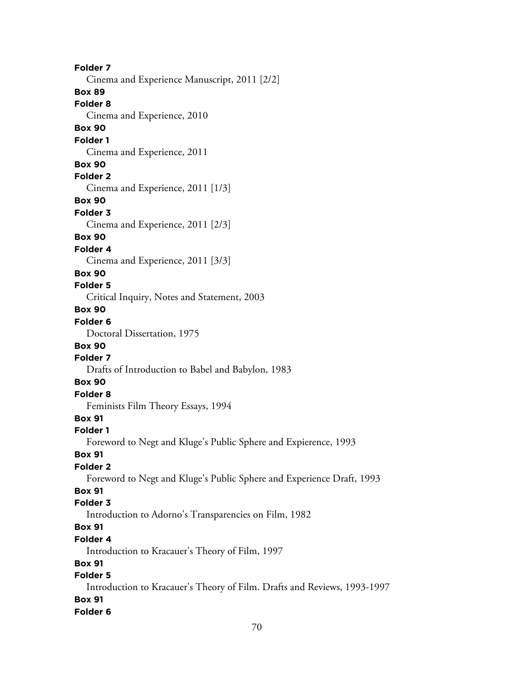**Folder 7** Cinema and Experience Manuscript, 2011 [2/2] **Box 89 Folder 8** Cinema and Experience, 2010 **Box 90 Folder 1** Cinema and Experience, 2011 **Box 90 Folder 2** Cinema and Experience, 2011 [1/3] **Box 90 Folder 3** Cinema and Experience, 2011 [2/3] **Box 90 Folder 4** Cinema and Experience, 2011 [3/3] **Box 90 Folder 5** Critical Inquiry, Notes and Statement, 2003 **Box 90 Folder 6** Doctoral Dissertation, 1975 **Box 90 Folder 7** Drafts of Introduction to Babel and Babylon, 1983 **Box 90 Folder 8** Feminists Film Theory Essays, 1994 **Box 91 Folder 1** Foreword to Negt and Kluge's Public Sphere and Expierence, 1993 **Box 91 Folder 2** Foreword to Negt and Kluge's Public Sphere and Experience Draft, 1993 **Box 91 Folder 3** Introduction to Adorno's Transparencies on Film, 1982 **Box 91 Folder 4** Introduction to Kracauer's Theory of Film, 1997 **Box 91 Folder 5** Introduction to Kracauer's Theory of Film. Drafts and Reviews, 1993-1997 **Box 91**

## **Folder 6**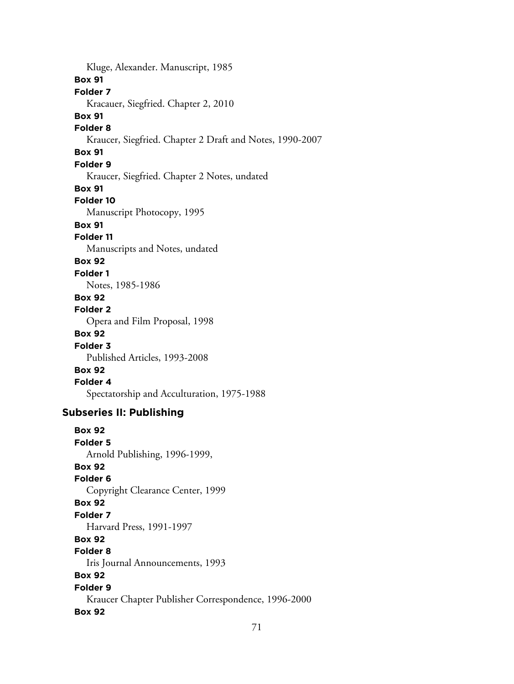Kluge, Alexander. Manuscript, 1985 **Box 91 Folder 7** Kracauer, Siegfried. Chapter 2, 2010 **Box 91 Folder 8** Kraucer, Siegfried. Chapter 2 Draft and Notes, 1990-2007 **Box 91 Folder 9** Kraucer, Siegfried. Chapter 2 Notes, undated **Box 91 Folder 10** Manuscript Photocopy, 1995 **Box 91 Folder 11** Manuscripts and Notes, undated **Box 92 Folder 1** Notes, 1985-1986 **Box 92 Folder 2** Opera and Film Proposal, 1998 **Box 92 Folder 3** Published Articles, 1993-2008 **Box 92 Folder 4** Spectatorship and Acculturation, 1975-1988 **Subseries II: Publishing Box 92 Folder 5** Arnold Publishing, 1996-1999, **Box 92 Folder 6** Copyright Clearance Center, 1999 **Box 92 Folder 7** Harvard Press, 1991-1997 **Box 92 Folder 8** Iris Journal Announcements, 1993 **Box 92 Folder 9**

Kraucer Chapter Publisher Correspondence, 1996-2000

## **Box 92**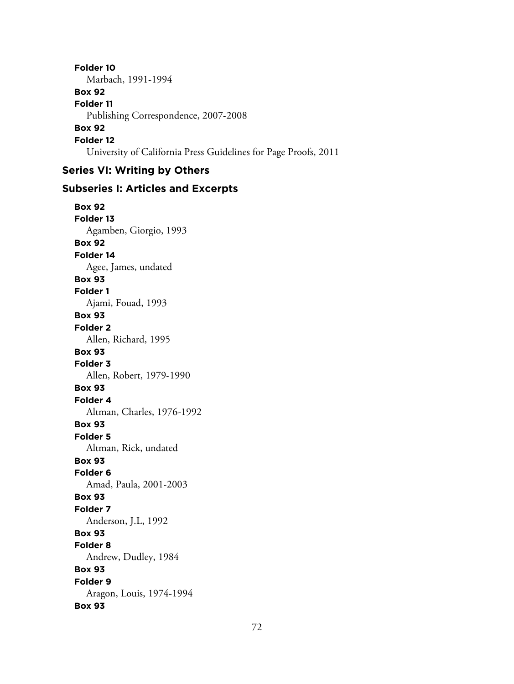**Folder 10** Marbach, 1991-1994 **Box 92 Folder 11** Publishing Correspondence, 2007-2008 **Box 92 Folder 12** University of California Press Guidelines for Page Proofs, 2011

# **Series VI: Writing by Others**

### **Subseries I: Articles and Excerpts**

**Box 92 Folder 13** Agamben, Giorgio, 1993 **Box 92 Folder 14** Agee, James, undated **Box 93 Folder 1** Ajami, Fouad, 1993 **Box 93 Folder 2** Allen, Richard, 1995 **Box 93 Folder 3** Allen, Robert, 1979-1990 **Box 93 Folder 4** Altman, Charles, 1976-1992 **Box 93 Folder 5** Altman, Rick, undated **Box 93 Folder 6** Amad, Paula, 2001-2003 **Box 93 Folder 7** Anderson, J.L, 1992 **Box 93 Folder 8** Andrew, Dudley, 1984 **Box 93 Folder 9** Aragon, Louis, 1974-1994 **Box 93**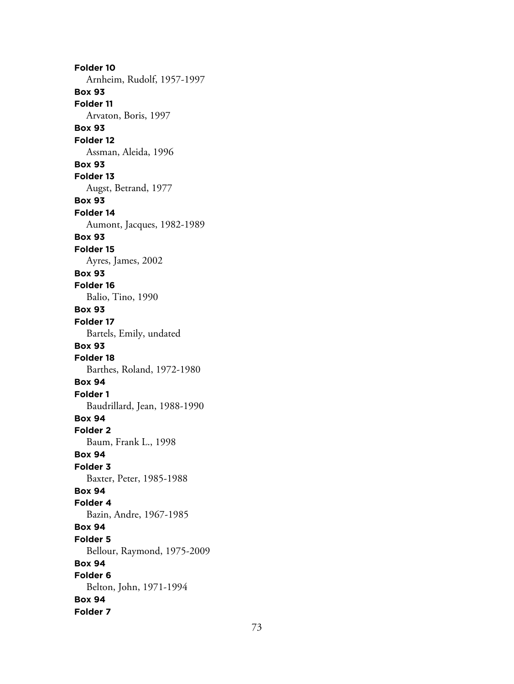**Folder 10** Arnheim, Rudolf, 1957-1997 **Box 93 Folder 11** Arvaton, Boris, 1997 **Box 93 Folder 12** Assman, Aleida, 1996 **Box 93 Folder 13** Augst, Betrand, 1977 **Box 93 Folder 14** Aumont, Jacques, 1982-1989 **Box 93 Folder 15** Ayres, James, 2002 **Box 93 Folder 16** Balio, Tino, 1990 **Box 93 Folder 17** Bartels, Emily, undated **Box 93 Folder 18** Barthes, Roland, 1972-1980 **Box 94 Folder 1** Baudrillard, Jean, 1988-1990 **Box 94 Folder 2** Baum, Frank L., 1998 **Box 94 Folder 3** Baxter, Peter, 1985-1988 **Box 94 Folder 4** Bazin, Andre, 1967-1985 **Box 94 Folder 5** Bellour, Raymond, 1975-2009 **Box 94 Folder 6** Belton, John, 1971-1994 **Box 94 Folder 7**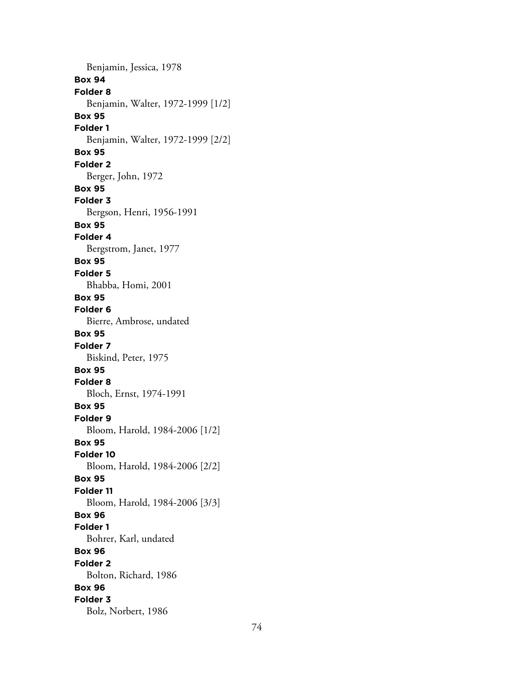Benjamin, Jessica, 1978 **Box 94 Folder 8** Benjamin, Walter, 1972-1999 [1/2] **Box 95 Folder 1** Benjamin, Walter, 1972-1999 [2/2] **Box 95 Folder 2** Berger, John, 1972 **Box 95 Folder 3** Bergson, Henri, 1956-1991 **Box 95 Folder 4** Bergstrom, Janet, 1977 **Box 95 Folder 5** Bhabba, Homi, 2001 **Box 95 Folder 6** Bierre, Ambrose, undated **Box 95 Folder 7** Biskind, Peter, 1975 **Box 95 Folder 8** Bloch, Ernst, 1974-1991 **Box 95 Folder 9** Bloom, Harold, 1984-2006 [1/2] **Box 95 Folder 10** Bloom, Harold, 1984-2006 [2/2] **Box 95 Folder 11** Bloom, Harold, 1984-2006 [3/3] **Box 96 Folder 1** Bohrer, Karl, undated **Box 96 Folder 2** Bolton, Richard, 1986 **Box 96 Folder 3** Bolz, Norbert, 1986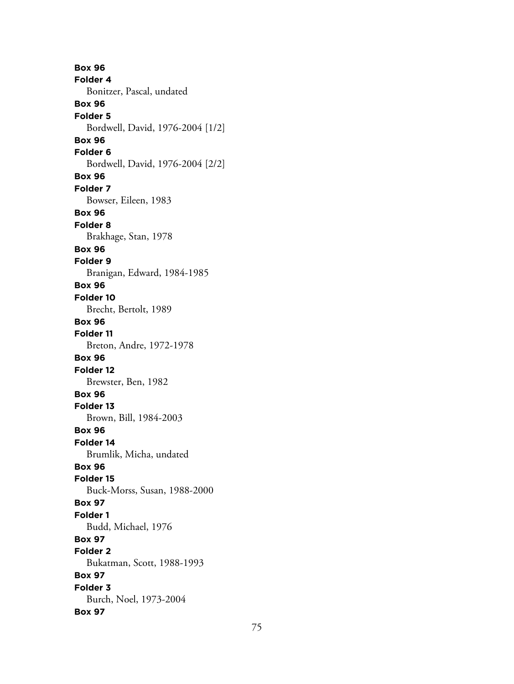**Box 96 Folder 4** Bonitzer, Pascal, undated **Box 96 Folder 5** Bordwell, David, 1976-2004 [1/2] **Box 96 Folder 6** Bordwell, David, 1976-2004 [2/2] **Box 96 Folder 7** Bowser, Eileen, 1983 **Box 96 Folder 8** Brakhage, Stan, 1978 **Box 96 Folder 9** Branigan, Edward, 1984-1985 **Box 96 Folder 10** Brecht, Bertolt, 1989 **Box 96 Folder 11** Breton, Andre, 1972-1978 **Box 96 Folder 12** Brewster, Ben, 1982 **Box 96 Folder 13** Brown, Bill, 1984-2003 **Box 96 Folder 14** Brumlik, Micha, undated **Box 96 Folder 15** Buck-Morss, Susan, 1988-2000 **Box 97 Folder 1** Budd, Michael, 1976 **Box 97 Folder 2** Bukatman, Scott, 1988-1993 **Box 97 Folder 3** Burch, Noel, 1973-2004 **Box 97**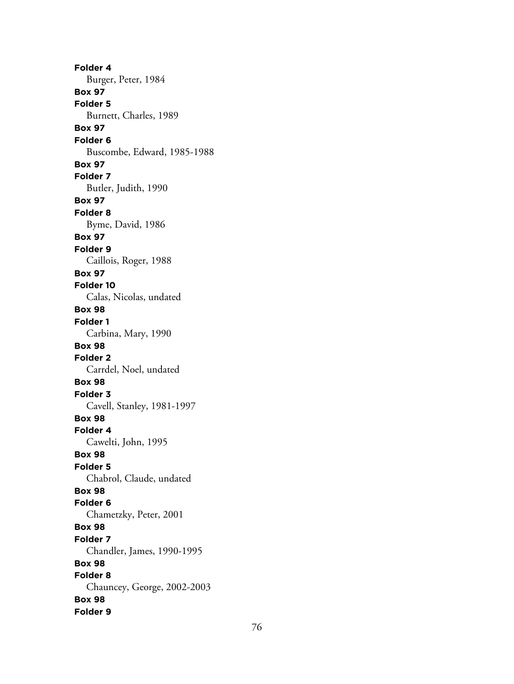**Folder 4** Burger, Peter, 1984 **Box 97 Folder 5** Burnett, Charles, 1989 **Box 97 Folder 6** Buscombe, Edward, 1985-1988 **Box 97 Folder 7** Butler, Judith, 1990 **Box 97 Folder 8** Byme, David, 1986 **Box 97 Folder 9** Caillois, Roger, 1988 **Box 97 Folder 10** Calas, Nicolas, undated **Box 98 Folder 1** Carbina, Mary, 1990 **Box 98 Folder 2** Carrdel, Noel, undated **Box 98 Folder 3** Cavell, Stanley, 1981-1997 **Box 98 Folder 4** Cawelti, John, 1995 **Box 98 Folder 5** Chabrol, Claude, undated **Box 98 Folder 6** Chametzky, Peter, 2001 **Box 98 Folder 7** Chandler, James, 1990-1995 **Box 98 Folder 8** Chauncey, George, 2002-2003 **Box 98 Folder 9**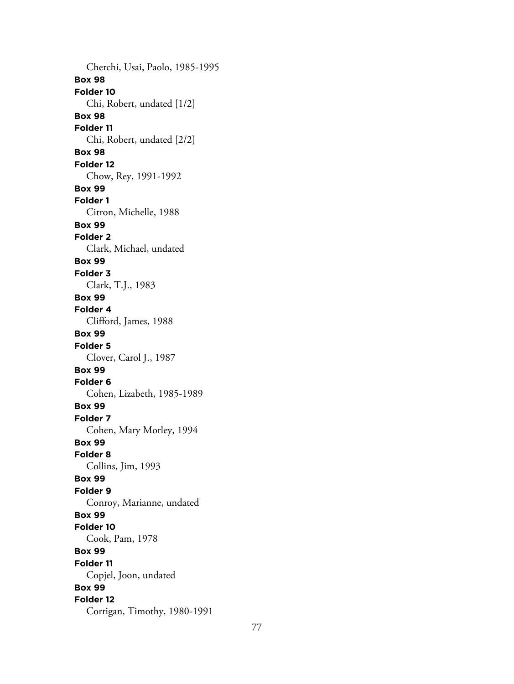Cherchi, Usai, Paolo, 1985-1995 **Box 98 Folder 10** Chi, Robert, undated [1/2] **Box 98 Folder 11** Chi, Robert, undated [2/2] **Box 98 Folder 12** Chow, Rey, 1991-1992 **Box 99 Folder 1** Citron, Michelle, 1988 **Box 99 Folder 2** Clark, Michael, undated **Box 99 Folder 3** Clark, T.J., 1983 **Box 99 Folder 4** Clifford, James, 1988 **Box 99 Folder 5** Clover, Carol J., 1987 **Box 99 Folder 6** Cohen, Lizabeth, 1985-1989 **Box 99 Folder 7** Cohen, Mary Morley, 1994 **Box 99 Folder 8** Collins, Jim, 1993 **Box 99 Folder 9** Conroy, Marianne, undated **Box 99 Folder 10** Cook, Pam, 1978 **Box 99 Folder 11** Copjel, Joon, undated **Box 99 Folder 12** Corrigan, Timothy, 1980-1991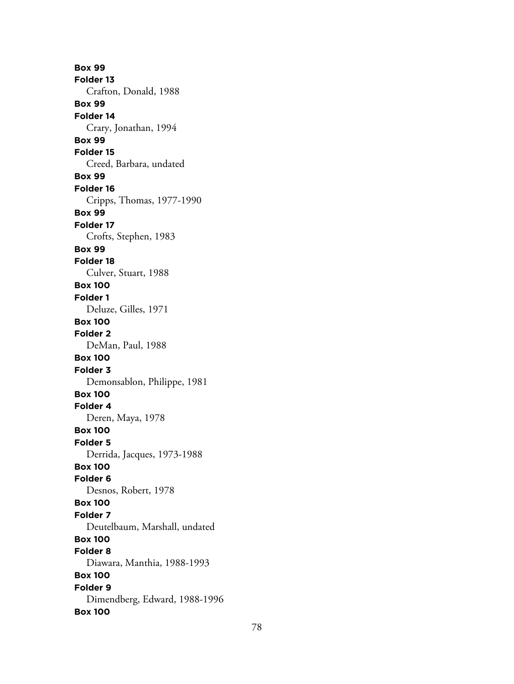**Box 99 Folder 13** Crafton, Donald, 1988 **Box 99 Folder 14** Crary, Jonathan, 1994 **Box 99 Folder 15** Creed, Barbara, undated **Box 99 Folder 16** Cripps, Thomas, 1977-1990 **Box 99 Folder 17** Crofts, Stephen, 1983 **Box 99 Folder 18** Culver, Stuart, 1988 **Box 100 Folder 1** Deluze, Gilles, 1971 **Box 100 Folder 2** DeMan, Paul, 1988 **Box 100 Folder 3** Demonsablon, Philippe, 1981 **Box 100 Folder 4** Deren, Maya, 1978 **Box 100 Folder 5** Derrida, Jacques, 1973-1988 **Box 100 Folder 6** Desnos, Robert, 1978 **Box 100 Folder 7** Deutelbaum, Marshall, undated **Box 100 Folder 8** Diawara, Manthia, 1988-1993 **Box 100 Folder 9** Dimendberg, Edward, 1988-1996 **Box 100**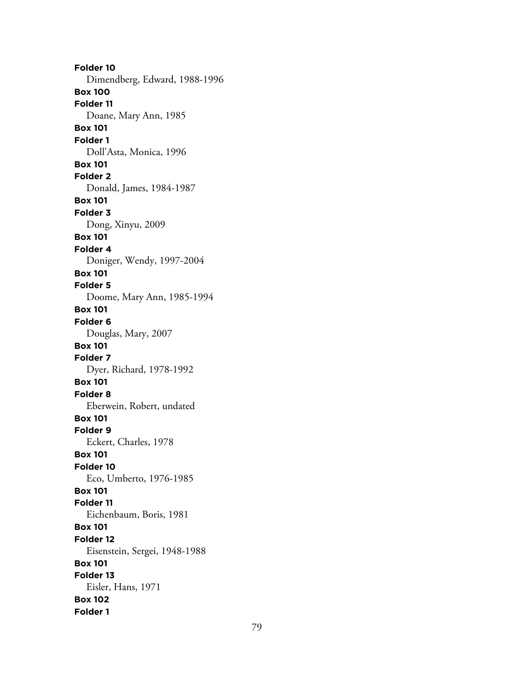**Folder 10** Dimendberg, Edward, 1988-1996 **Box 100 Folder 11** Doane, Mary Ann, 1985 **Box 101 Folder 1** Doll'Asta, Monica, 1996 **Box 101 Folder 2** Donald, James, 1984-1987 **Box 101 Folder 3** Dong, Xinyu, 2009 **Box 101 Folder 4** Doniger, Wendy, 1997-2004 **Box 101 Folder 5** Doome, Mary Ann, 1985-1994 **Box 101 Folder 6** Douglas, Mary, 2007 **Box 101 Folder 7** Dyer, Richard, 1978-1992 **Box 101 Folder 8** Eberwein, Robert, undated **Box 101 Folder 9** Eckert, Charles, 1978 **Box 101 Folder 10** Eco, Umberto, 1976-1985 **Box 101 Folder 11** Eichenbaum, Boris, 1981 **Box 101 Folder 12** Eisenstein, Sergei, 1948-1988 **Box 101 Folder 13** Eisler, Hans, 1971 **Box 102 Folder 1**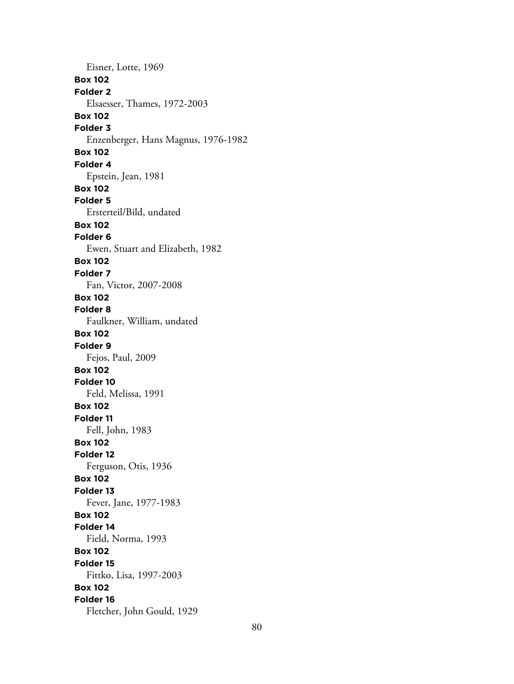Eisner, Lotte, 1969 **Box 102 Folder 2** Elsaesser, Thames, 1972-2003 **Box 102 Folder 3** Enzenberger, Hans Magnus, 1976-1982 **Box 102 Folder 4** Epstein, Jean, 1981 **Box 102 Folder 5** Ersterteil/Bild, undated **Box 102 Folder 6** Ewen, Stuart and Elizabeth, 1982 **Box 102 Folder 7** Fan, Victor, 2007-2008 **Box 102 Folder 8** Faulkner, William, undated **Box 102 Folder 9** Fejos, Paul, 2009 **Box 102 Folder 10** Feld, Melissa, 1991 **Box 102 Folder 11** Fell, John, 1983 **Box 102 Folder 12** Ferguson, Otis, 1936 **Box 102 Folder 13** Fever, Jane, 1977-1983 **Box 102 Folder 14** Field, Norma, 1993 **Box 102 Folder 15** Fittko, Lisa, 1997-2003 **Box 102 Folder 16** Fletcher, John Gould, 1929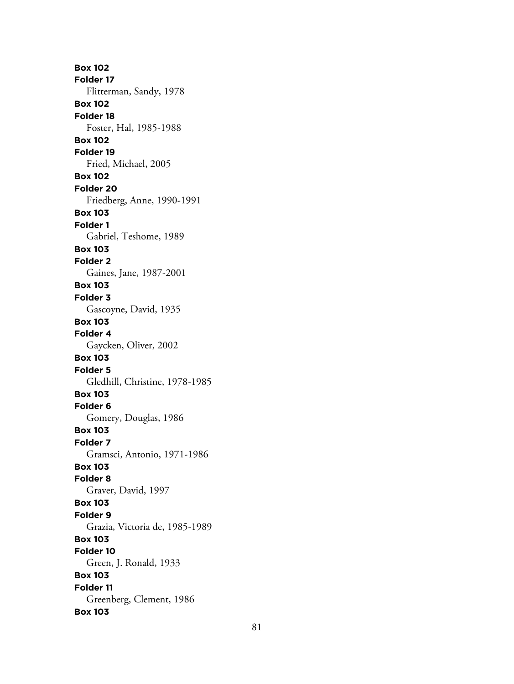**Box 102 Folder 17** Flitterman, Sandy, 1978 **Box 102 Folder 18** Foster, Hal, 1985-1988 **Box 102 Folder 19** Fried, Michael, 2005 **Box 102 Folder 20** Friedberg, Anne, 1990-1991 **Box 103 Folder 1** Gabriel, Teshome, 1989 **Box 103 Folder 2** Gaines, Jane, 1987-2001 **Box 103 Folder 3** Gascoyne, David, 1935 **Box 103 Folder 4** Gaycken, Oliver, 2002 **Box 103 Folder 5** Gledhill, Christine, 1978-1985 **Box 103 Folder 6** Gomery, Douglas, 1986 **Box 103 Folder 7** Gramsci, Antonio, 1971-1986 **Box 103 Folder 8** Graver, David, 1997 **Box 103 Folder 9** Grazia, Victoria de, 1985-1989 **Box 103 Folder 10** Green, J. Ronald, 1933 **Box 103 Folder 11** Greenberg, Clement, 1986 **Box 103**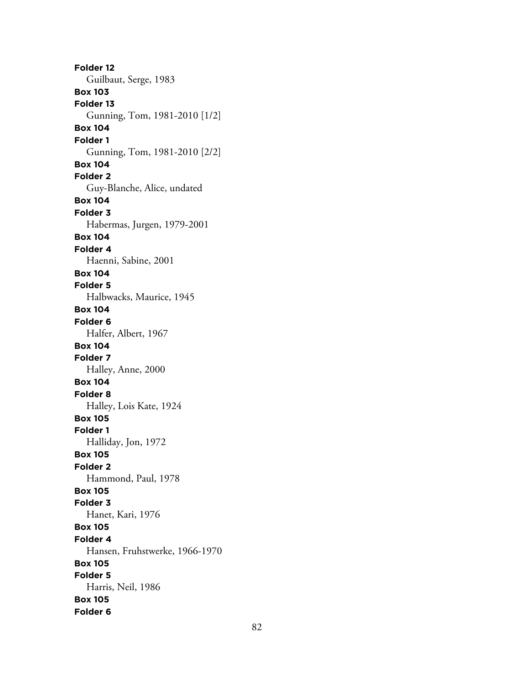**Folder 12** Guilbaut, Serge, 1983 **Box 103 Folder 13** Gunning, Tom, 1981-2010 [1/2] **Box 104 Folder 1** Gunning, Tom, 1981-2010 [2/2] **Box 104 Folder 2** Guy-Blanche, Alice, undated **Box 104 Folder 3** Habermas, Jurgen, 1979-2001 **Box 104 Folder 4** Haenni, Sabine, 2001 **Box 104 Folder 5** Halbwacks, Maurice, 1945 **Box 104 Folder 6** Halfer, Albert, 1967 **Box 104 Folder 7** Halley, Anne, 2000 **Box 104 Folder 8** Halley, Lois Kate, 1924 **Box 105 Folder 1** Halliday, Jon, 1972 **Box 105 Folder 2** Hammond, Paul, 1978 **Box 105 Folder 3** Hanet, Kari, 1976 **Box 105 Folder 4** Hansen, Fruhstwerke, 1966-1970 **Box 105 Folder 5** Harris, Neil, 1986 **Box 105 Folder 6**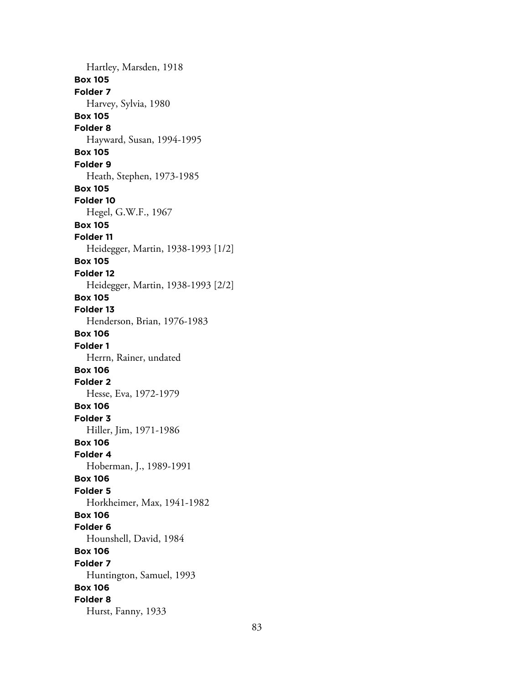Hartley, Marsden, 1918 **Box 105 Folder 7** Harvey, Sylvia, 1980 **Box 105 Folder 8** Hayward, Susan, 1994-1995 **Box 105 Folder 9** Heath, Stephen, 1973-1985 **Box 105 Folder 10** Hegel, G.W.F., 1967 **Box 105 Folder 11** Heidegger, Martin, 1938-1993 [1/2] **Box 105 Folder 12** Heidegger, Martin, 1938-1993 [2/2] **Box 105 Folder 13** Henderson, Brian, 1976-1983 **Box 106 Folder 1** Herrn, Rainer, undated **Box 106 Folder 2** Hesse, Eva, 1972-1979 **Box 106 Folder 3** Hiller, Jim, 1971-1986 **Box 106 Folder 4** Hoberman, J., 1989-1991 **Box 106 Folder 5** Horkheimer, Max, 1941-1982 **Box 106 Folder 6** Hounshell, David, 1984 **Box 106 Folder 7** Huntington, Samuel, 1993 **Box 106 Folder 8** Hurst, Fanny, 1933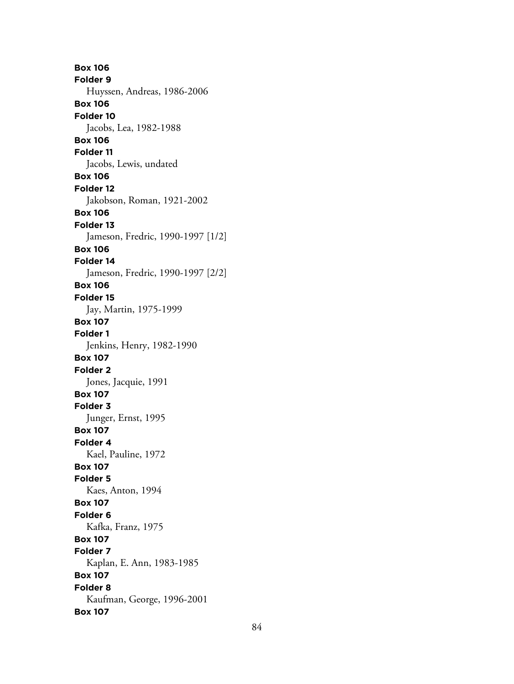**Box 106 Folder 9** Huyssen, Andreas, 1986-2006 **Box 106 Folder 10** Jacobs, Lea, 1982-1988 **Box 106 Folder 11** Jacobs, Lewis, undated **Box 106 Folder 12** Jakobson, Roman, 1921-2002 **Box 106 Folder 13** Jameson, Fredric, 1990-1997 [1/2] **Box 106 Folder 14** Jameson, Fredric, 1990-1997 [2/2] **Box 106 Folder 15** Jay, Martin, 1975-1999 **Box 107 Folder 1** Jenkins, Henry, 1982-1990 **Box 107 Folder 2** Jones, Jacquie, 1991 **Box 107 Folder 3** Junger, Ernst, 1995 **Box 107 Folder 4** Kael, Pauline, 1972 **Box 107 Folder 5** Kaes, Anton, 1994 **Box 107 Folder 6** Kafka, Franz, 1975 **Box 107 Folder 7** Kaplan, E. Ann, 1983-1985 **Box 107 Folder 8** Kaufman, George, 1996-2001 **Box 107**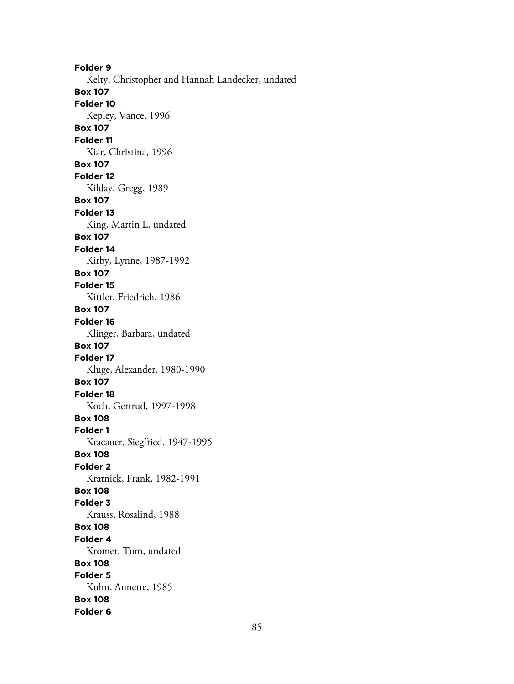**Folder 9** Kelty, Christopher and Hannah Landecker, undated **Box 107 Folder 10** Kepley, Vance, 1996 **Box 107 Folder 11** Kiar, Christina, 1996 **Box 107 Folder 12** Kilday, Gregg, 1989 **Box 107 Folder 13** King, Martin L, undated **Box 107 Folder 14** Kirby, Lynne, 1987-1992 **Box 107 Folder 15** Kittler, Friedrich, 1986 **Box 107 Folder 16** Klinger, Barbara, undated **Box 107 Folder 17** Kluge, Alexander, 1980-1990 **Box 107 Folder 18** Koch, Gertrud, 1997-1998 **Box 108 Folder 1** Kracauer, Siegfried, 1947-1995 **Box 108 Folder 2** Kratnick, Frank, 1982-1991 **Box 108 Folder 3** Krauss, Rosalind, 1988 **Box 108 Folder 4** Kromer, Tom, undated **Box 108 Folder 5** Kuhn, Annette, 1985 **Box 108 Folder 6**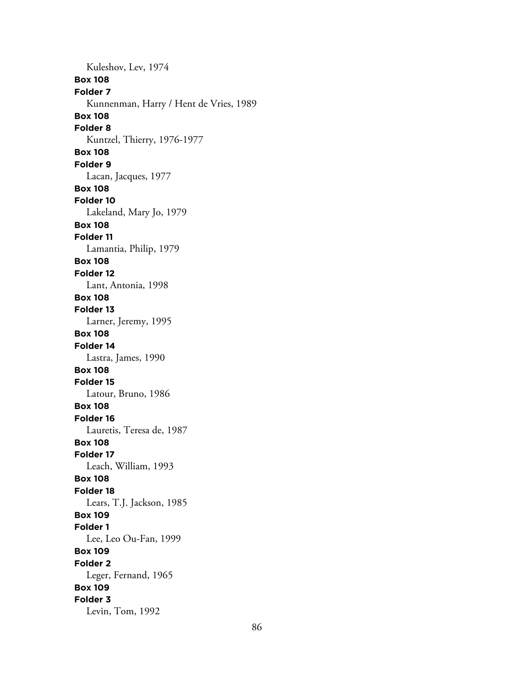Kuleshov, Lev, 1974 **Box 108 Folder 7** Kunnenman, Harry / Hent de Vries, 1989 **Box 108 Folder 8** Kuntzel, Thierry, 1976-1977 **Box 108 Folder 9** Lacan, Jacques, 1977 **Box 108 Folder 10** Lakeland, Mary Jo, 1979 **Box 108 Folder 11** Lamantia, Philip, 1979 **Box 108 Folder 12** Lant, Antonia, 1998 **Box 108 Folder 13** Larner, Jeremy, 1995 **Box 108 Folder 14** Lastra, James, 1990 **Box 108 Folder 15** Latour, Bruno, 1986 **Box 108 Folder 16** Lauretis, Teresa de, 1987 **Box 108 Folder 17** Leach, William, 1993 **Box 108 Folder 18** Lears, T.J. Jackson, 1985 **Box 109 Folder 1** Lee, Leo Ou-Fan, 1999 **Box 109 Folder 2** Leger, Fernand, 1965 **Box 109 Folder 3** Levin, Tom, 1992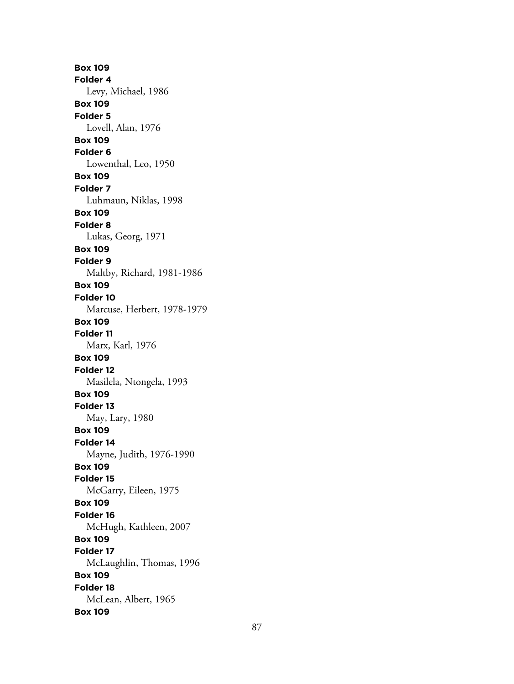**Box 109 Folder 4** Levy, Michael, 1986 **Box 109 Folder 5** Lovell, Alan, 1976 **Box 109 Folder 6** Lowenthal, Leo, 1950 **Box 109 Folder 7** Luhmaun, Niklas, 1998 **Box 109 Folder 8** Lukas, Georg, 1971 **Box 109 Folder 9** Maltby, Richard, 1981-1986 **Box 109 Folder 10** Marcuse, Herbert, 1978-1979 **Box 109 Folder 11** Marx, Karl, 1976 **Box 109 Folder 12** Masilela, Ntongela, 1993 **Box 109 Folder 13** May, Lary, 1980 **Box 109 Folder 14** Mayne, Judith, 1976-1990 **Box 109 Folder 15** McGarry, Eileen, 1975 **Box 109 Folder 16** McHugh, Kathleen, 2007 **Box 109 Folder 17** McLaughlin, Thomas, 1996 **Box 109 Folder 18** McLean, Albert, 1965 **Box 109**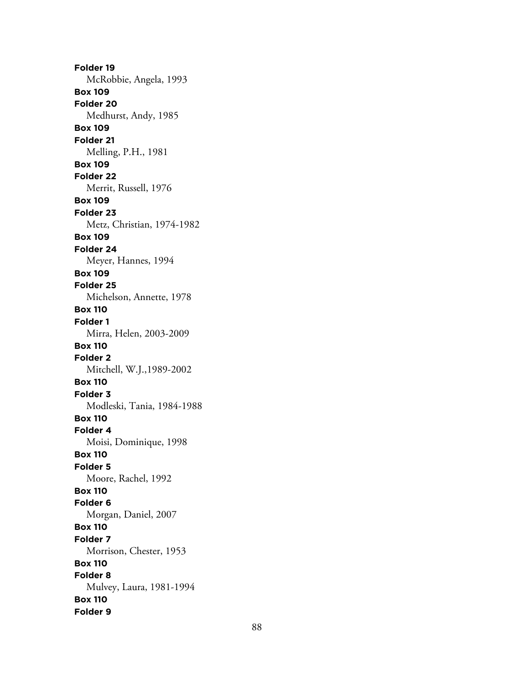**Folder 19** McRobbie, Angela, 1993 **Box 109 Folder 20** Medhurst, Andy, 1985 **Box 109 Folder 21** Melling, P.H., 1981 **Box 109 Folder 22** Merrit, Russell, 1976 **Box 109 Folder 23** Metz, Christian, 1974-1982 **Box 109 Folder 24** Meyer, Hannes, 1994 **Box 109 Folder 25** Michelson, Annette, 1978 **Box 110 Folder 1** Mirra, Helen, 2003-2009 **Box 110 Folder 2** Mitchell, W.J.,1989-2002 **Box 110 Folder 3** Modleski, Tania, 1984-1988 **Box 110 Folder 4** Moisi, Dominique, 1998 **Box 110 Folder 5** Moore, Rachel, 1992 **Box 110 Folder 6** Morgan, Daniel, 2007 **Box 110 Folder 7** Morrison, Chester, 1953 **Box 110 Folder 8** Mulvey, Laura, 1981-1994 **Box 110 Folder 9**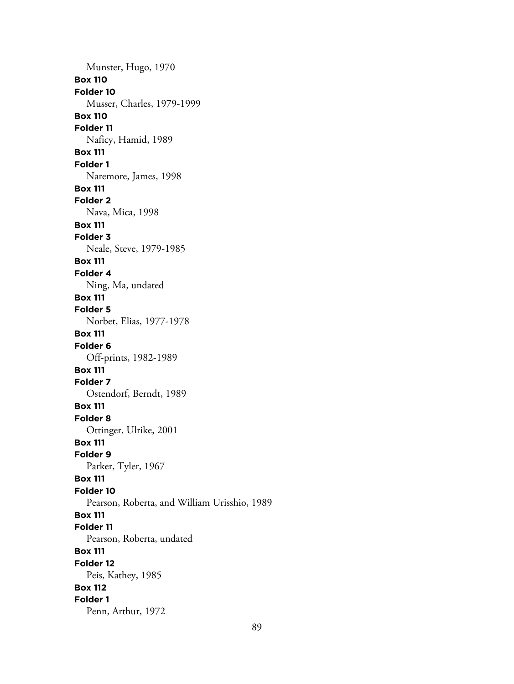Munster, Hugo, 1970 **Box 110 Folder 10** Musser, Charles, 1979-1999 **Box 110 Folder 11** Naficy, Hamid, 1989 **Box 111 Folder 1** Naremore, James, 1998 **Box 111 Folder 2** Nava, Mica, 1998 **Box 111 Folder 3** Neale, Steve, 1979-1985 **Box 111 Folder 4** Ning, Ma, undated **Box 111 Folder 5** Norbet, Elias, 1977-1978 **Box 111 Folder 6** Off-prints, 1982-1989 **Box 111 Folder 7** Ostendorf, Berndt, 1989 **Box 111 Folder 8** Ottinger, Ulrike, 2001 **Box 111 Folder 9** Parker, Tyler, 1967 **Box 111 Folder 10** Pearson, Roberta, and William Urisshio, 1989 **Box 111 Folder 11** Pearson, Roberta, undated **Box 111 Folder 12** Peis, Kathey, 1985 **Box 112 Folder 1** Penn, Arthur, 1972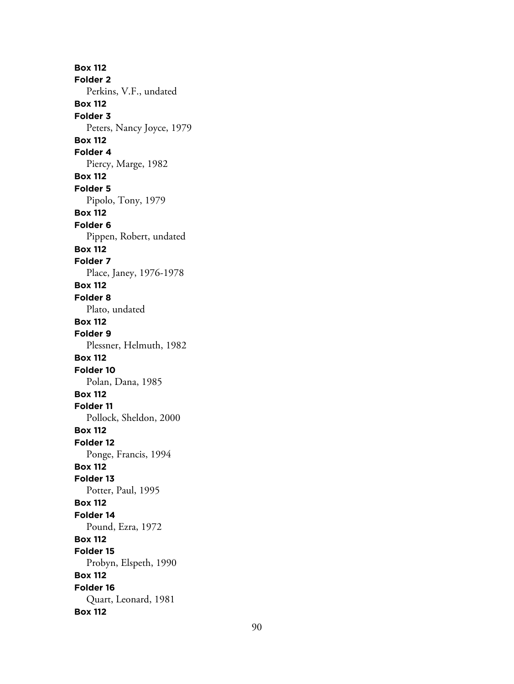**Box 112 Folder 2** Perkins, V.F., undated **Box 112 Folder 3** Peters, Nancy Joyce, 1979 **Box 112 Folder 4** Piercy, Marge, 1982 **Box 112 Folder 5** Pipolo, Tony, 1979 **Box 112 Folder 6** Pippen, Robert, undated **Box 112 Folder 7** Place, Janey, 1976-1978 **Box 112 Folder 8** Plato, undated **Box 112 Folder 9** Plessner, Helmuth, 1982 **Box 112 Folder 10** Polan, Dana, 1985 **Box 112 Folder 11** Pollock, Sheldon, 2000 **Box 112 Folder 12** Ponge, Francis, 1994 **Box 112 Folder 13** Potter, Paul, 1995 **Box 112 Folder 14** Pound, Ezra, 1972 **Box 112 Folder 15** Probyn, Elspeth, 1990 **Box 112 Folder 16** Quart, Leonard, 1981 **Box 112**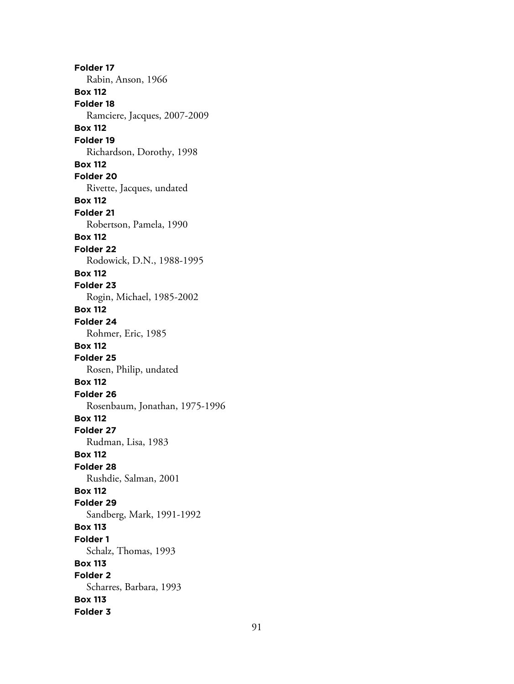**Folder 17** Rabin, Anson, 1966 **Box 112 Folder 18** Ramciere, Jacques, 2007-2009 **Box 112 Folder 19** Richardson, Dorothy, 1998 **Box 112 Folder 20** Rivette, Jacques, undated **Box 112 Folder 21** Robertson, Pamela, 1990 **Box 112 Folder 22** Rodowick, D.N., 1988-1995 **Box 112 Folder 23** Rogin, Michael, 1985-2002 **Box 112 Folder 24** Rohmer, Eric, 1985 **Box 112 Folder 25** Rosen, Philip, undated **Box 112 Folder 26** Rosenbaum, Jonathan, 1975-1996 **Box 112 Folder 27** Rudman, Lisa, 1983 **Box 112 Folder 28** Rushdie, Salman, 2001 **Box 112 Folder 29** Sandberg, Mark, 1991-1992 **Box 113 Folder 1** Schalz, Thomas, 1993 **Box 113 Folder 2** Scharres, Barbara, 1993 **Box 113 Folder 3**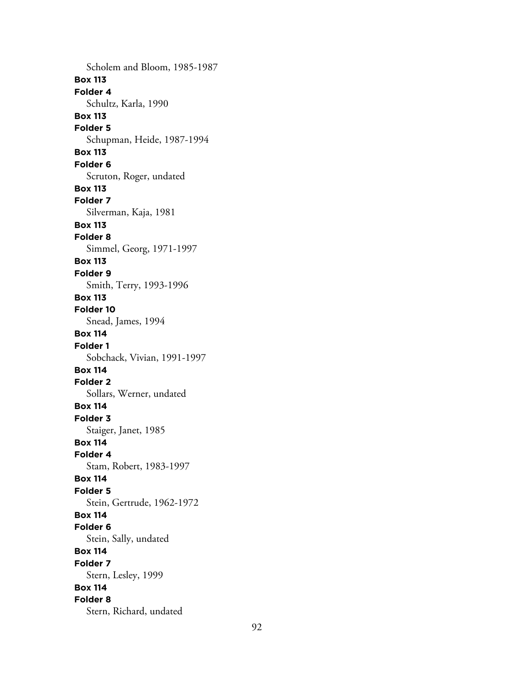Scholem and Bloom, 1985-1987 **Box 113 Folder 4** Schultz, Karla, 1990 **Box 113 Folder 5** Schupman, Heide, 1987-1994 **Box 113 Folder 6** Scruton, Roger, undated **Box 113 Folder 7** Silverman, Kaja, 1981 **Box 113 Folder 8** Simmel, Georg, 1971-1997 **Box 113 Folder 9** Smith, Terry, 1993-1996 **Box 113 Folder 10** Snead, James, 1994 **Box 114 Folder 1** Sobchack, Vivian, 1991-1997 **Box 114 Folder 2** Sollars, Werner, undated **Box 114 Folder 3** Staiger, Janet, 1985 **Box 114 Folder 4** Stam, Robert, 1983-1997 **Box 114 Folder 5** Stein, Gertrude, 1962-1972 **Box 114 Folder 6** Stein, Sally, undated **Box 114 Folder 7** Stern, Lesley, 1999 **Box 114 Folder 8** Stern, Richard, undated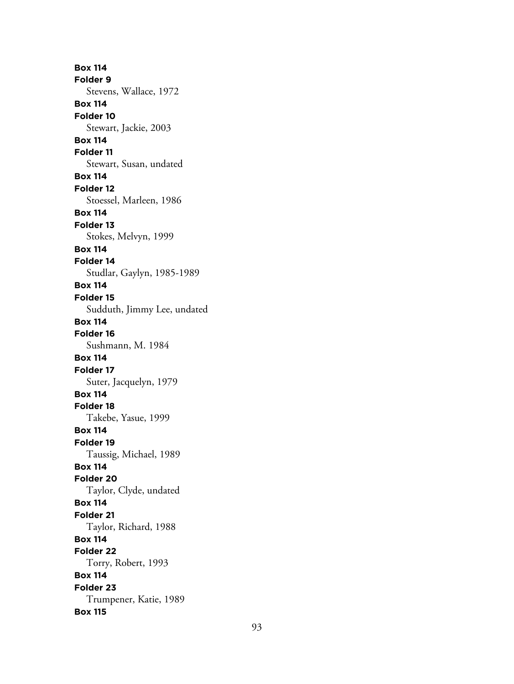**Box 114 Folder 9** Stevens, Wallace, 1972 **Box 114 Folder 10** Stewart, Jackie, 2003 **Box 114 Folder 11** Stewart, Susan, undated **Box 114 Folder 12** Stoessel, Marleen, 1986 **Box 114 Folder 13** Stokes, Melvyn, 1999 **Box 114 Folder 14** Studlar, Gaylyn, 1985-1989 **Box 114 Folder 15** Sudduth, Jimmy Lee, undated **Box 114 Folder 16** Sushmann, M. 1984 **Box 114 Folder 17** Suter, Jacquelyn, 1979 **Box 114 Folder 18** Takebe, Yasue, 1999 **Box 114 Folder 19** Taussig, Michael, 1989 **Box 114 Folder 20** Taylor, Clyde, undated **Box 114 Folder 21** Taylor, Richard, 1988 **Box 114 Folder 22** Torry, Robert, 1993 **Box 114 Folder 23** Trumpener, Katie, 1989 **Box 115**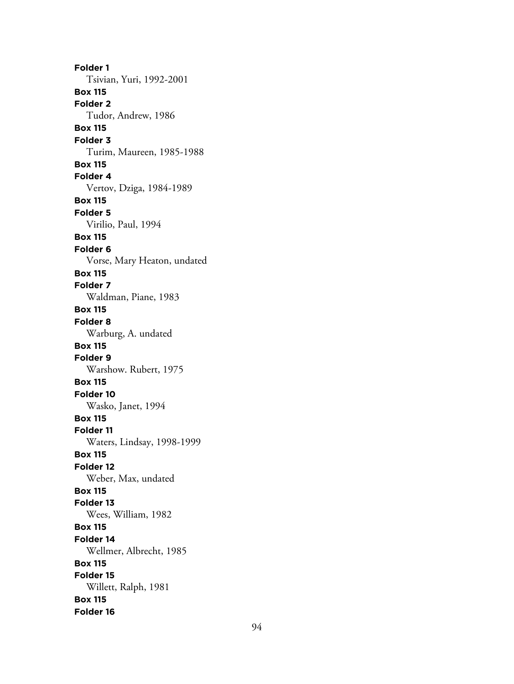**Folder 1** Tsivian, Yuri, 1992-2001 **Box 115 Folder 2** Tudor, Andrew, 1986 **Box 115 Folder 3** Turim, Maureen, 1985-1988 **Box 115 Folder 4** Vertov, Dziga, 1984-1989 **Box 115 Folder 5** Virilio, Paul, 1994 **Box 115 Folder 6** Vorse, Mary Heaton, undated **Box 115 Folder 7** Waldman, Piane, 1983 **Box 115 Folder 8** Warburg, A. undated **Box 115 Folder 9** Warshow. Rubert, 1975 **Box 115 Folder 10** Wasko, Janet, 1994 **Box 115 Folder 11** Waters, Lindsay, 1998-1999 **Box 115 Folder 12** Weber, Max, undated **Box 115 Folder 13** Wees, William, 1982 **Box 115 Folder 14** Wellmer, Albrecht, 1985 **Box 115 Folder 15** Willett, Ralph, 1981 **Box 115 Folder 16**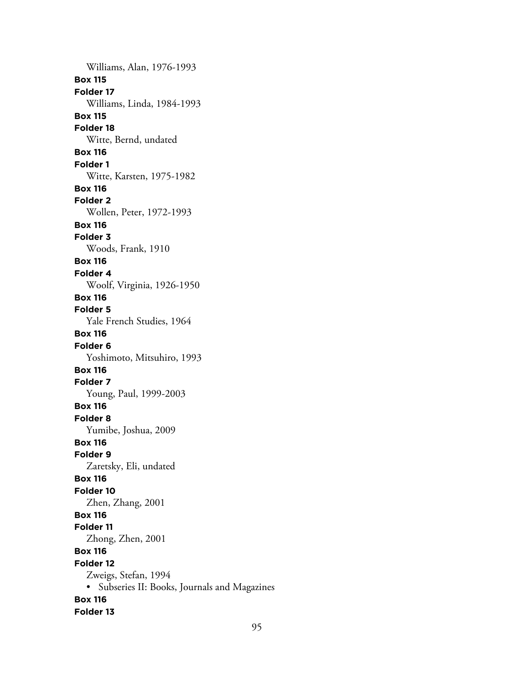Williams, Alan, 1976-1993 **Box 115 Folder 17** Williams, Linda, 1984-1993 **Box 115 Folder 18** Witte, Bernd, undated **Box 116 Folder 1** Witte, Karsten, 1975-1982 **Box 116 Folder 2** Wollen, Peter, 1972-1993 **Box 116 Folder 3** Woods, Frank, 1910 **Box 116 Folder 4** Woolf, Virginia, 1926-1950 **Box 116 Folder 5** Yale French Studies, 1964 **Box 116 Folder 6** Yoshimoto, Mitsuhiro, 1993 **Box 116 Folder 7** Young, Paul, 1999-2003 **Box 116 Folder 8** Yumibe, Joshua, 2009 **Box 116 Folder 9** Zaretsky, Eli, undated **Box 116 Folder 10** Zhen, Zhang, 2001 **Box 116 Folder 11** Zhong, Zhen, 2001 **Box 116 Folder 12** Zweigs, Stefan, 1994 • Subseries II: Books, Journals and Magazines **Box 116 Folder 13**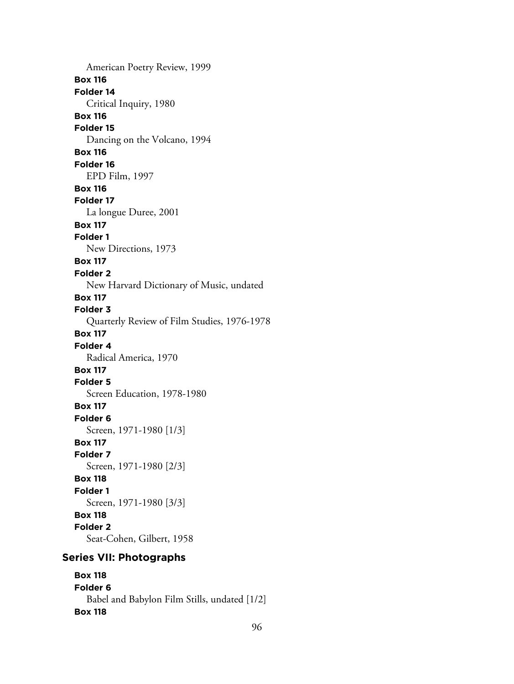American Poetry Review, 1999 **Box 116 Folder 14** Critical Inquiry, 1980 **Box 116 Folder 15** Dancing on the Volcano, 1994 **Box 116 Folder 16** EPD Film, 1997 **Box 116 Folder 17** La longue Duree, 2001 **Box 117 Folder 1** New Directions, 1973 **Box 117 Folder 2** New Harvard Dictionary of Music, undated **Box 117 Folder 3** Quarterly Review of Film Studies, 1976-1978 **Box 117 Folder 4** Radical America, 1970 **Box 117 Folder 5** Screen Education, 1978-1980 **Box 117 Folder 6** Screen, 1971-1980 [1/3] **Box 117 Folder 7** Screen, 1971-1980 [2/3] **Box 118 Folder 1** Screen, 1971-1980 [3/3] **Box 118 Folder 2** Seat-Cohen, Gilbert, 1958 **Series VII: Photographs**

**Box 118 Folder 6** Babel and Babylon Film Stills, undated [1/2] **Box 118**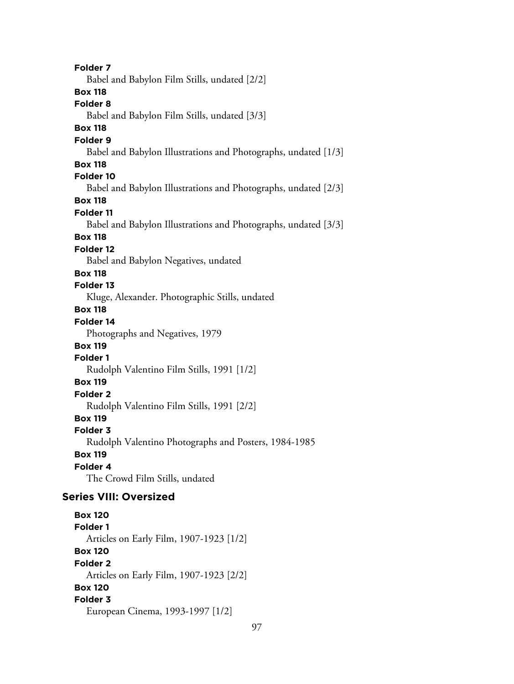**Folder 7** Babel and Babylon Film Stills, undated [2/2] **Box 118 Folder 8** Babel and Babylon Film Stills, undated [3/3] **Box 118 Folder 9** Babel and Babylon Illustrations and Photographs, undated [1/3] **Box 118 Folder 10** Babel and Babylon Illustrations and Photographs, undated [2/3] **Box 118 Folder 11** Babel and Babylon Illustrations and Photographs, undated [3/3] **Box 118 Folder 12** Babel and Babylon Negatives, undated **Box 118 Folder 13** Kluge, Alexander. Photographic Stills, undated **Box 118 Folder 14** Photographs and Negatives, 1979 **Box 119 Folder 1** Rudolph Valentino Film Stills, 1991 [1/2] **Box 119 Folder 2** Rudolph Valentino Film Stills, 1991 [2/2] **Box 119 Folder 3** Rudolph Valentino Photographs and Posters, 1984-1985 **Box 119 Folder 4** The Crowd Film Stills, undated **Series VIII: Oversized Box 120 Folder 1** Articles on Early Film, 1907-1923 [1/2] **Box 120 Folder 2** Articles on Early Film, 1907-1923 [2/2] **Box 120 Folder 3**

European Cinema, 1993-1997 [1/2]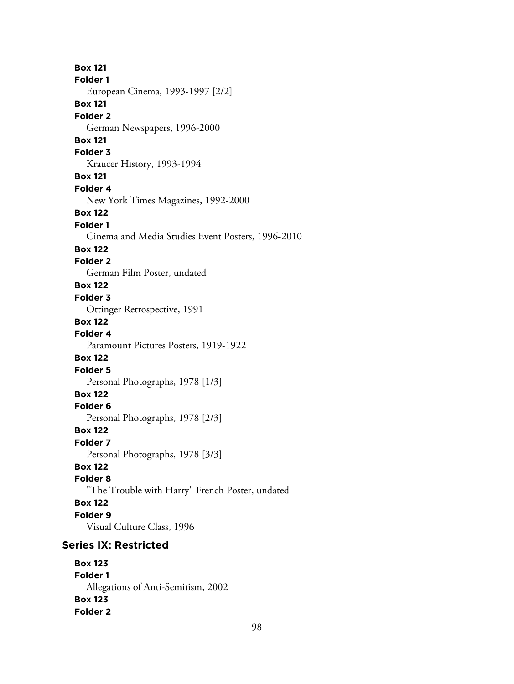**Box 121 Folder 1** European Cinema, 1993-1997 [2/2] **Box 121 Folder 2** German Newspapers, 1996-2000 **Box 121 Folder 3** Kraucer History, 1993-1994 **Box 121 Folder 4** New York Times Magazines, 1992-2000 **Box 122 Folder 1** Cinema and Media Studies Event Posters, 1996-2010 **Box 122 Folder 2** German Film Poster, undated **Box 122 Folder 3** Ottinger Retrospective, 1991 **Box 122 Folder 4** Paramount Pictures Posters, 1919-1922 **Box 122 Folder 5** Personal Photographs, 1978 [1/3] **Box 122 Folder 6** Personal Photographs, 1978 [2/3] **Box 122 Folder 7** Personal Photographs, 1978 [3/3] **Box 122 Folder 8** "The Trouble with Harry" French Poster, undated **Box 122 Folder 9** Visual Culture Class, 1996 **Series IX: Restricted Box 123 Folder 1** Allegations of Anti-Semitism, 2002

**Box 123 Folder 2**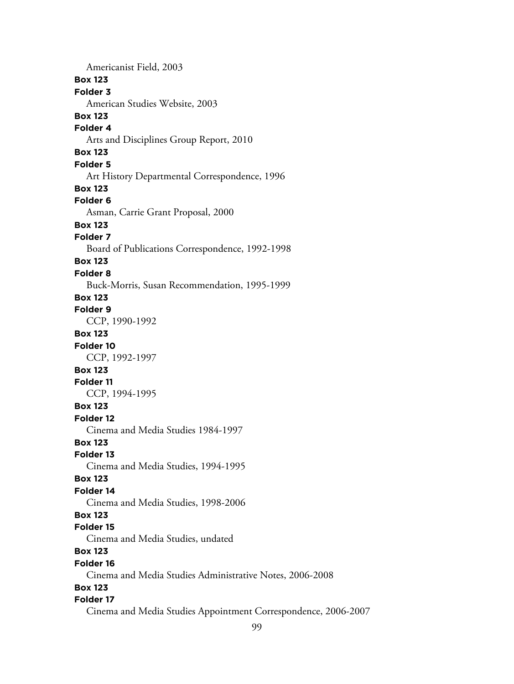Americanist Field, 2003 **Box 123 Folder 3** American Studies Website, 2003 **Box 123 Folder 4** Arts and Disciplines Group Report, 2010 **Box 123 Folder 5** Art History Departmental Correspondence, 1996 **Box 123 Folder 6** Asman, Carrie Grant Proposal, 2000 **Box 123 Folder 7** Board of Publications Correspondence, 1992-1998 **Box 123 Folder 8** Buck-Morris, Susan Recommendation, 1995-1999 **Box 123 Folder 9** CCP, 1990-1992 **Box 123 Folder 10** CCP, 1992-1997 **Box 123 Folder 11** CCP, 1994-1995 **Box 123 Folder 12** Cinema and Media Studies 1984-1997 **Box 123 Folder 13** Cinema and Media Studies, 1994-1995 **Box 123 Folder 14** Cinema and Media Studies, 1998-2006 **Box 123 Folder 15** Cinema and Media Studies, undated **Box 123 Folder 16** Cinema and Media Studies Administrative Notes, 2006-2008 **Box 123 Folder 17** Cinema and Media Studies Appointment Correspondence, 2006-2007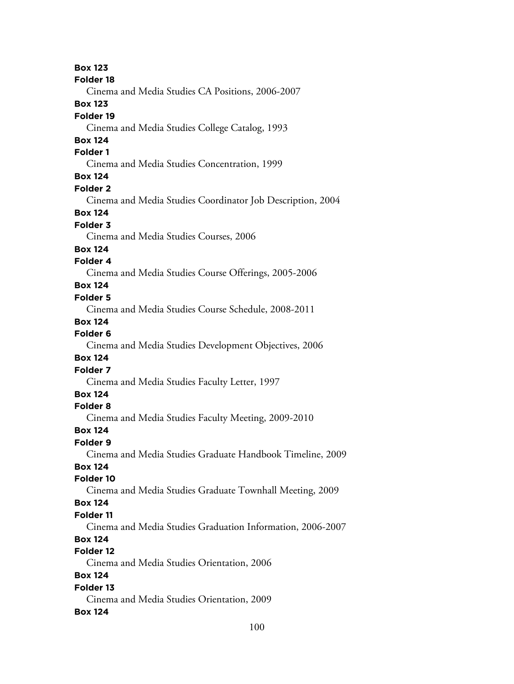100 **Box 123 Folder 18** Cinema and Media Studies CA Positions, 2006-2007 **Box 123 Folder 19** Cinema and Media Studies College Catalog, 1993 **Box 124 Folder 1** Cinema and Media Studies Concentration, 1999 **Box 124 Folder 2** Cinema and Media Studies Coordinator Job Description, 2004 **Box 124 Folder 3** Cinema and Media Studies Courses, 2006 **Box 124 Folder 4** Cinema and Media Studies Course Offerings, 2005-2006 **Box 124 Folder 5** Cinema and Media Studies Course Schedule, 2008-2011 **Box 124 Folder 6** Cinema and Media Studies Development Objectives, 2006 **Box 124 Folder 7** Cinema and Media Studies Faculty Letter, 1997 **Box 124 Folder 8** Cinema and Media Studies Faculty Meeting, 2009-2010 **Box 124 Folder 9** Cinema and Media Studies Graduate Handbook Timeline, 2009 **Box 124 Folder 10** Cinema and Media Studies Graduate Townhall Meeting, 2009 **Box 124 Folder 11** Cinema and Media Studies Graduation Information, 2006-2007 **Box 124 Folder 12** Cinema and Media Studies Orientation, 2006 **Box 124 Folder 13** Cinema and Media Studies Orientation, 2009 **Box 124**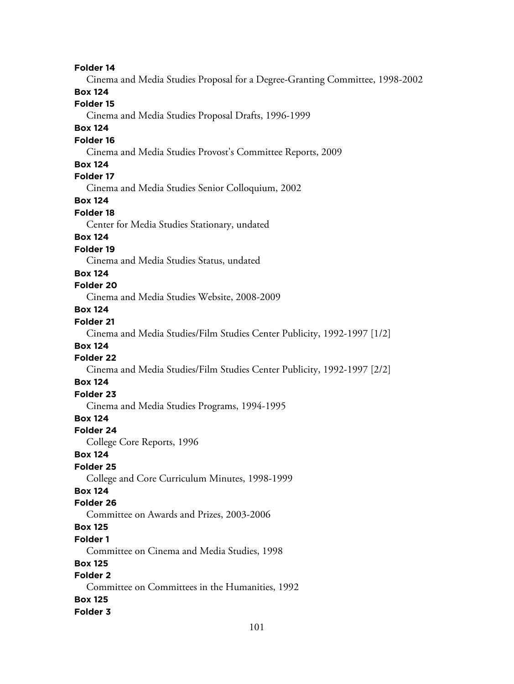**Folder 14** Cinema and Media Studies Proposal for a Degree-Granting Committee, 1998-2002 **Box 124 Folder 15** Cinema and Media Studies Proposal Drafts, 1996-1999 **Box 124 Folder 16** Cinema and Media Studies Provost's Committee Reports, 2009 **Box 124 Folder 17** Cinema and Media Studies Senior Colloquium, 2002 **Box 124 Folder 18** Center for Media Studies Stationary, undated **Box 124 Folder 19** Cinema and Media Studies Status, undated **Box 124 Folder 20** Cinema and Media Studies Website, 2008-2009 **Box 124 Folder 21** Cinema and Media Studies/Film Studies Center Publicity, 1992-1997 [1/2] **Box 124 Folder 22** Cinema and Media Studies/Film Studies Center Publicity, 1992-1997 [2/2] **Box 124 Folder 23** Cinema and Media Studies Programs, 1994-1995 **Box 124 Folder 24** College Core Reports, 1996 **Box 124 Folder 25** College and Core Curriculum Minutes, 1998-1999 **Box 124 Folder 26** Committee on Awards and Prizes, 2003-2006 **Box 125 Folder 1** Committee on Cinema and Media Studies, 1998 **Box 125 Folder 2** Committee on Committees in the Humanities, 1992 **Box 125 Folder 3**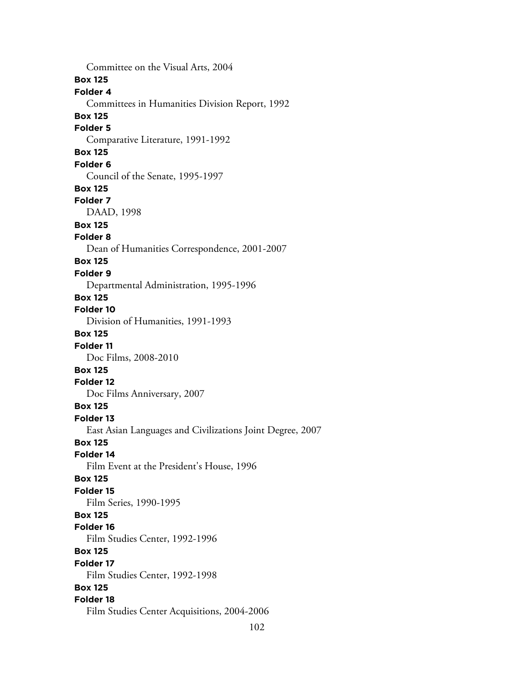Committee on the Visual Arts, 2004 **Box 125 Folder 4** Committees in Humanities Division Report, 1992 **Box 125 Folder 5** Comparative Literature, 1991-1992 **Box 125 Folder 6** Council of the Senate, 1995-1997 **Box 125 Folder 7** DAAD, 1998 **Box 125 Folder 8** Dean of Humanities Correspondence, 2001-2007 **Box 125 Folder 9** Departmental Administration, 1995-1996 **Box 125 Folder 10** Division of Humanities, 1991-1993 **Box 125 Folder 11** Doc Films, 2008-2010 **Box 125 Folder 12** Doc Films Anniversary, 2007 **Box 125 Folder 13** East Asian Languages and Civilizations Joint Degree, 2007 **Box 125 Folder 14** Film Event at the President's House, 1996 **Box 125 Folder 15** Film Series, 1990-1995 **Box 125 Folder 16** Film Studies Center, 1992-1996 **Box 125 Folder 17** Film Studies Center, 1992-1998 **Box 125 Folder 18** Film Studies Center Acquisitions, 2004-2006

102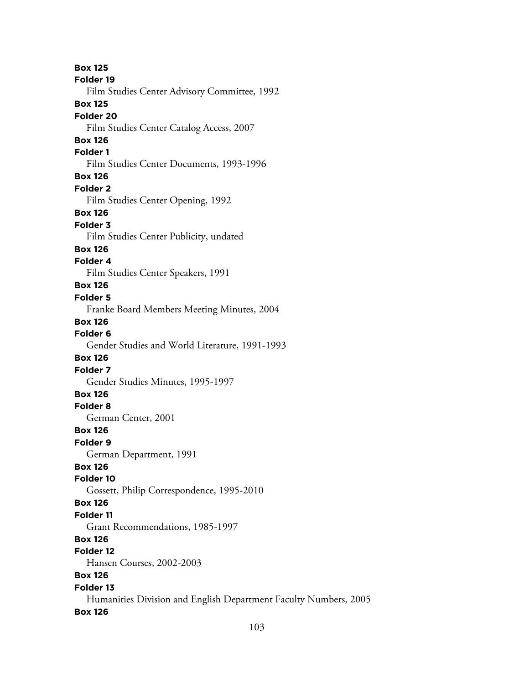**Box 125 Folder 19** Film Studies Center Advisory Committee, 1992 **Box 125 Folder 20** Film Studies Center Catalog Access, 2007 **Box 126 Folder 1** Film Studies Center Documents, 1993-1996 **Box 126 Folder 2** Film Studies Center Opening, 1992 **Box 126 Folder 3** Film Studies Center Publicity, undated **Box 126 Folder 4** Film Studies Center Speakers, 1991 **Box 126 Folder 5** Franke Board Members Meeting Minutes, 2004 **Box 126 Folder 6** Gender Studies and World Literature, 1991-1993 **Box 126 Folder 7** Gender Studies Minutes, 1995-1997 **Box 126 Folder 8** German Center, 2001 **Box 126 Folder 9** German Department, 1991 **Box 126 Folder 10** Gossett, Philip Correspondence, 1995-2010 **Box 126 Folder 11** Grant Recommendations, 1985-1997 **Box 126 Folder 12** Hansen Courses, 2002-2003 **Box 126 Folder 13** Humanities Division and English Department Faculty Numbers, 2005 **Box 126**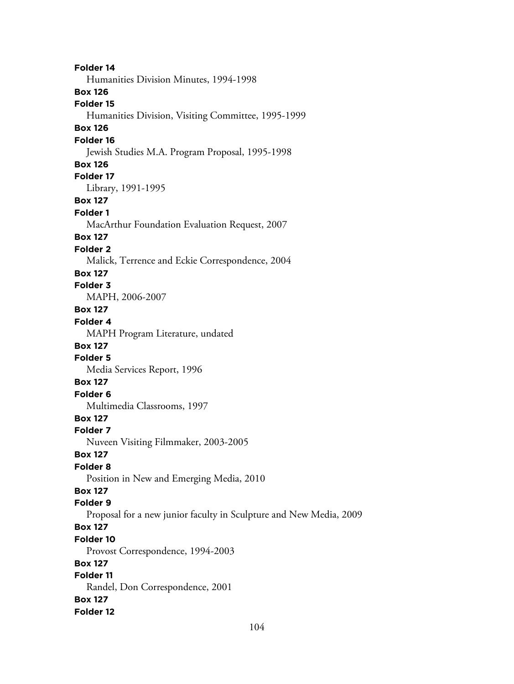**Folder 14** Humanities Division Minutes, 1994-1998 **Box 126 Folder 15** Humanities Division, Visiting Committee, 1995-1999 **Box 126 Folder 16** Jewish Studies M.A. Program Proposal, 1995-1998 **Box 126 Folder 17** Library, 1991-1995 **Box 127 Folder 1** MacArthur Foundation Evaluation Request, 2007 **Box 127 Folder 2** Malick, Terrence and Eckie Correspondence, 2004 **Box 127 Folder 3** MAPH, 2006-2007 **Box 127 Folder 4** MAPH Program Literature, undated **Box 127 Folder 5** Media Services Report, 1996 **Box 127 Folder 6** Multimedia Classrooms, 1997 **Box 127 Folder 7** Nuveen Visiting Filmmaker, 2003-2005 **Box 127 Folder 8** Position in New and Emerging Media, 2010 **Box 127 Folder 9** Proposal for a new junior faculty in Sculpture and New Media, 2009 **Box 127 Folder 10** Provost Correspondence, 1994-2003 **Box 127 Folder 11** Randel, Don Correspondence, 2001 **Box 127 Folder 12**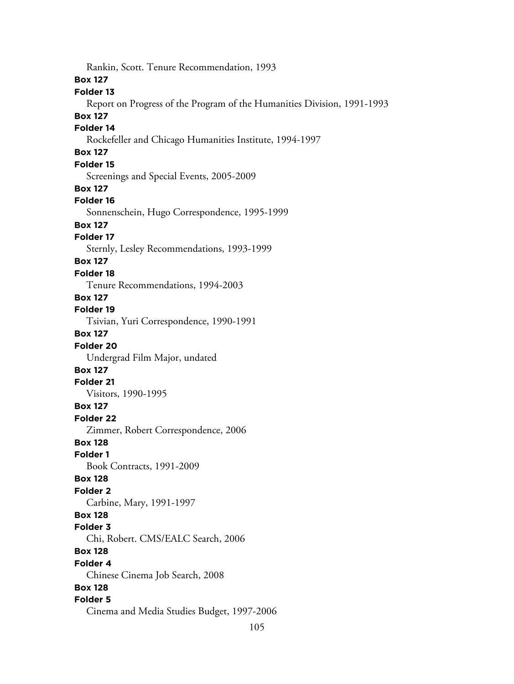Rankin, Scott. Tenure Recommendation, 1993 **Box 127 Folder 13** Report on Progress of the Program of the Humanities Division, 1991-1993 **Box 127 Folder 14** Rockefeller and Chicago Humanities Institute, 1994-1997 **Box 127 Folder 15** Screenings and Special Events, 2005-2009 **Box 127 Folder 16** Sonnenschein, Hugo Correspondence, 1995-1999 **Box 127 Folder 17** Sternly, Lesley Recommendations, 1993-1999 **Box 127 Folder 18** Tenure Recommendations, 1994-2003 **Box 127 Folder 19** Tsivian, Yuri Correspondence, 1990-1991 **Box 127 Folder 20** Undergrad Film Major, undated **Box 127 Folder 21** Visitors, 1990-1995 **Box 127 Folder 22** Zimmer, Robert Correspondence, 2006 **Box 128 Folder 1** Book Contracts, 1991-2009 **Box 128 Folder 2** Carbine, Mary, 1991-1997 **Box 128 Folder 3** Chi, Robert. CMS/EALC Search, 2006 **Box 128 Folder 4** Chinese Cinema Job Search, 2008 **Box 128 Folder 5** Cinema and Media Studies Budget, 1997-2006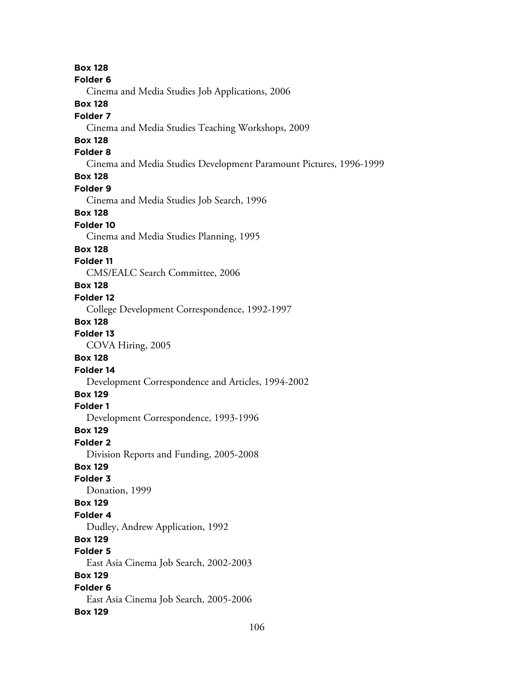**Box 128 Folder 6** Cinema and Media Studies Job Applications, 2006 **Box 128 Folder 7** Cinema and Media Studies Teaching Workshops, 2009 **Box 128 Folder 8** Cinema and Media Studies Development Paramount Pictures, 1996-1999 **Box 128 Folder 9** Cinema and Media Studies Job Search, 1996 **Box 128 Folder 10** Cinema and Media Studies Planning, 1995 **Box 128 Folder 11** CMS/EALC Search Committee, 2006 **Box 128 Folder 12** College Development Correspondence, 1992-1997 **Box 128 Folder 13** COVA Hiring, 2005 **Box 128 Folder 14** Development Correspondence and Articles, 1994-2002 **Box 129 Folder 1** Development Correspondence, 1993-1996 **Box 129 Folder 2** Division Reports and Funding, 2005-2008 **Box 129 Folder 3** Donation, 1999 **Box 129 Folder 4** Dudley, Andrew Application, 1992 **Box 129 Folder 5** East Asia Cinema Job Search, 2002-2003 **Box 129 Folder 6** East Asia Cinema Job Search, 2005-2006 **Box 129**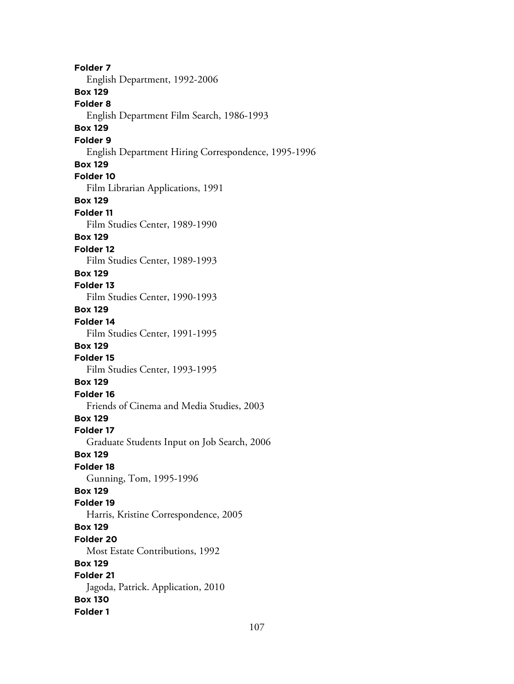**Folder 7** English Department, 1992-2006 **Box 129 Folder 8** English Department Film Search, 1986-1993 **Box 129 Folder 9** English Department Hiring Correspondence, 1995-1996 **Box 129 Folder 10** Film Librarian Applications, 1991 **Box 129 Folder 11** Film Studies Center, 1989-1990 **Box 129 Folder 12** Film Studies Center, 1989-1993 **Box 129 Folder 13** Film Studies Center, 1990-1993 **Box 129 Folder 14** Film Studies Center, 1991-1995 **Box 129 Folder 15** Film Studies Center, 1993-1995 **Box 129 Folder 16** Friends of Cinema and Media Studies, 2003 **Box 129 Folder 17** Graduate Students Input on Job Search, 2006 **Box 129 Folder 18** Gunning, Tom, 1995-1996 **Box 129 Folder 19** Harris, Kristine Correspondence, 2005 **Box 129 Folder 20** Most Estate Contributions, 1992 **Box 129 Folder 21** Jagoda, Patrick. Application, 2010 **Box 130 Folder 1**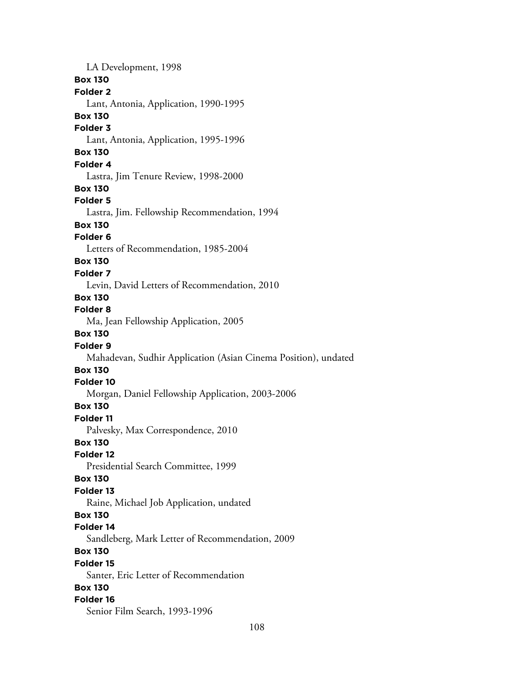LA Development, 1998 **Box 130 Folder 2** Lant, Antonia, Application, 1990-1995 **Box 130 Folder 3** Lant, Antonia, Application, 1995-1996 **Box 130 Folder 4** Lastra, Jim Tenure Review, 1998-2000 **Box 130 Folder 5** Lastra, Jim. Fellowship Recommendation, 1994 **Box 130 Folder 6** Letters of Recommendation, 1985-2004 **Box 130 Folder 7** Levin, David Letters of Recommendation, 2010 **Box 130 Folder 8** Ma, Jean Fellowship Application, 2005 **Box 130 Folder 9** Mahadevan, Sudhir Application (Asian Cinema Position), undated **Box 130 Folder 10** Morgan, Daniel Fellowship Application, 2003-2006 **Box 130 Folder 11** Palvesky, Max Correspondence, 2010 **Box 130 Folder 12** Presidential Search Committee, 1999 **Box 130 Folder 13** Raine, Michael Job Application, undated **Box 130 Folder 14** Sandleberg, Mark Letter of Recommendation, 2009 **Box 130 Folder 15** Santer, Eric Letter of Recommendation **Box 130 Folder 16** Senior Film Search, 1993-1996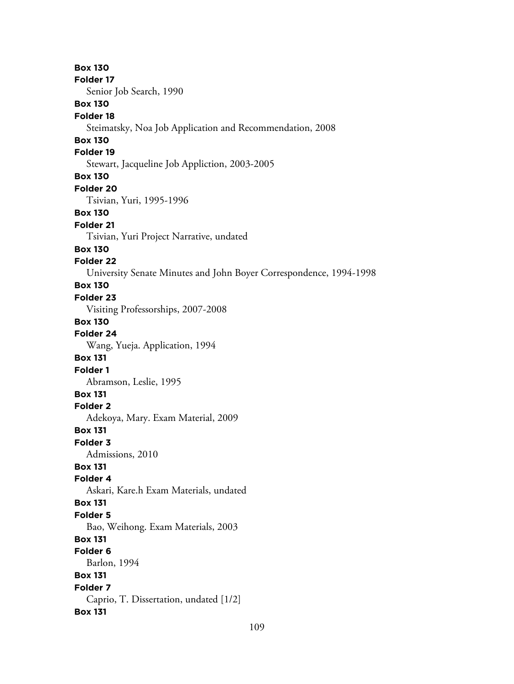**Box 130 Folder 17** Senior Job Search, 1990 **Box 130 Folder 18** Steimatsky, Noa Job Application and Recommendation, 2008 **Box 130 Folder 19** Stewart, Jacqueline Job Appliction, 2003-2005 **Box 130 Folder 20** Tsivian, Yuri, 1995-1996 **Box 130 Folder 21** Tsivian, Yuri Project Narrative, undated **Box 130 Folder 22** University Senate Minutes and John Boyer Correspondence, 1994-1998 **Box 130 Folder 23** Visiting Professorships, 2007-2008 **Box 130 Folder 24** Wang, Yueja. Application, 1994 **Box 131 Folder 1** Abramson, Leslie, 1995 **Box 131 Folder 2** Adekoya, Mary. Exam Material, 2009 **Box 131 Folder 3** Admissions, 2010 **Box 131 Folder 4** Askari, Kare.h Exam Materials, undated **Box 131 Folder 5** Bao, Weihong. Exam Materials, 2003 **Box 131 Folder 6** Barlon, 1994 **Box 131 Folder 7** Caprio, T. Dissertation, undated [1/2] **Box 131**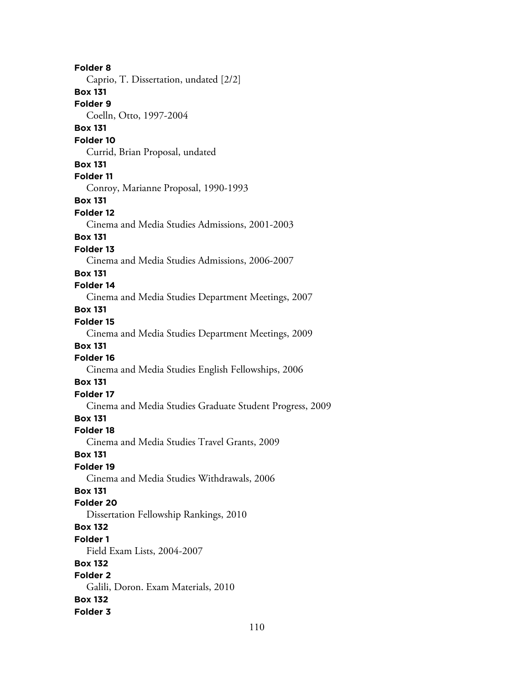**Folder 8** Caprio, T. Dissertation, undated [2/2] **Box 131 Folder 9** Coelln, Otto, 1997-2004 **Box 131 Folder 10** Currid, Brian Proposal, undated **Box 131 Folder 11** Conroy, Marianne Proposal, 1990-1993 **Box 131 Folder 12** Cinema and Media Studies Admissions, 2001-2003 **Box 131 Folder 13** Cinema and Media Studies Admissions, 2006-2007 **Box 131 Folder 14** Cinema and Media Studies Department Meetings, 2007 **Box 131 Folder 15** Cinema and Media Studies Department Meetings, 2009 **Box 131 Folder 16** Cinema and Media Studies English Fellowships, 2006 **Box 131 Folder 17** Cinema and Media Studies Graduate Student Progress, 2009 **Box 131 Folder 18** Cinema and Media Studies Travel Grants, 2009 **Box 131 Folder 19** Cinema and Media Studies Withdrawals, 2006 **Box 131 Folder 20** Dissertation Fellowship Rankings, 2010 **Box 132 Folder 1** Field Exam Lists, 2004-2007 **Box 132 Folder 2** Galili, Doron. Exam Materials, 2010 **Box 132 Folder 3**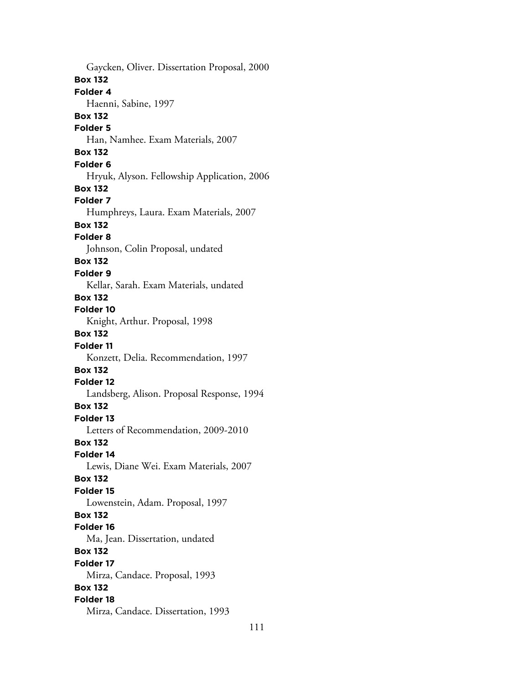Gaycken, Oliver. Dissertation Proposal, 2000 **Box 132 Folder 4** Haenni, Sabine, 1997 **Box 132 Folder 5** Han, Namhee. Exam Materials, 2007 **Box 132 Folder 6** Hryuk, Alyson. Fellowship Application, 2006 **Box 132 Folder 7** Humphreys, Laura. Exam Materials, 2007 **Box 132 Folder 8** Johnson, Colin Proposal, undated **Box 132 Folder 9** Kellar, Sarah. Exam Materials, undated **Box 132 Folder 10** Knight, Arthur. Proposal, 1998 **Box 132 Folder 11** Konzett, Delia. Recommendation, 1997 **Box 132 Folder 12** Landsberg, Alison. Proposal Response, 1994 **Box 132 Folder 13** Letters of Recommendation, 2009-2010 **Box 132 Folder 14** Lewis, Diane Wei. Exam Materials, 2007 **Box 132 Folder 15** Lowenstein, Adam. Proposal, 1997 **Box 132 Folder 16** Ma, Jean. Dissertation, undated **Box 132 Folder 17** Mirza, Candace. Proposal, 1993 **Box 132 Folder 18** Mirza, Candace. Dissertation, 1993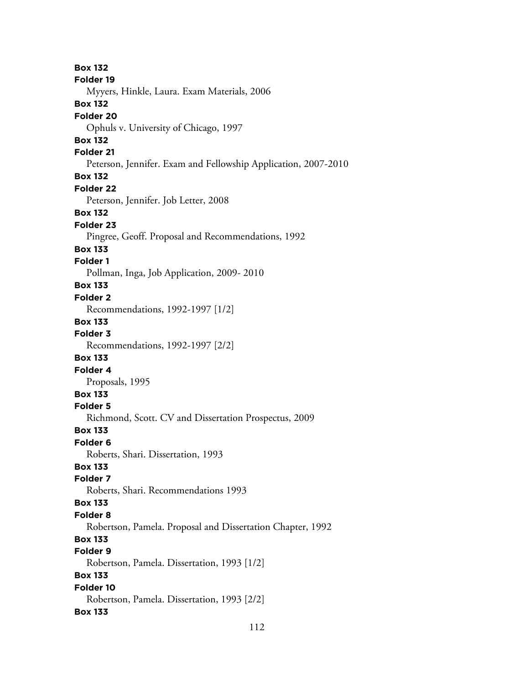**Box 132 Folder 19** Myyers, Hinkle, Laura. Exam Materials, 2006 **Box 132 Folder 20** Ophuls v. University of Chicago, 1997 **Box 132 Folder 21** Peterson, Jennifer. Exam and Fellowship Application, 2007-2010 **Box 132 Folder 22** Peterson, Jennifer. Job Letter, 2008 **Box 132 Folder 23** Pingree, Geoff. Proposal and Recommendations, 1992 **Box 133 Folder 1** Pollman, Inga, Job Application, 2009- 2010 **Box 133 Folder 2** Recommendations, 1992-1997 [1/2] **Box 133 Folder 3** Recommendations, 1992-1997 [2/2] **Box 133 Folder 4** Proposals, 1995 **Box 133 Folder 5** Richmond, Scott. CV and Dissertation Prospectus, 2009 **Box 133 Folder 6** Roberts, Shari. Dissertation, 1993 **Box 133 Folder 7** Roberts, Shari. Recommendations 1993 **Box 133 Folder 8** Robertson, Pamela. Proposal and Dissertation Chapter, 1992 **Box 133 Folder 9** Robertson, Pamela. Dissertation, 1993 [1/2] **Box 133 Folder 10** Robertson, Pamela. Dissertation, 1993 [2/2] **Box 133**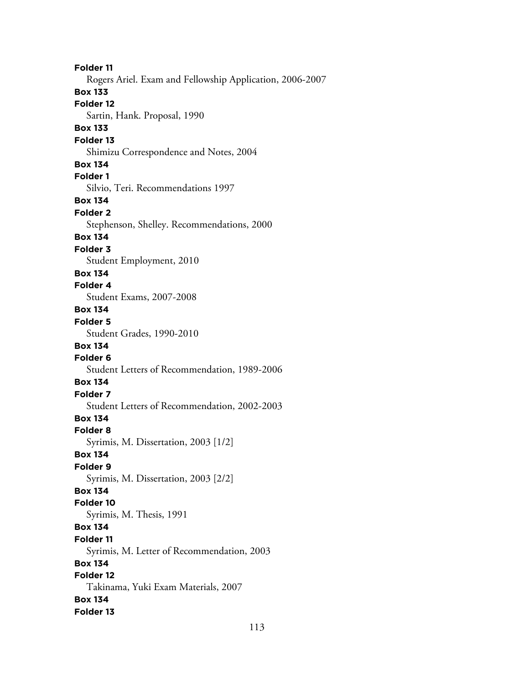**Folder 11** Rogers Ariel. Exam and Fellowship Application, 2006-2007 **Box 133 Folder 12** Sartin, Hank. Proposal, 1990 **Box 133 Folder 13** Shimizu Correspondence and Notes, 2004 **Box 134 Folder 1** Silvio, Teri. Recommendations 1997 **Box 134 Folder 2** Stephenson, Shelley. Recommendations, 2000 **Box 134 Folder 3** Student Employment, 2010 **Box 134 Folder 4** Student Exams, 2007-2008 **Box 134 Folder 5** Student Grades, 1990-2010 **Box 134 Folder 6** Student Letters of Recommendation, 1989-2006 **Box 134 Folder 7** Student Letters of Recommendation, 2002-2003 **Box 134 Folder 8** Syrimis, M. Dissertation, 2003 [1/2] **Box 134 Folder 9** Syrimis, M. Dissertation, 2003 [2/2] **Box 134 Folder 10** Syrimis, M. Thesis, 1991 **Box 134 Folder 11** Syrimis, M. Letter of Recommendation, 2003 **Box 134 Folder 12** Takinama, Yuki Exam Materials, 2007 **Box 134 Folder 13**